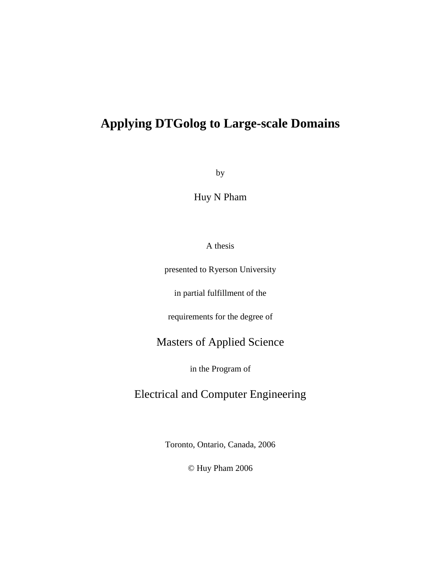## **Applying DTGolog to Large-scale Domains**

by

Huy N Pham

A thesis

presented to Ryerson University

in partial fulfillment of the

requirements for the degree of

### Masters of Applied Science

in the Program of

## Electrical and Computer Engineering

Toronto, Ontario, Canada, 2006

© Huy Pham 2006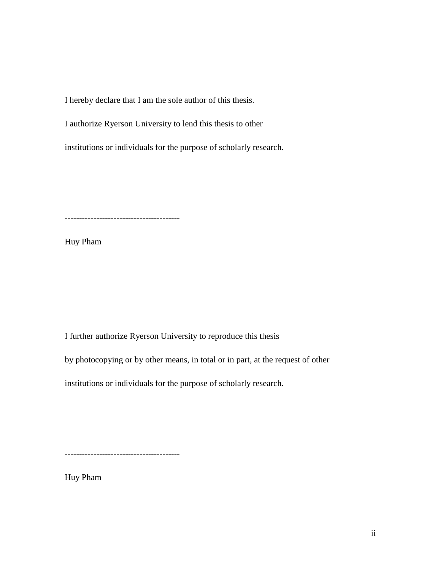I hereby declare that I am the sole author of this thesis.

I authorize Ryerson University to lend this thesis to other

institutions or individuals for the purpose of scholarly research.

----------------------------------------

Huy Pham

I further authorize Ryerson University to reproduce this thesis

by photocopying or by other means, in total or in part, at the request of other

institutions or individuals for the purpose of scholarly research.

----------------------------------------

Huy Pham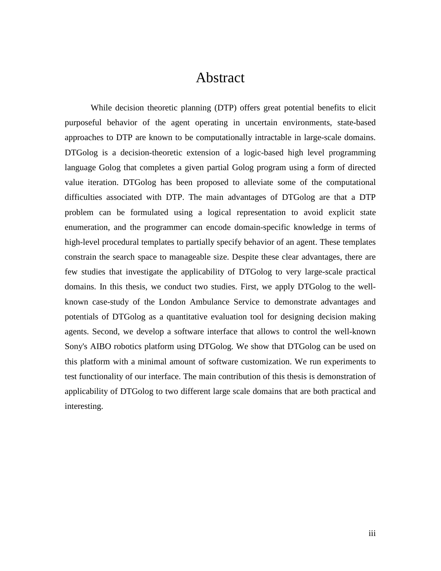## Abstract

 While decision theoretic planning (DTP) offers great potential benefits to elicit purposeful behavior of the agent operating in uncertain environments, state-based approaches to DTP are known to be computationally intractable in large-scale domains. DTGolog is a decision-theoretic extension of a logic-based high level programming language Golog that completes a given partial Golog program using a form of directed value iteration. DTGolog has been proposed to alleviate some of the computational difficulties associated with DTP. The main advantages of DTGolog are that a DTP problem can be formulated using a logical representation to avoid explicit state enumeration, and the programmer can encode domain-specific knowledge in terms of high-level procedural templates to partially specify behavior of an agent. These templates constrain the search space to manageable size. Despite these clear advantages, there are few studies that investigate the applicability of DTGolog to very large-scale practical domains. In this thesis, we conduct two studies. First, we apply DTGolog to the wellknown case-study of the London Ambulance Service to demonstrate advantages and potentials of DTGolog as a quantitative evaluation tool for designing decision making agents. Second, we develop a software interface that allows to control the well-known Sony's AIBO robotics platform using DTGolog. We show that DTGolog can be used on this platform with a minimal amount of software customization. We run experiments to test functionality of our interface. The main contribution of this thesis is demonstration of applicability of DTGolog to two different large scale domains that are both practical and interesting.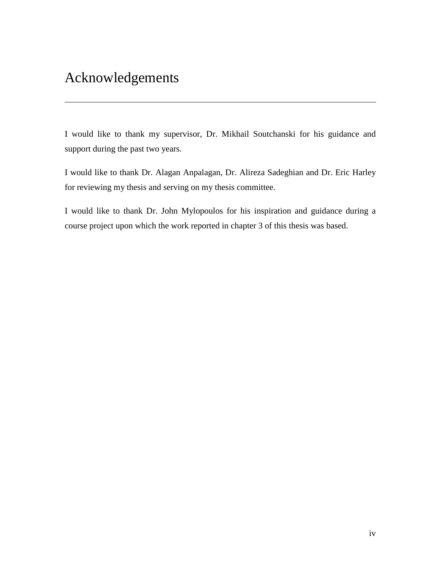## Acknowledgements

I would like to thank my supervisor, Dr. Mikhail Soutchanski for his guidance and support during the past two years.

I would like to thank Dr. Alagan Anpalagan, Dr. Alireza Sadeghian and Dr. Eric Harley for reviewing my thesis and serving on my thesis committee.

I would like to thank Dr. John Mylopoulos for his inspiration and guidance during a course project upon which the work reported in chapter 3 of this thesis was based.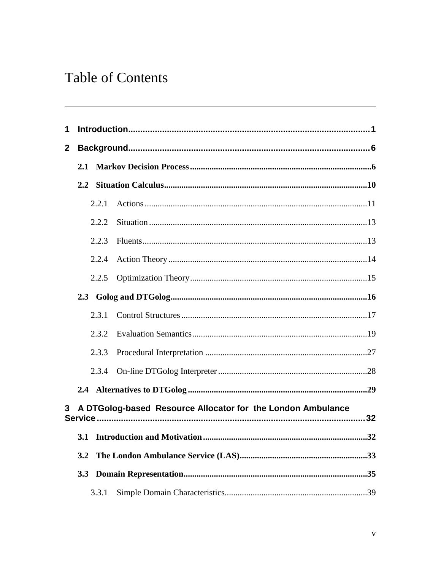## **Table of Contents**

| 1              |               |       |                                                             |     |
|----------------|---------------|-------|-------------------------------------------------------------|-----|
| $\mathbf{2}$   |               |       |                                                             |     |
|                |               |       |                                                             |     |
|                | $2.2^{\circ}$ |       |                                                             |     |
|                |               |       |                                                             |     |
|                |               | 2.2.1 |                                                             |     |
|                |               | 2.2.2 |                                                             |     |
|                |               | 2.2.3 |                                                             |     |
|                |               | 2.2.4 |                                                             |     |
|                |               | 2.2.5 |                                                             |     |
|                |               |       |                                                             |     |
|                |               | 2.3.1 |                                                             |     |
|                |               | 2.3.2 |                                                             |     |
|                |               | 2.3.3 |                                                             |     |
|                |               | 2.3.4 |                                                             |     |
|                |               |       |                                                             |     |
| 3 <sup>1</sup> |               |       | A DTGolog-based Resource Allocator for the London Ambulance |     |
|                |               |       |                                                             |     |
|                |               |       |                                                             | .32 |
|                | 3.2           |       |                                                             |     |
|                | 3.3           |       |                                                             |     |
|                |               | 3.3.1 |                                                             |     |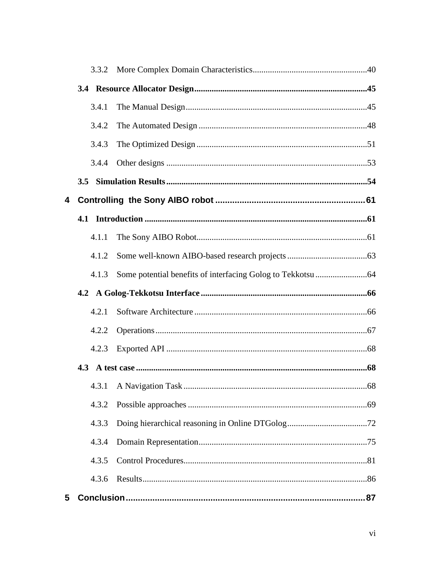|   | 3.4.1 |    |
|---|-------|----|
|   | 3.4.2 |    |
|   | 3.4.3 |    |
|   | 3.4.4 |    |
|   |       |    |
| 4 |       |    |
|   |       |    |
|   | 4.1.1 |    |
|   | 4.1.2 |    |
|   | 4.1.3 |    |
|   |       |    |
|   | 4.2.1 |    |
|   | 4.2.2 |    |
|   | 4.2.3 |    |
|   |       |    |
|   |       | 68 |
|   | 4.3.2 |    |
|   | 4.3.3 |    |
|   | 4.3.4 |    |
|   | 4.3.5 |    |
|   | 4.3.6 |    |
| 5 |       |    |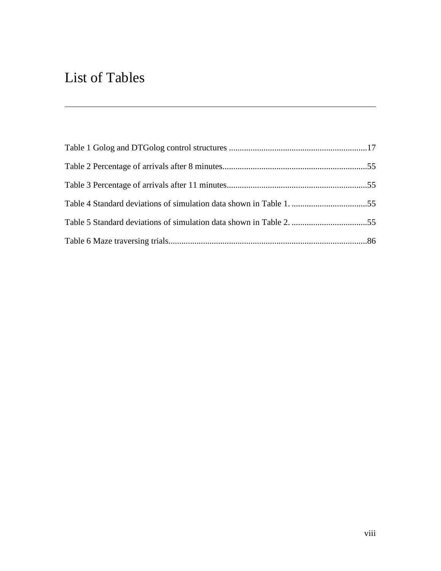## List of Tables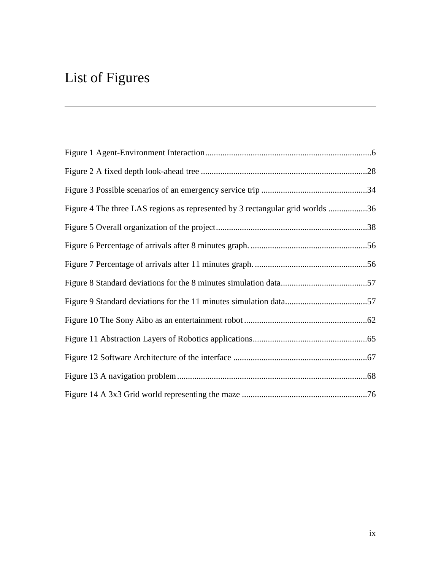## List of Figures

| Figure 4 The three LAS regions as represented by 3 rectangular grid worlds 36 |  |
|-------------------------------------------------------------------------------|--|
|                                                                               |  |
|                                                                               |  |
|                                                                               |  |
|                                                                               |  |
|                                                                               |  |
|                                                                               |  |
|                                                                               |  |
|                                                                               |  |
|                                                                               |  |
|                                                                               |  |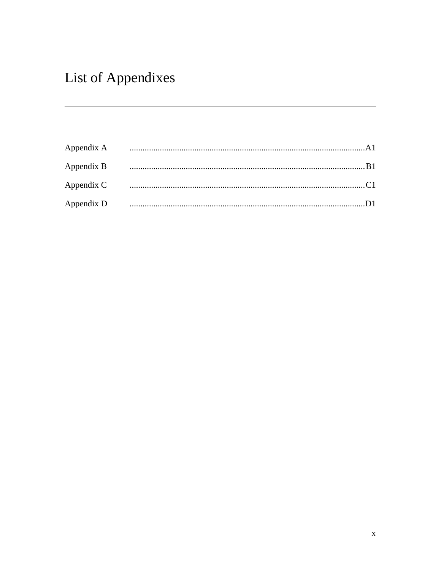## List of Appendixes

| Appendix A |  |
|------------|--|
| Appendix B |  |
| Appendix C |  |
| Appendix D |  |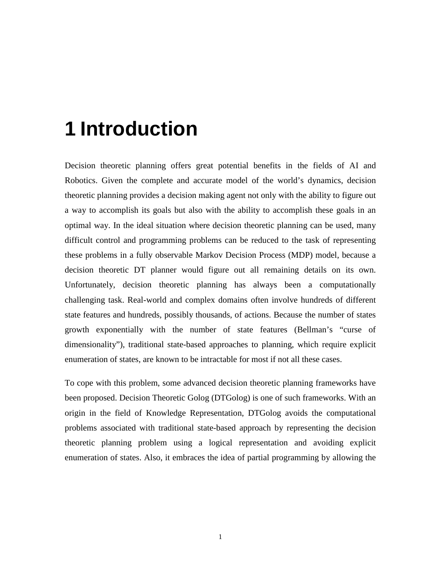# **1 Introduction**

Decision theoretic planning offers great potential benefits in the fields of AI and Robotics. Given the complete and accurate model of the world's dynamics, decision theoretic planning provides a decision making agent not only with the ability to figure out a way to accomplish its goals but also with the ability to accomplish these goals in an optimal way. In the ideal situation where decision theoretic planning can be used, many difficult control and programming problems can be reduced to the task of representing these problems in a fully observable Markov Decision Process (MDP) model, because a decision theoretic DT planner would figure out all remaining details on its own. Unfortunately, decision theoretic planning has always been a computationally challenging task. Real-world and complex domains often involve hundreds of different state features and hundreds, possibly thousands, of actions. Because the number of states growth exponentially with the number of state features (Bellman's "curse of dimensionality"), traditional state-based approaches to planning, which require explicit enumeration of states, are known to be intractable for most if not all these cases.

To cope with this problem, some advanced decision theoretic planning frameworks have been proposed. Decision Theoretic Golog (DTGolog) is one of such frameworks. With an origin in the field of Knowledge Representation, DTGolog avoids the computational problems associated with traditional state-based approach by representing the decision theoretic planning problem using a logical representation and avoiding explicit enumeration of states. Also, it embraces the idea of partial programming by allowing the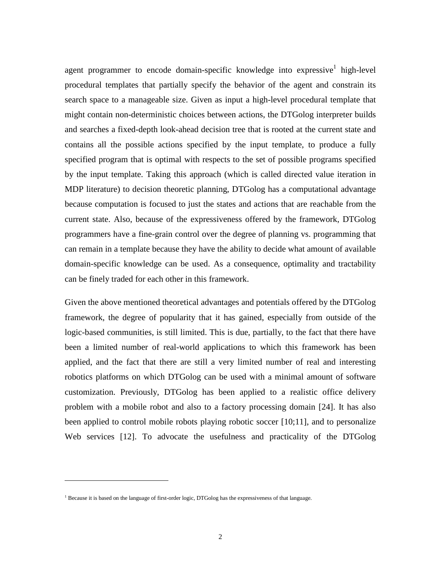agent programmer to encode domain-specific knowledge into expressive<sup>1</sup> high-level procedural templates that partially specify the behavior of the agent and constrain its search space to a manageable size. Given as input a high-level procedural template that might contain non-deterministic choices between actions, the DTGolog interpreter builds and searches a fixed-depth look-ahead decision tree that is rooted at the current state and contains all the possible actions specified by the input template, to produce a fully specified program that is optimal with respects to the set of possible programs specified by the input template. Taking this approach (which is called directed value iteration in MDP literature) to decision theoretic planning, DTGolog has a computational advantage because computation is focused to just the states and actions that are reachable from the current state. Also, because of the expressiveness offered by the framework, DTGolog programmers have a fine-grain control over the degree of planning vs. programming that can remain in a template because they have the ability to decide what amount of available domain-specific knowledge can be used. As a consequence, optimality and tractability can be finely traded for each other in this framework.

Given the above mentioned theoretical advantages and potentials offered by the DTGolog framework, the degree of popularity that it has gained, especially from outside of the logic-based communities, is still limited. This is due, partially, to the fact that there have been a limited number of real-world applications to which this framework has been applied, and the fact that there are still a very limited number of real and interesting robotics platforms on which DTGolog can be used with a minimal amount of software customization. Previously, DTGolog has been applied to a realistic office delivery problem with a mobile robot and also to a factory processing domain [24]. It has also been applied to control mobile robots playing robotic soccer [10;11], and to personalize Web services [12]. To advocate the usefulness and practicality of the DTGolog

<u>.</u>

<sup>&</sup>lt;sup>1</sup> Because it is based on the language of first-order logic, DTGolog has the expressiveness of that language.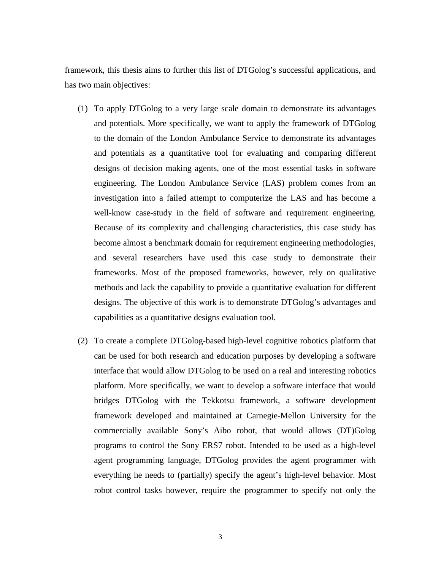framework, this thesis aims to further this list of DTGolog's successful applications, and has two main objectives:

- (1) To apply DTGolog to a very large scale domain to demonstrate its advantages and potentials. More specifically, we want to apply the framework of DTGolog to the domain of the London Ambulance Service to demonstrate its advantages and potentials as a quantitative tool for evaluating and comparing different designs of decision making agents, one of the most essential tasks in software engineering. The London Ambulance Service (LAS) problem comes from an investigation into a failed attempt to computerize the LAS and has become a well-know case-study in the field of software and requirement engineering. Because of its complexity and challenging characteristics, this case study has become almost a benchmark domain for requirement engineering methodologies, and several researchers have used this case study to demonstrate their frameworks. Most of the proposed frameworks, however, rely on qualitative methods and lack the capability to provide a quantitative evaluation for different designs. The objective of this work is to demonstrate DTGolog's advantages and capabilities as a quantitative designs evaluation tool.
- (2) To create a complete DTGolog-based high-level cognitive robotics platform that can be used for both research and education purposes by developing a software interface that would allow DTGolog to be used on a real and interesting robotics platform. More specifically, we want to develop a software interface that would bridges DTGolog with the Tekkotsu framework, a software development framework developed and maintained at Carnegie-Mellon University for the commercially available Sony's Aibo robot, that would allows (DT)Golog programs to control the Sony ERS7 robot. Intended to be used as a high-level agent programming language, DTGolog provides the agent programmer with everything he needs to (partially) specify the agent's high-level behavior. Most robot control tasks however, require the programmer to specify not only the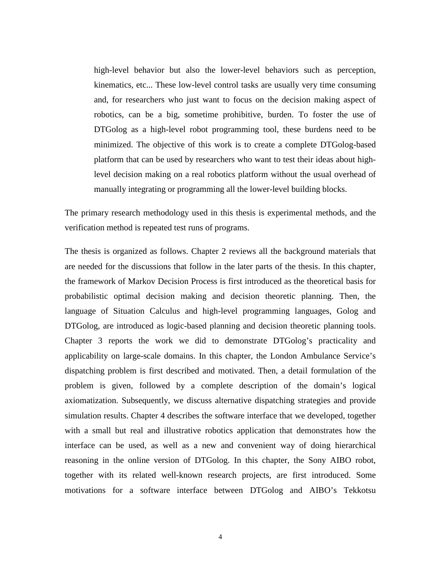high-level behavior but also the lower-level behaviors such as perception, kinematics, etc... These low-level control tasks are usually very time consuming and, for researchers who just want to focus on the decision making aspect of robotics, can be a big, sometime prohibitive, burden. To foster the use of DTGolog as a high-level robot programming tool, these burdens need to be minimized. The objective of this work is to create a complete DTGolog-based platform that can be used by researchers who want to test their ideas about highlevel decision making on a real robotics platform without the usual overhead of manually integrating or programming all the lower-level building blocks.

The primary research methodology used in this thesis is experimental methods, and the verification method is repeated test runs of programs.

The thesis is organized as follows. Chapter 2 reviews all the background materials that are needed for the discussions that follow in the later parts of the thesis. In this chapter, the framework of Markov Decision Process is first introduced as the theoretical basis for probabilistic optimal decision making and decision theoretic planning. Then, the language of Situation Calculus and high-level programming languages, Golog and DTGolog, are introduced as logic-based planning and decision theoretic planning tools. Chapter 3 reports the work we did to demonstrate DTGolog's practicality and applicability on large-scale domains. In this chapter, the London Ambulance Service's dispatching problem is first described and motivated. Then, a detail formulation of the problem is given, followed by a complete description of the domain's logical axiomatization. Subsequently, we discuss alternative dispatching strategies and provide simulation results. Chapter 4 describes the software interface that we developed, together with a small but real and illustrative robotics application that demonstrates how the interface can be used, as well as a new and convenient way of doing hierarchical reasoning in the online version of DTGolog. In this chapter, the Sony AIBO robot, together with its related well-known research projects, are first introduced. Some motivations for a software interface between DTGolog and AIBO's Tekkotsu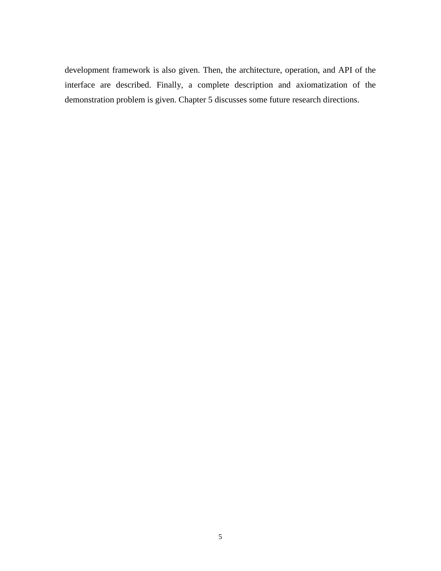development framework is also given. Then, the architecture, operation, and API of the interface are described. Finally, a complete description and axiomatization of the demonstration problem is given. Chapter 5 discusses some future research directions.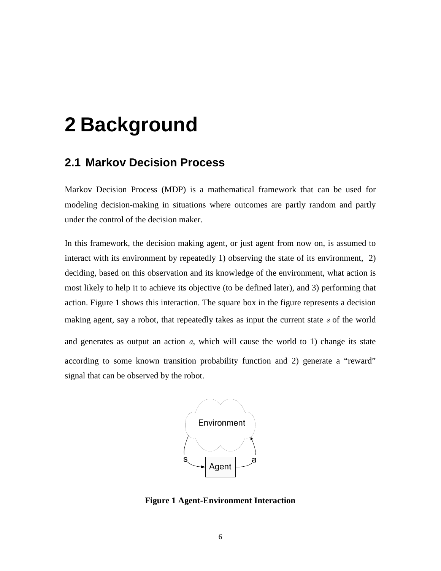# **2 Background**

### **2.1 Markov Decision Process**

Markov Decision Process (MDP) is a mathematical framework that can be used for modeling decision-making in situations where outcomes are partly random and partly under the control of the decision maker.

In this framework, the decision making agent, or just agent from now on, is assumed to interact with its environment by repeatedly 1) observing the state of its environment, 2) deciding, based on this observation and its knowledge of the environment, what action is most likely to help it to achieve its objective (to be defined later), and 3) performing that action. Figure 1 shows this interaction. The square box in the figure represents a decision making agent, say a robot, that repeatedly takes as input the current state  $s$  of the world and generates as output an action  $a$ , which will cause the world to 1) change its state according to some known transition probability function and 2) generate a "reward" signal that can be observed by the robot.



**Figure 1 Agent-Environment Interaction**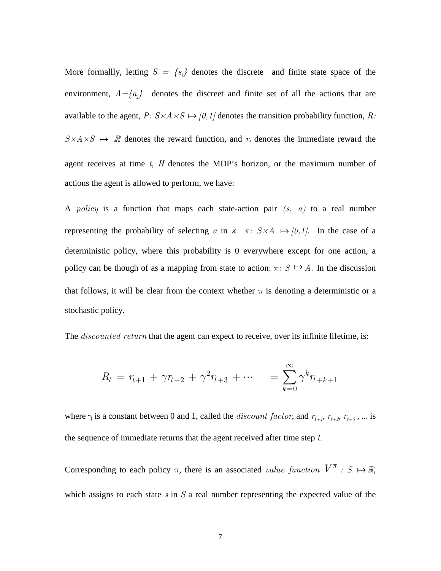More formallly, letting  $S = \{s_i\}$  denotes the discrete and finite state space of the environment,  $A = \{a_i\}$  denotes the discreet and finite set of all the actions that are available to the agent,  $P: S \times A \times S \mapsto [0,1]$  denotes the transition probability function, R:  $S \times A \times S \rightarrow \mathbb{R}$  denotes the reward function, and  $r_t$  denotes the immediate reward the agent receives at time  $t$ ,  $H$  denotes the MDP's horizon, or the maximum number of actions the agent is allowed to perform, we have:

A policy is a function that maps each state-action pair  $(s, a)$  to a real number representing the probability of selecting a in s:  $\pi$ :  $S \times A \rightarrow [0,1]$ . In the case of a deterministic policy, where this probability is 0 everywhere except for one action, a policy can be though of as a mapping from state to action:  $\pi: S \mapsto A$ . In the discussion that follows, it will be clear from the context whether  $\pi$  is denoting a deterministic or a stochastic policy.

The *discounted return* that the agent can expect to receive, over its infinite lifetime, is:

$$
R_t = r_{t+1} + \gamma r_{t+2} + \gamma^2 r_{t+3} + \cdots = \sum_{k=0}^{\infty} \gamma^k r_{t+k+1}
$$

where  $\gamma$  is a constant between 0 and 1, called the *discount factor*, and  $r_{t+1}$ ,  $r_{t+2}$ ,  $r_{t+3}$ , ... is the sequence of immediate returns that the agent received after time step  $t$ .

Corresponding to each policy  $\pi$ , there is an associated value function  $V^{\pi}$ :  $S \mapsto \mathbb{R}$ , which assigns to each state  $s$  in  $S$  a real number representing the expected value of the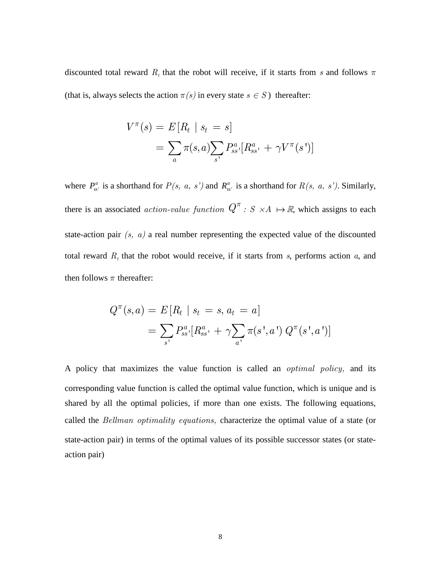discounted total reward  $R_t$  that the robot will receive, if it starts from s and follows  $\pi$ (that is, always selects the action  $\pi(s)$  in every state  $s \in S$ ) thereafter:

$$
V^{\pi}(s) = E[R_t | s_t = s]
$$
  
=  $\sum_a \pi(s, a) \sum_{s'} P_{ss'}^a [R_{ss'}^a + \gamma V^{\pi}(s')]$ 

where  $P_{ss}^a$  is a shorthand for  $P(s, a, s')$  and  $R_{ss}^a$  is a shorthand for  $R(s, a, s')$ . Similarly, there is an associated *action-value function*  $Q^{\pi}$ :  $S \times A \mapsto \mathbb{R}$ , which assigns to each state-action pair  $(s, a)$  a real number representing the expected value of the discounted total reward  $R_t$  that the robot would receive, if it starts from s, performs action a, and then follows  $\pi$  thereafter:

$$
Q^{\pi}(s, a) = E[R_t | s_t = s, a_t = a]
$$
  
= 
$$
\sum_{s'} P_{ss'}^{a} [R_{ss'}^{a} + \gamma \sum_{a'} \pi(s', a') Q^{\pi}(s', a')]
$$

A policy that maximizes the value function is called an *optimal policy*, and its corresponding value function is called the optimal value function, which is unique and is shared by all the optimal policies, if more than one exists. The following equations, called the Bellman optimality equations, characterize the optimal value of a state (or state-action pair) in terms of the optimal values of its possible successor states (or stateaction pair)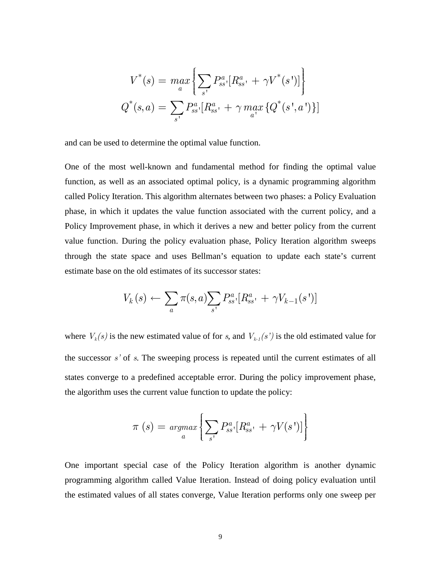$$
V^*(s) = \max_{a} \left\{ \sum_{s'} P_{ss}^a [R_{ss}^a + \gamma V^*(s')] \right\}
$$

$$
Q^*(s, a) = \sum_{s'} P_{ss'}^a [R_{ss'}^a + \gamma \max_{a'} \{Q^*(s', a')\}]
$$

and can be used to determine the optimal value function.

One of the most well-known and fundamental method for finding the optimal value function, as well as an associated optimal policy, is a dynamic programming algorithm called Policy Iteration. This algorithm alternates between two phases: a Policy Evaluation phase, in which it updates the value function associated with the current policy, and a Policy Improvement phase, in which it derives a new and better policy from the current value function. During the policy evaluation phase, Policy Iteration algorithm sweeps through the state space and uses Bellman's equation to update each state's current estimate base on the old estimates of its successor states:

$$
V_k(s) \leftarrow \sum_{a} \pi(s, a) \sum_{s'} P_{ss'}^{a} [R_{ss'}^{a} + \gamma V_{k-1}(s')]
$$

where  $V_k(s)$  is the new estimated value of for s, and  $V_{k-1}(s')$  is the old estimated value for the successor  $s'$  of  $s$ . The sweeping process is repeated until the current estimates of all states converge to a predefined acceptable error. During the policy improvement phase, the algorithm uses the current value function to update the policy:

$$
\pi(s) = \underset{a}{\operatorname{argmax}} \left\{ \sum_{s'} P_{ss'}^a [R_{ss'}^a + \gamma V(s')] \right\}
$$

One important special case of the Policy Iteration algorithm is another dynamic programming algorithm called Value Iteration. Instead of doing policy evaluation until the estimated values of all states converge, Value Iteration performs only one sweep per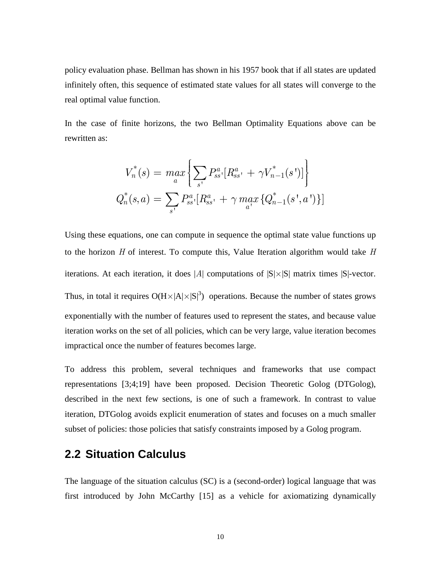policy evaluation phase. Bellman has shown in his 1957 book that if all states are updated infinitely often, this sequence of estimated state values for all states will converge to the real optimal value function.

In the case of finite horizons, the two Bellman Optimality Equations above can be rewritten as:

$$
V_n^*(s) = \max_a \left\{ \sum_{s'} P_{ss'}^a [R_{ss'}^a + \gamma V_{n-1}^*(s')] \right\}
$$
  

$$
Q_n^*(s, a) = \sum_{s'} P_{ss'}^a [R_{ss'}^a + \gamma \max_{a'} \{Q_{n-1}^*(s', a')\}]
$$

Using these equations, one can compute in sequence the optimal state value functions up to the horizon  $H$  of interest. To compute this, Value Iteration algorithm would take  $H$ iterations. At each iteration, it does  $|A|$  computations of  $|S| \times |S|$  matrix times  $|S|$ -vector. Thus, in total it requires  $O(H \times |A| \times |S|^3)$  operations. Because the number of states grows exponentially with the number of features used to represent the states, and because value iteration works on the set of all policies, which can be very large, value iteration becomes impractical once the number of features becomes large.

To address this problem, several techniques and frameworks that use compact representations [3;4;19] have been proposed. Decision Theoretic Golog (DTGolog), described in the next few sections, is one of such a framework. In contrast to value iteration, DTGolog avoids explicit enumeration of states and focuses on a much smaller subset of policies: those policies that satisfy constraints imposed by a Golog program.

### **2.2 Situation Calculus**

The language of the situation calculus (SC) is a (second-order) logical language that was first introduced by John McCarthy [15] as a vehicle for axiomatizing dynamically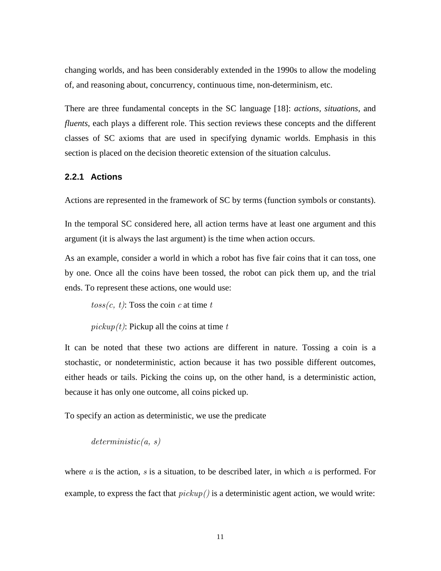changing worlds, and has been considerably extended in the 1990s to allow the modeling of, and reasoning about, concurrency, continuous time, non-determinism, etc.

There are three fundamental concepts in the SC language [18]: *actions*, *situations*, and *fluents*, each plays a different role. This section reviews these concepts and the different classes of SC axioms that are used in specifying dynamic worlds. Emphasis in this section is placed on the decision theoretic extension of the situation calculus.

#### **2.2.1 Actions**

Actions are represented in the framework of SC by terms (function symbols or constants).

In the temporal SC considered here, all action terms have at least one argument and this argument (it is always the last argument) is the time when action occurs.

As an example, consider a world in which a robot has five fair coins that it can toss, one by one. Once all the coins have been tossed, the robot can pick them up, and the trial ends. To represent these actions, one would use:

 $toss(c, t)$ : Toss the coin c at time t

 $pickup(t)$ : Pickup all the coins at time t

It can be noted that these two actions are different in nature. Tossing a coin is a stochastic, or nondeterministic, action because it has two possible different outcomes, either heads or tails. Picking the coins up, on the other hand, is a deterministic action, because it has only one outcome, all coins picked up.

To specify an action as deterministic, we use the predicate

 $deterministic(a, s)$ 

where  $a$  is the action,  $s$  is a situation, to be described later, in which  $a$  is performed. For example, to express the fact that  $pickup()$  is a deterministic agent action, we would write: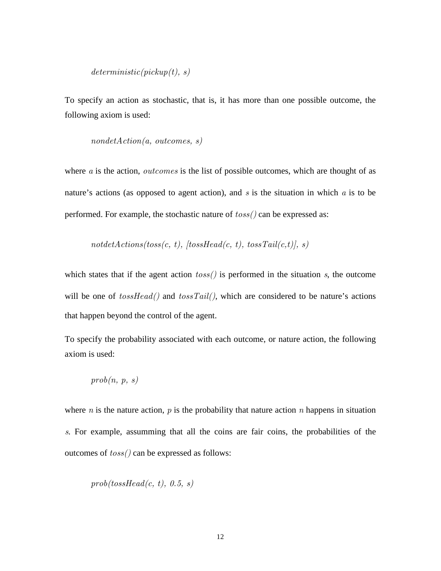#### $deterministic(pickup(t), s)$

To specify an action as stochastic, that is, it has more than one possible outcome, the following axiom is used:

$$
nondetAction(a,\ outcomes,\ s)
$$

where  $a$  is the action, *outcomes* is the list of possible outcomes, which are thought of as nature's actions (as opposed to agent action), and  $s$  is the situation in which  $a$  is to be performed. For example, the stochastic nature of  $toss()$  can be expressed as:

 $not detActions(toss(c, t), [tossHead(c, t), tossTail(c, t)], s)$ 

which states that if the agent action  $toss()$  is performed in the situation s, the outcome will be one of  $tossHead()$  and  $tossTail(),$  which are considered to be nature's actions that happen beyond the control of the agent.

To specify the probability associated with each outcome, or nature action, the following axiom is used:

$$
prob(n,\ p,\ s)
$$

where *n* is the nature action, *p* is the probability that nature action *n* happens in situation s. For example, assumming that all the coins are fair coins, the probabilities of the outcomes of toss() can be expressed as follows:

$$
prob(tossHead(c,\ t),\ 0.5,\ s)
$$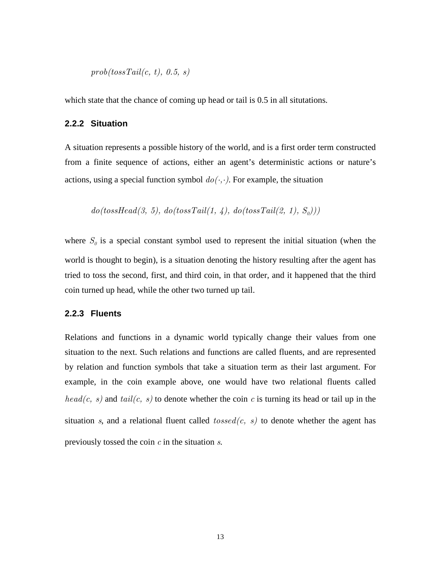$prob(tossTail(c, t), 0.5, s)$ 

which state that the chance of coming up head or tail is 0.5 in all situtations.

#### **2.2.2 Situation**

A situation represents a possible history of the world, and is a first order term constructed from a finite sequence of actions, either an agent's deterministic actions or nature's actions, using a special function symbol  $do(·, ·)$ . For example, the situation

$$
do (tossHead(3,\;5),\; do (tossTail(1,\;4),\; do (tossTail(2,\;1),\;S_0)))
$$

where  $S_0$  is a special constant symbol used to represent the initial situation (when the world is thought to begin), is a situation denoting the history resulting after the agent has tried to toss the second, first, and third coin, in that order, and it happened that the third coin turned up head, while the other two turned up tail.

#### **2.2.3 Fluents**

Relations and functions in a dynamic world typically change their values from one situation to the next. Such relations and functions are called fluents, and are represented by relation and function symbols that take a situation term as their last argument. For example, in the coin example above, one would have two relational fluents called  $head(c, s)$  and  $tail(c, s)$  to denote whether the coin c is turning its head or tail up in the situation s, and a relational fluent called  $tossed(c, s)$  to denote whether the agent has previously tossed the coin  $c$  in the situation  $s$ .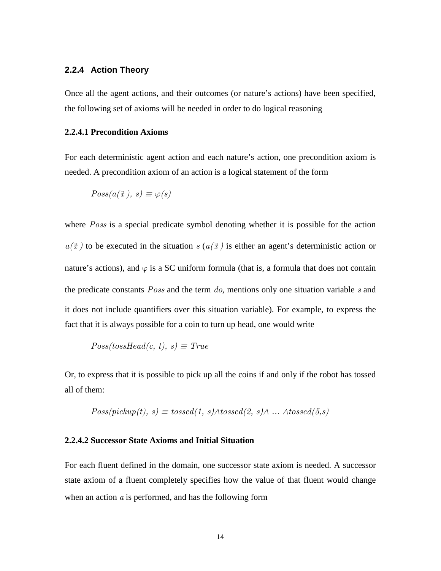#### **2.2.4 Action Theory**

Once all the agent actions, and their outcomes (or nature's actions) have been specified, the following set of axioms will be needed in order to do logical reasoning

#### **2.2.4.1 Precondition Axioms**

For each deterministic agent action and each nature's action, one precondition axiom is needed. A precondition axiom of an action is a logical statement of the form

$$
Poss(a(\vec{x}), s) \equiv \varphi(s)
$$

where *Poss* is a special predicate symbol denoting whether it is possible for the action  $a(\vec{x})$  to be executed in the situation s  $(a(\vec{x}))$  is either an agent's deterministic action or nature's actions), and  $\varphi$  is a SC uniform formula (that is, a formula that does not contain the predicate constants  $Poss$  and the term  $do$ , mentions only one situation variable s and it does not include quantifiers over this situation variable). For example, to express the fact that it is always possible for a coin to turn up head, one would write

 $Poss(tossHead(c, t), s) \equiv True$ 

Or, to express that it is possible to pick up all the coins if and only if the robot has tossed all of them:

$$
Poss(pickup(t), s) \equiv tossed(1, s) \land tossed(2, s) \land ... \land tossed(5, s)
$$

#### **2.2.4.2 Successor State Axioms and Initial Situation**

For each fluent defined in the domain, one successor state axiom is needed. A successor state axiom of a fluent completely specifies how the value of that fluent would change when an action  $\alpha$  is performed, and has the following form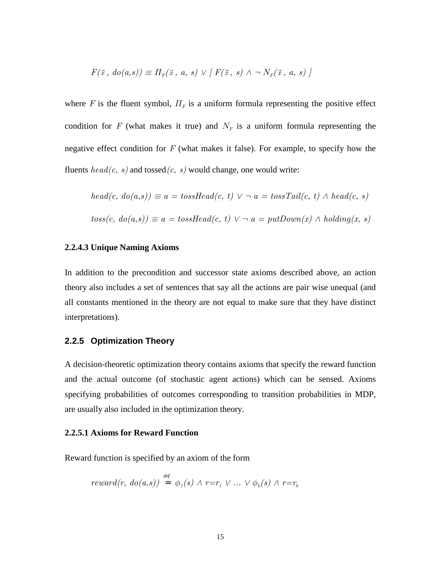$$
F(\vec{x}, d o(a, s)) \equiv \Pi_F(\vec{x}, a, s) \lor [F(\vec{x}, s) \land \neg N_F(\vec{x}, a, s)]
$$

where F is the fluent symbol,  $\Pi_F$  is a uniform formula representing the positive effect condition for F (what makes it true) and  $N_F$  is a uniform formula representing the negative effect condition for  $F$  (what makes it false). For example, to specify how the fluents  $head(c, s)$  and tossed $(c, s)$  would change, one would write:

$$
head(c, do(a, s)) \equiv a = tossHead(c, t) \lor \neg a = tossTail(c, t) \land head(c, s)
$$

$$
toss(c, do(a, s)) \equiv a = tossHead(c, t) \lor \neg a = putDown(x) \land holding(x, s)
$$

#### **2.2.4.3 Unique Naming Axioms**

In addition to the precondition and successor state axioms described above, an action theory also includes a set of sentences that say all the actions are pair wise unequal (and all constants mentioned in the theory are not equal to make sure that they have distinct interpretations).

#### **2.2.5 Optimization Theory**

A decision-theoretic optimization theory contains axioms that specify the reward function and the actual outcome (of stochastic agent actions) which can be sensed. Axioms specifying probabilities of outcomes corresponding to transition probabilities in MDP, are usually also included in the optimization theory.

#### **2.2.5.1 Axioms for Reward Function**

Reward function is specified by an axiom of the form

$$
reward(r, do(a, s)) = \phi_1(s) \land r = r_1 \lor ... \lor \phi_k(s) \land r = r_k
$$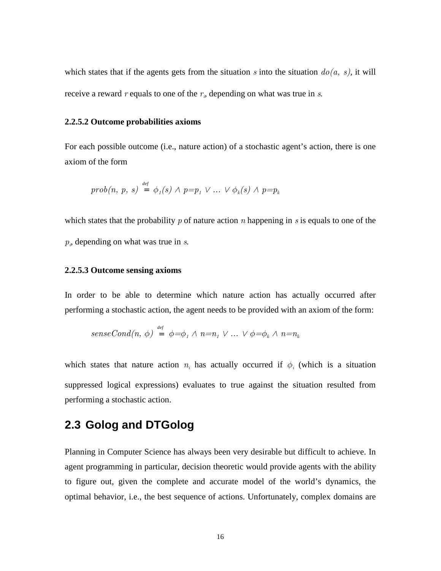which states that if the agents gets from the situation s into the situation  $do(a, s)$ , it will receive a reward r equals to one of the  $r_i$ , depending on what was true in s.

#### **2.2.5.2 Outcome probabilities axioms**

For each possible outcome (i.e., nature action) of a stochastic agent's action, there is one axiom of the form

$$
prob(n, p, s) \stackrel{\text{def}}{=} \phi_1(s) \land p = p_1 \lor ... \lor \phi_k(s) \land p = p_k
$$

which states that the probability  $p$  of nature action  $n$  happening in  $s$  is equals to one of the  $p_i$ , depending on what was true in  $s$ .

#### **2.2.5.3 Outcome sensing axioms**

In order to be able to determine which nature action has actually occurred after performing a stochastic action, the agent needs to be provided with an axiom of the form:

$$
senseCond(n, \phi) \stackrel{\text{def}}{=} \phi = \phi_1 \land n = n_1 \lor \dots \lor \phi = \phi_k \land n = n_k
$$

which states that nature action  $n_i$  has actually occurred if  $\phi_i$  (which is a situation suppressed logical expressions) evaluates to true against the situation resulted from performing a stochastic action.

### **2.3 Golog and DTGolog**

Planning in Computer Science has always been very desirable but difficult to achieve. In agent programming in particular, decision theoretic would provide agents with the ability to figure out, given the complete and accurate model of the world's dynamics, the optimal behavior, i.e., the best sequence of actions. Unfortunately, complex domains are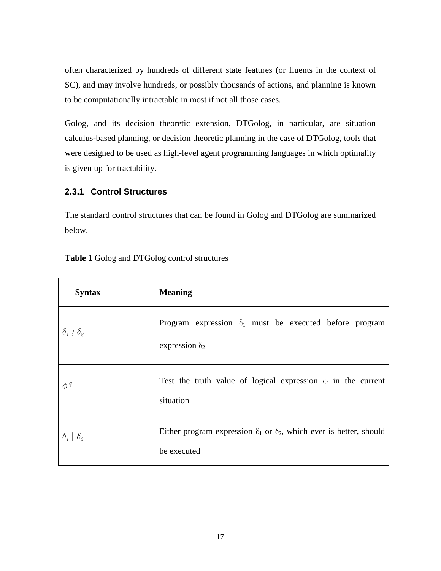often characterized by hundreds of different state features (or fluents in the context of SC), and may involve hundreds, or possibly thousands of actions, and planning is known to be computationally intractable in most if not all those cases.

Golog, and its decision theoretic extension, DTGolog, in particular, are situation calculus-based planning, or decision theoretic planning in the case of DTGolog, tools that were designed to be used as high-level agent programming languages in which optimality is given up for tractability.

#### **2.3.1 Control Structures**

The standard control structures that can be found in Golog and DTGolog are summarized below.

| <b>Syntax</b>                                 | <b>Meaning</b>                                                                                   |
|-----------------------------------------------|--------------------------------------------------------------------------------------------------|
| $\delta_i$ ; $\delta_{\scriptscriptstyle{2}}$ | Program expression $\delta_1$ must be executed before program<br>expression $\delta_2$           |
| $\phi$ ?                                      | Test the truth value of logical expression $\phi$ in the current<br>situation                    |
| $\delta_{1}$ $\delta_{2}$                     | Either program expression $\delta_1$ or $\delta_2$ , which ever is better, should<br>be executed |

**Table 1** Golog and DTGolog control structures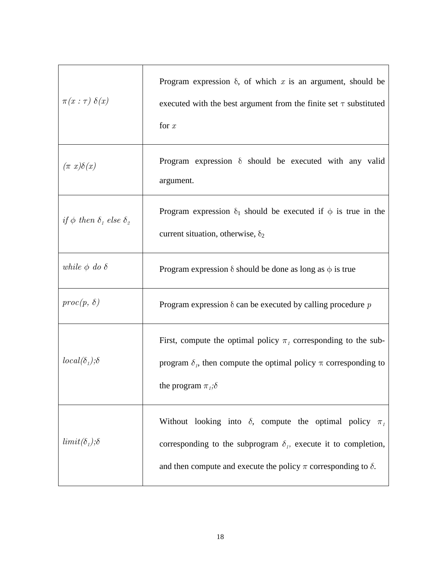| $\pi(x:\tau) \delta(x)$                   | Program expression $\delta$ , of which x is an argument, should be<br>executed with the best argument from the finite set $\tau$ substituted<br>for $x$                                                                   |
|-------------------------------------------|---------------------------------------------------------------------------------------------------------------------------------------------------------------------------------------------------------------------------|
| $(\pi x)\delta(x)$                        | Program expression $\delta$ should be executed with any valid<br>argument.                                                                                                                                                |
| if $\phi$ then $\delta_1$ else $\delta_2$ | Program expression $\delta_1$ should be executed if $\phi$ is true in the<br>current situation, otherwise, $\delta_2$                                                                                                     |
| while $\phi$ do $\delta$                  | Program expression $\delta$ should be done as long as $\phi$ is true                                                                                                                                                      |
| $proc(p, \delta)$                         | Program expression $\delta$ can be executed by calling procedure p                                                                                                                                                        |
| $local(\delta_1); \delta$                 | First, compute the optimal policy $\pi_t$ corresponding to the sub-<br>program $\delta_i$ , then compute the optimal policy $\pi$ corresponding to<br>the program $\pi_i$ ; $\delta$                                      |
| $limit(\delta_1); \delta$                 | Without looking into $\delta$ , compute the optimal policy $\pi_1$<br>corresponding to the subprogram $\delta_i$ , execute it to completion,<br>and then compute and execute the policy $\pi$ corresponding to $\delta$ . |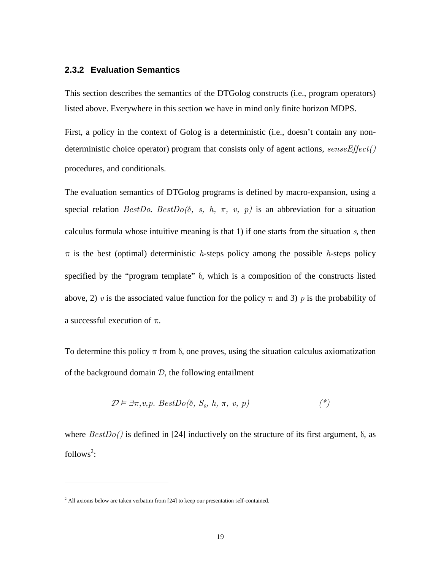#### **2.3.2 Evaluation Semantics**

This section describes the semantics of the DTGolog constructs (i.e., program operators) listed above. Everywhere in this section we have in mind only finite horizon MDPS.

First, a policy in the context of Golog is a deterministic (i.e., doesn't contain any nondeterministic choice operator) program that consists only of agent actions,  $senseEffect()$ procedures, and conditionals.

The evaluation semantics of DTGolog programs is defined by macro-expansion, using a special relation  $BestDo$ .  $BestDo(δ, s, h, π, v, p)$  is an abbreviation for a situation calculus formula whose intuitive meaning is that 1) if one starts from the situation  $s$ , then  $\pi$  is the best (optimal) deterministic *h*-steps policy among the possible *h*-steps policy specified by the "program template" δ, which is a composition of the constructs listed above, 2) v is the associated value function for the policy  $\pi$  and 3) p is the probability of a successful execution of π.

To determine this policy  $\pi$  from  $\delta$ , one proves, using the situation calculus axiomatization of the background domain  $D$ , the following entailment

$$
\mathcal{D} \models \exists \pi, v, p. \; BestDo(\delta, \; S_o, \; h, \; \pi, \; v, \; p) \tag{*}
$$

where  $BestDo()$  is defined in [24] inductively on the structure of its first argument,  $\delta$ , as follows<sup>2</sup>:

<u>.</u>

 $2$  All axioms below are taken verbatim from [24] to keep our presentation self-contained.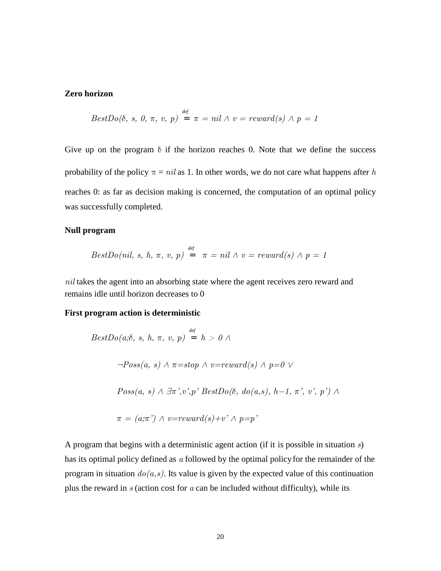#### **Zero horizon**

$$
BestDo(δ, s, 0, π, v, p) = π = nil ∧ v = reward(s) ∧ p = 1
$$

Give up on the program  $\delta$  if the horizon reaches 0. Note that we define the success probability of the policy  $\pi = nil$  as 1. In other words, we do not care what happens after h reaches 0: as far as decision making is concerned, the computation of an optimal policy was successfully completed.

#### **Null program**

$$
BestDo(nil, s, h, \pi, v, p) = \pi = nil \land v = reward(s) \land p = 1
$$

nil takes the agent into an absorbing state where the agent receives zero reward and remains idle until horizon decreases to 0

*def*

#### **First program action is deterministic**

$$
BestDo(a; \delta, s, h, \pi, v, p) = h > 0 \land
$$
  
\n
$$
\neg Poss(a, s) \land \pi = stop \land v = reward(s) \land p = 0 \lor
$$
  
\n
$$
Poss(a, s) \land \exists \pi', v', p' BestDo(\delta, do(a, s), h-1, \pi', v', p') \land
$$
  
\n
$$
\pi = (a; \pi') \land v = reward(s) + v' \land p = p'
$$

A program that begins with a deterministic agent action (if it is possible in situation  $s$ ) has its optimal policy defined as  $a$  followed by the optimal policy for the remainder of the program in situation  $do(a, s)$ . Its value is given by the expected value of this continuation plus the reward in  $s$  (action cost for  $a$  can be included without difficulty), while its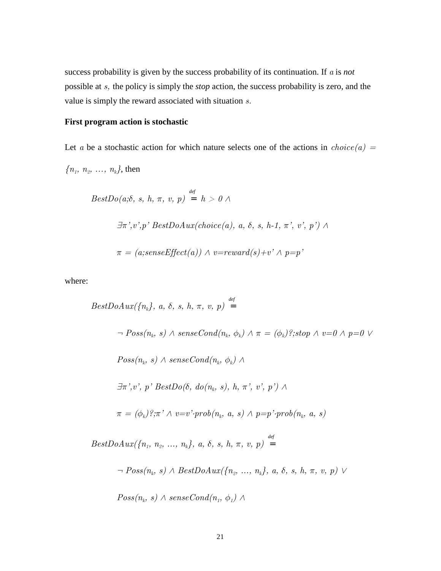success probability is given by the success probability of its continuation. If a is *not*  possible at s, the policy is simply the *stop* action, the success probability is zero, and the value is simply the reward associated with situation s.

#### **First program action is stochastic**

Let a be a stochastic action for which nature selects one of the actions in  $choice(a) =$  ${n_1, n_2, ..., n_k}$ , then

$$
BestDo(a; \delta, s, h, \pi, v, p) = h > 0 \land
$$
  

$$
\exists \pi', v', p' BestDoAux(choice(a), a, \delta, s, h-1, \pi', v', p') \land
$$
  

$$
\pi = (a; senseEffect(a)) \land v=reward(s)+v' \land p=p'
$$

where:

$$
BestDoAux({n_k}, a, \delta, s, h, \pi, v, p) =
$$
  
\n
$$
\neg \, Poss(n_k, s) \land senseCond(n_k, \phi_k) \land \pi = (\phi_k)?; stop \land v = 0 \land p = 0 \lor
$$
  
\n
$$
Poss(n_k, s) \land senseCond(n_k, \phi_k) \land
$$
  
\n
$$
\exists \pi', v', p' \, BestDo(\delta, do(n_k, s), h, \pi', v', p') \land
$$
  
\n
$$
\pi = (\phi_k)?; \pi' \land v = v' \cdot prob(n_k, a, s) \land p = p' \cdot prob(n_k, a, s)
$$
  
\n
$$
BestDoAux({n_1, n_2, ..., n_k}, a, \delta, s, h, \pi, v, p) =
$$
  
\n
$$
\neg \, Poss(n_k, s) \land BestDoAux({n_2, ..., n_k}, a, \delta, s, h, \pi, v, p) \lor
$$
  
\n
$$
Poss(n_k, s) \land senseCond(n_l, \phi_l) \land
$$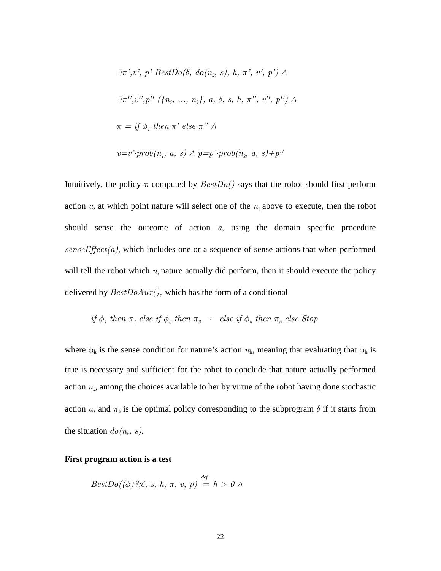$$
\exists \pi', v', p' BestDo(\delta, do(n_k, s), h, \pi', v', p') \land
$$
  

$$
\exists \pi'', v'', p'' \ (\{n_2, ..., n_k\}, a, \delta, s, h, \pi'', v'', p'') \land
$$
  

$$
\pi = if \ \phi_1 \ then \ \pi' \ else \ \pi'' \land
$$
  

$$
v = v' \cdot prob(n_1, a, s) \land p = p' \cdot prob(n_k, a, s) + p''
$$

Intuitively, the policy  $\pi$  computed by  $BestDo()$  says that the robot should first perform action  $a$ , at which point nature will select one of the  $n_i$  above to execute, then the robot should sense the outcome of action a, using the domain specific procedure  $senseEffect(a)$ , which includes one or a sequence of sense actions that when performed will tell the robot which  $n_i$  nature actually did perform, then it should execute the policy delivered by  $BestDoAux$ , which has the form of a conditional

if 
$$
\phi_1
$$
 then  $\pi_1$  else if  $\phi_2$  then  $\pi_2$  ... else if  $\phi_n$  then  $\pi_n$  else Stop

where  $\phi_k$  is the sense condition for nature's action  $n_k$ , meaning that evaluating that  $\phi_k$  is true is necessary and sufficient for the robot to conclude that nature actually performed action  $n_k$ , among the choices available to her by virtue of the robot having done stochastic action a, and  $\pi_k$  is the optimal policy corresponding to the subprogram  $\delta$  if it starts from the situation  $do(n_k, s)$ .

#### **First program action is a test**

$$
BestDo((\phi)?;\delta, s, h, \pi, v, p) = h > 0 \land
$$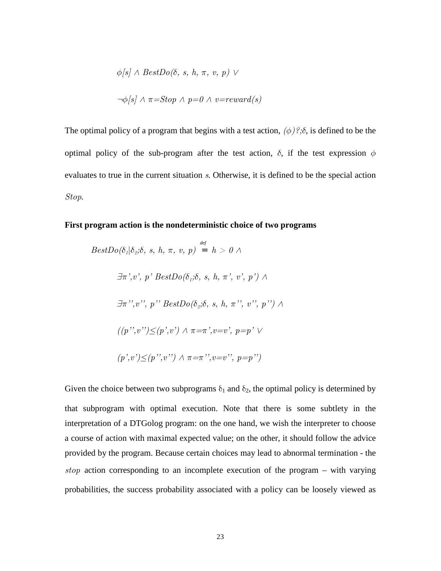$$
\phi[s] \land BestDo(\delta, s, h, \pi, v, p) \lor
$$
  

$$
\neg \phi[s] \land \pi = Stop \land p = 0 \land v = reward(s)
$$

The optimal policy of a program that begins with a test action,  $(\phi)$ ?; $\delta$ , is defined to be the optimal policy of the sub-program after the test action,  $\delta$ , if the test expression  $\phi$ evaluates to true in the current situation s. Otherwise, it is defined to be the special action Stop.

#### **First program action is the nondeterministic choice of two programs**

$$
BestDo(\delta_1 | \delta_2; \delta, s, h, \pi, v, p) = h > 0 \land
$$
  

$$
\exists \pi', v', p' BestDo(\delta_1; \delta, s, h, \pi', v', p') \land
$$
  

$$
\exists \pi'', v''', p'' BestDo(\delta_2; \delta, s, h, \pi'', v''', p'') \land
$$
  

$$
((p'', v'') \le (p', v') \land \pi = \pi', v = v', p = p' \lor
$$
  

$$
(p', v') \le (p'', v'') \land \pi = \pi'', v = v'', p = p'')
$$

Given the choice between two subprograms  $\delta_1$  and  $\delta_2$ , the optimal policy is determined by that subprogram with optimal execution. Note that there is some subtlety in the interpretation of a DTGolog program: on the one hand, we wish the interpreter to choose a course of action with maximal expected value; on the other, it should follow the advice provided by the program. Because certain choices may lead to abnormal termination - the stop action corresponding to an incomplete execution of the program – with varying probabilities, the success probability associated with a policy can be loosely viewed as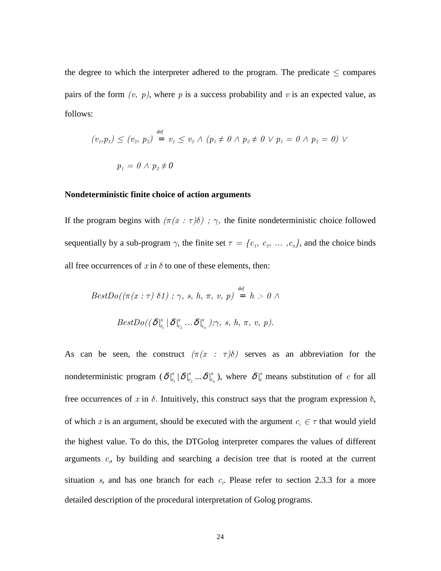the degree to which the interpreter adhered to the program. The predicate  $\leq$  compares pairs of the form  $(v, p)$ , where p is a success probability and v is an expected value, as follows:

$$
(v_1, p_1) \le (v_2, p_2) = v_1 \le v_2 \land (p_1 \ne 0 \land p_2 \ne 0 \lor p_1 = 0 \land p_2 = 0) \lor
$$
  

$$
p_1 = 0 \land p_2 \ne 0
$$

#### **Nondeterministic finite choice of action arguments**

If the program begins with  $(\pi(x : \tau)\delta)$ ;  $\gamma$ , the finite nondeterministic choice followed sequentially by a sub-program  $\gamma$ , the finite set  $\tau = \{c_1, c_2, \dots, c_n\}$ , and the choice binds all free occurrences of  $x$  in  $\delta$  to one of these elements, then:

$$
BestDo((\pi(x:\tau) \delta1); \gamma, s, h, \pi, v, p) \stackrel{\text{def}}{=} h > 0 \land
$$

$$
BestDo((\delta \mid_{c_1}^{x} | \delta \mid_{c_2}^{x} ... \delta \mid_{c_n}^{x}), \gamma, s, h, \pi, v, p).
$$

As can be seen, the construct  $(\pi(x : \tau)\delta)$  serves as an abbreviation for the nondeterministic program  $(\delta \vert_{c_1}^x \vert \delta \vert_{c_2}^x ... \delta \vert_{c_n}^x)$  $\delta \big|_{c_n}^x$ ), where  $\delta \big|_{c}^x$  means substitution of c for all free occurrences of x in  $\delta$ . Intuitively, this construct says that the program expression  $\delta$ , of which x is an argument, should be executed with the argument  $c_i \in \tau$  that would yield the highest value. To do this, the DTGolog interpreter compares the values of different arguments  $c_i$ , by building and searching a decision tree that is rooted at the current situation s, and has one branch for each  $c_i$ . Please refer to section 2.3.3 for a more detailed description of the procedural interpretation of Golog programs.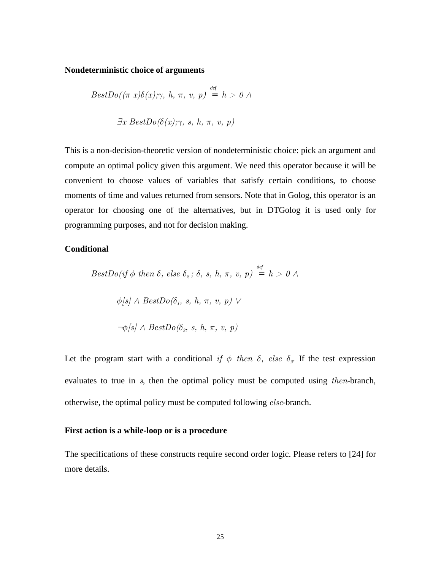#### **Nondeterministic choice of arguments**

$$
BestDo((\pi x)\delta(x);\gamma, h, \pi, v, p) \stackrel{\text{def}}{=} h > 0 \land
$$
  

$$
\exists x \; BestDo(\delta(x);\gamma, s, h, \pi, v, p)
$$

This is a non-decision-theoretic version of nondeterministic choice: pick an argument and compute an optimal policy given this argument. We need this operator because it will be convenient to choose values of variables that satisfy certain conditions, to choose moments of time and values returned from sensors. Note that in Golog, this operator is an operator for choosing one of the alternatives, but in DTGolog it is used only for programming purposes, and not for decision making.

#### **Conditional**

$$
BestDo(if \phi then \delta_1 else \delta_2; \delta, s, h, \pi, v, p) \stackrel{\text{def}}{=} h > 0 \land
$$
  
\n
$$
\phi[s] \land BestDo(\delta_1, s, h, \pi, v, p) \lor
$$
  
\n
$$
\neg \phi[s] \land BestDo(\delta_2, s, h, \pi, v, p)
$$

Let the program start with a conditional if  $\phi$  then  $\delta_1$  else  $\delta_2$ . If the test expression evaluates to true in s, then the optimal policy must be computed using then-branch, otherwise, the optimal policy must be computed following else-branch.

#### **First action is a while-loop or is a procedure**

The specifications of these constructs require second order logic. Please refers to [24] for more details.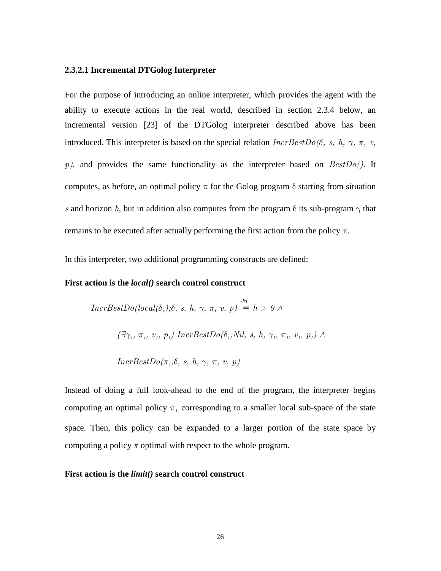#### **2.3.2.1 Incremental DTGolog Interpreter**

For the purpose of introducing an online interpreter, which provides the agent with the ability to execute actions in the real world, described in section 2.3.4 below, an incremental version [23] of the DTGolog interpreter described above has been introduced. This interpreter is based on the special relation  $IncrBestDo(6, s, h, \gamma, \pi, v, \gamma)$  $p$ ), and provides the same functionality as the interpreter based on  $BestDo()$ . It computes, as before, an optimal policy  $\pi$  for the Golog program  $\delta$  starting from situation s and horizon h, but in addition also computes from the program  $\delta$  its sub-program  $\gamma$  that remains to be executed after actually performing the first action from the policy π.

In this interpreter, two additional programming constructs are defined:

#### **First action is the** *local()* **search control construct**

$$
IncrBestDo(local(\delta_1);\delta, s, h, \gamma, \pi, v, p) = h > 0 \land
$$
  

$$
(\exists \gamma_1, \pi_1, v_1, p_1) IncrBestDo(\delta_1; Nil, s, h, \gamma_1, \pi_1, v_1, p_1) \land
$$
  

$$
IncrBestDo(\pi_1;\delta, s, h, \gamma, \pi, v, p)
$$

Instead of doing a full look-ahead to the end of the program, the interpreter begins computing an optimal policy  $\pi_1$  corresponding to a smaller local sub-space of the state space. Then, this policy can be expanded to a larger portion of the state space by computing a policy  $\pi$  optimal with respect to the whole program.

#### **First action is the** *limit()* **search control construct**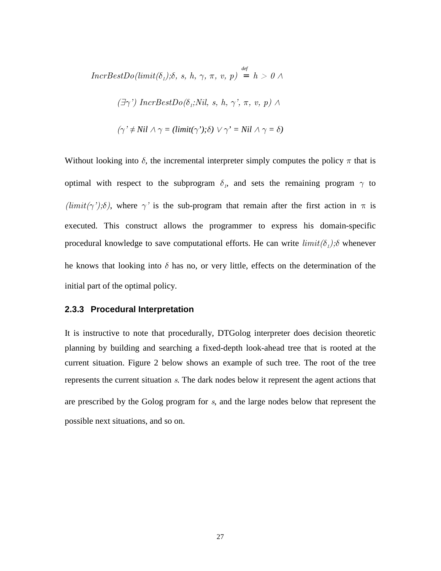$IncrBestDo(limit(\delta_1);\delta, s, h, \gamma, \pi, v, p) = h > 0 \; \wedge \;$ 

$$
(\exists \gamma')\ IncrBestDo(\delta_1; Nil, s, h, \gamma', \pi, v, p) \land \\
$$

$$
(\gamma' \neq Nil \land \gamma = (limit(\gamma'); \delta) \lor \gamma' = Nil \land \gamma = \delta)
$$

Without looking into  $\delta$ , the incremental interpreter simply computes the policy  $\pi$  that is optimal with respect to the subprogram  $\delta_i$ , and sets the remaining program  $\gamma$  to  $(limit(\gamma');\delta)$ , where  $\gamma'$  is the sub-program that remain after the first action in  $\pi$  is executed. This construct allows the programmer to express his domain-specific procedural knowledge to save computational efforts. He can write  $limit(\delta_1)$ ;  $\delta$  whenever he knows that looking into  $\delta$  has no, or very little, effects on the determination of the initial part of the optimal policy.

#### **2.3.3 Procedural Interpretation**

It is instructive to note that procedurally, DTGolog interpreter does decision theoretic planning by building and searching a fixed-depth look-ahead tree that is rooted at the current situation. Figure 2 below shows an example of such tree. The root of the tree represents the current situation s. The dark nodes below it represent the agent actions that are prescribed by the Golog program for s, and the large nodes below that represent the possible next situations, and so on.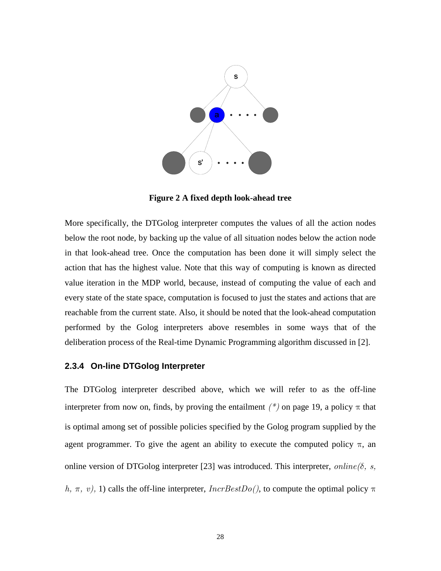

**Figure 2 A fixed depth look-ahead tree** 

More specifically, the DTGolog interpreter computes the values of all the action nodes below the root node, by backing up the value of all situation nodes below the action node in that look-ahead tree. Once the computation has been done it will simply select the action that has the highest value. Note that this way of computing is known as directed value iteration in the MDP world, because, instead of computing the value of each and every state of the state space, computation is focused to just the states and actions that are reachable from the current state. Also, it should be noted that the look-ahead computation performed by the Golog interpreters above resembles in some ways that of the deliberation process of the Real-time Dynamic Programming algorithm discussed in [2].

#### **2.3.4 On-line DTGolog Interpreter**

The DTGolog interpreter described above, which we will refer to as the off-line interpreter from now on, finds, by proving the entailment  $(*)$  on page 19, a policy  $\pi$  that is optimal among set of possible policies specified by the Golog program supplied by the agent programmer. To give the agent an ability to execute the computed policy  $\pi$ , an online version of DTGolog interpreter [23] was introduced. This interpreter,  $online(\delta, s, \delta)$ h, π, v), 1) calls the off-line interpreter,  $IncrBestDo($ ), to compute the optimal policy  $\pi$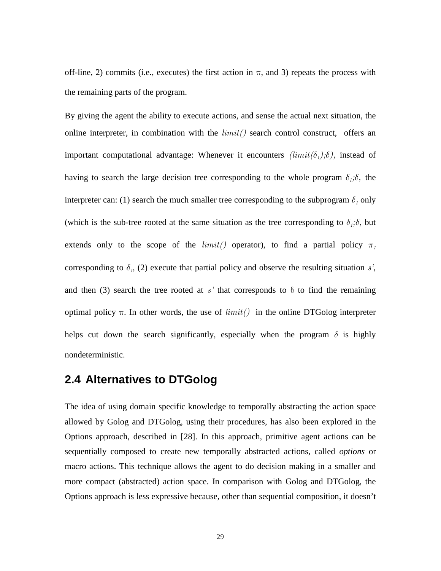off-line, 2) commits (i.e., executes) the first action in  $\pi$ , and 3) repeats the process with the remaining parts of the program.

By giving the agent the ability to execute actions, and sense the actual next situation, the online interpreter, in combination with the  $limit()$  search control construct, offers an important computational advantage: Whenever it encounters  $(limit(\delta_1);\delta)$ , instead of having to search the large decision tree corresponding to the whole program  $\delta_i$ ; $\delta$ , the interpreter can: (1) search the much smaller tree corresponding to the subprogram  $\delta_1$  only (which is the sub-tree rooted at the same situation as the tree corresponding to  $\delta_i$ ; $\delta$ , but extends only to the scope of the  $limit()$  operator), to find a partial policy  $\pi_1$ corresponding to  $\delta_1$ , (2) execute that partial policy and observe the resulting situation s', and then (3) search the tree rooted at s' that corresponds to  $\delta$  to find the remaining optimal policy  $\pi$ . In other words, the use of  $limit()$  in the online DTGolog interpreter helps cut down the search significantly, especially when the program  $\delta$  is highly nondeterministic.

## **2.4 Alternatives to DTGolog**

The idea of using domain specific knowledge to temporally abstracting the action space allowed by Golog and DTGolog, using their procedures, has also been explored in the Options approach, described in [28]. In this approach, primitive agent actions can be sequentially composed to create new temporally abstracted actions, called *options* or macro actions. This technique allows the agent to do decision making in a smaller and more compact (abstracted) action space. In comparison with Golog and DTGolog, the Options approach is less expressive because, other than sequential composition, it doesn't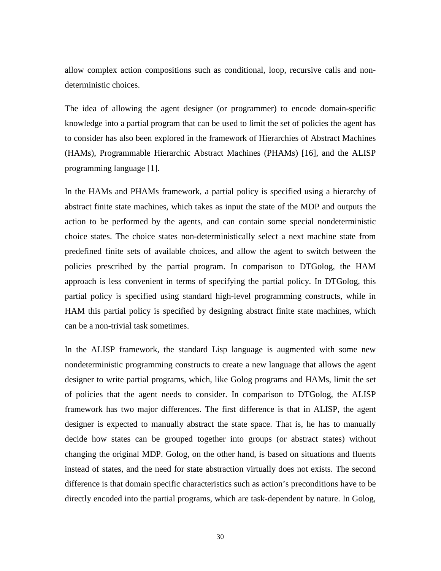allow complex action compositions such as conditional, loop, recursive calls and nondeterministic choices.

The idea of allowing the agent designer (or programmer) to encode domain-specific knowledge into a partial program that can be used to limit the set of policies the agent has to consider has also been explored in the framework of Hierarchies of Abstract Machines (HAMs), Programmable Hierarchic Abstract Machines (PHAMs) [16], and the ALISP programming language [1].

In the HAMs and PHAMs framework, a partial policy is specified using a hierarchy of abstract finite state machines, which takes as input the state of the MDP and outputs the action to be performed by the agents, and can contain some special nondeterministic choice states. The choice states non-deterministically select a next machine state from predefined finite sets of available choices, and allow the agent to switch between the policies prescribed by the partial program. In comparison to DTGolog, the HAM approach is less convenient in terms of specifying the partial policy. In DTGolog, this partial policy is specified using standard high-level programming constructs, while in HAM this partial policy is specified by designing abstract finite state machines, which can be a non-trivial task sometimes.

In the ALISP framework, the standard Lisp language is augmented with some new nondeterministic programming constructs to create a new language that allows the agent designer to write partial programs, which, like Golog programs and HAMs, limit the set of policies that the agent needs to consider. In comparison to DTGolog, the ALISP framework has two major differences. The first difference is that in ALISP, the agent designer is expected to manually abstract the state space. That is, he has to manually decide how states can be grouped together into groups (or abstract states) without changing the original MDP. Golog, on the other hand, is based on situations and fluents instead of states, and the need for state abstraction virtually does not exists. The second difference is that domain specific characteristics such as action's preconditions have to be directly encoded into the partial programs, which are task-dependent by nature. In Golog,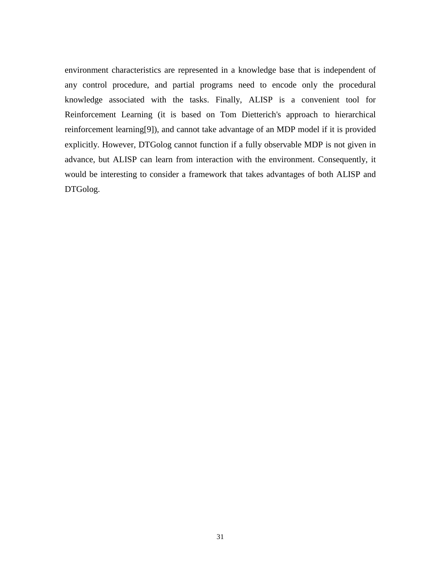environment characteristics are represented in a knowledge base that is independent of any control procedure, and partial programs need to encode only the procedural knowledge associated with the tasks. Finally, ALISP is a convenient tool for Reinforcement Learning (it is based on Tom Dietterich's approach to hierarchical reinforcement learning[9]), and cannot take advantage of an MDP model if it is provided explicitly. However, DTGolog cannot function if a fully observable MDP is not given in advance, but ALISP can learn from interaction with the environment. Consequently, it would be interesting to consider a framework that takes advantages of both ALISP and DTGolog.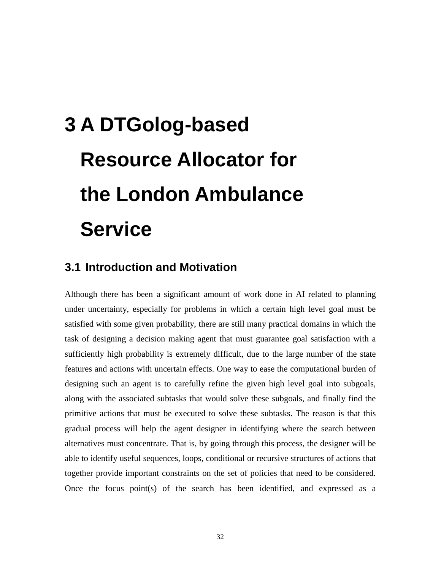# **3 A DTGolog-based Resource Allocator for the London Ambulance Service**

## **3.1 Introduction and Motivation**

Although there has been a significant amount of work done in AI related to planning under uncertainty, especially for problems in which a certain high level goal must be satisfied with some given probability, there are still many practical domains in which the task of designing a decision making agent that must guarantee goal satisfaction with a sufficiently high probability is extremely difficult, due to the large number of the state features and actions with uncertain effects. One way to ease the computational burden of designing such an agent is to carefully refine the given high level goal into subgoals, along with the associated subtasks that would solve these subgoals, and finally find the primitive actions that must be executed to solve these subtasks. The reason is that this gradual process will help the agent designer in identifying where the search between alternatives must concentrate. That is, by going through this process, the designer will be able to identify useful sequences, loops, conditional or recursive structures of actions that together provide important constraints on the set of policies that need to be considered. Once the focus point(s) of the search has been identified, and expressed as a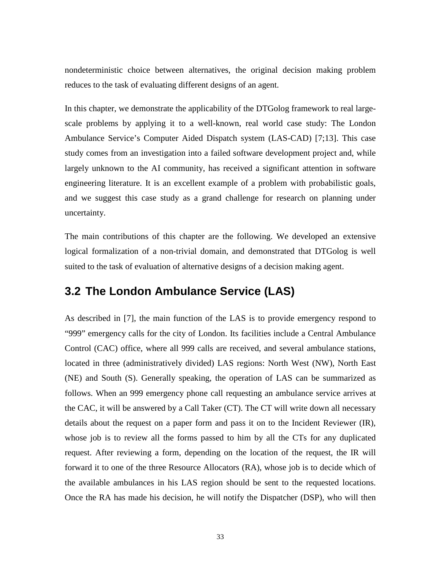nondeterministic choice between alternatives, the original decision making problem reduces to the task of evaluating different designs of an agent.

In this chapter, we demonstrate the applicability of the DTGolog framework to real largescale problems by applying it to a well-known, real world case study: The London Ambulance Service's Computer Aided Dispatch system (LAS-CAD) [7;13]. This case study comes from an investigation into a failed software development project and, while largely unknown to the AI community, has received a significant attention in software engineering literature. It is an excellent example of a problem with probabilistic goals, and we suggest this case study as a grand challenge for research on planning under uncertainty.

The main contributions of this chapter are the following. We developed an extensive logical formalization of a non-trivial domain, and demonstrated that DTGolog is well suited to the task of evaluation of alternative designs of a decision making agent.

## **3.2 The London Ambulance Service (LAS)**

As described in [7], the main function of the LAS is to provide emergency respond to "999" emergency calls for the city of London. Its facilities include a Central Ambulance Control (CAC) office, where all 999 calls are received, and several ambulance stations, located in three (administratively divided) LAS regions: North West (NW), North East (NE) and South (S). Generally speaking, the operation of LAS can be summarized as follows. When an 999 emergency phone call requesting an ambulance service arrives at the CAC, it will be answered by a Call Taker (CT). The CT will write down all necessary details about the request on a paper form and pass it on to the Incident Reviewer (IR), whose job is to review all the forms passed to him by all the CTs for any duplicated request. After reviewing a form, depending on the location of the request, the IR will forward it to one of the three Resource Allocators (RA), whose job is to decide which of the available ambulances in his LAS region should be sent to the requested locations. Once the RA has made his decision, he will notify the Dispatcher (DSP), who will then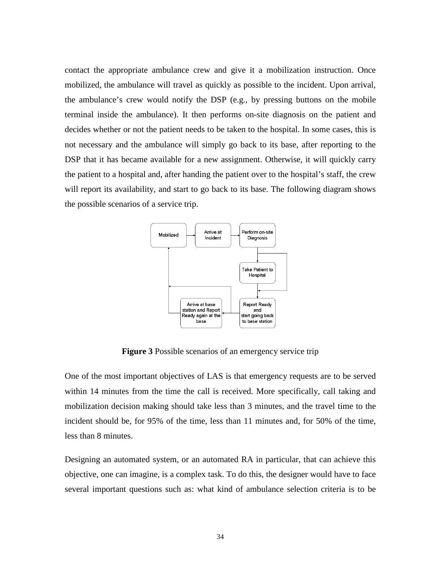contact the appropriate ambulance crew and give it a mobilization instruction. Once mobilized, the ambulance will travel as quickly as possible to the incident. Upon arrival, the ambulance's crew would notify the DSP (e.g., by pressing buttons on the mobile terminal inside the ambulance). It then performs on-site diagnosis on the patient and decides whether or not the patient needs to be taken to the hospital. In some cases, this is not necessary and the ambulance will simply go back to its base, after reporting to the DSP that it has became available for a new assignment. Otherwise, it will quickly carry the patient to a hospital and, after handing the patient over to the hospital's staff, the crew will report its availability, and start to go back to its base. The following diagram shows the possible scenarios of a service trip.



**Figure 3** Possible scenarios of an emergency service trip

One of the most important objectives of LAS is that emergency requests are to be served within 14 minutes from the time the call is received. More specifically, call taking and mobilization decision making should take less than 3 minutes, and the travel time to the incident should be, for 95% of the time, less than 11 minutes and, for 50% of the time, less than 8 minutes.

Designing an automated system, or an automated RA in particular, that can achieve this objective, one can imagine, is a complex task. To do this, the designer would have to face several important questions such as: what kind of ambulance selection criteria is to be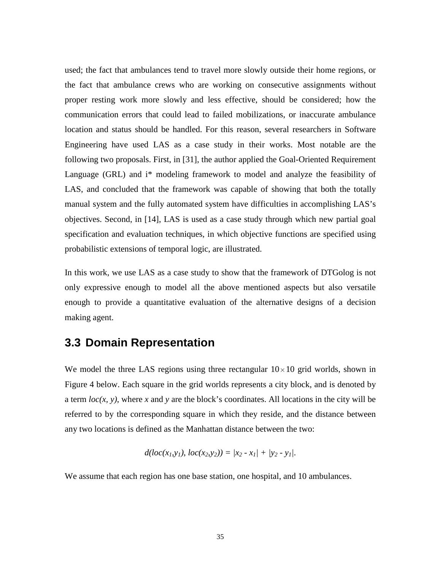used; the fact that ambulances tend to travel more slowly outside their home regions, or the fact that ambulance crews who are working on consecutive assignments without proper resting work more slowly and less effective, should be considered; how the communication errors that could lead to failed mobilizations, or inaccurate ambulance location and status should be handled. For this reason, several researchers in Software Engineering have used LAS as a case study in their works. Most notable are the following two proposals. First, in [31], the author applied the Goal-Oriented Requirement Language (GRL) and i\* modeling framework to model and analyze the feasibility of LAS, and concluded that the framework was capable of showing that both the totally manual system and the fully automated system have difficulties in accomplishing LAS's objectives. Second, in [14], LAS is used as a case study through which new partial goal specification and evaluation techniques, in which objective functions are specified using probabilistic extensions of temporal logic, are illustrated.

In this work, we use LAS as a case study to show that the framework of DTGolog is not only expressive enough to model all the above mentioned aspects but also versatile enough to provide a quantitative evaluation of the alternative designs of a decision making agent.

## **3.3 Domain Representation**

We model the three LAS regions using three rectangular  $10\times10$  grid worlds, shown in Figure 4 below. Each square in the grid worlds represents a city block, and is denoted by a term *loc(x, y)*, where *x* and *y* are the block's coordinates. All locations in the city will be referred to by the corresponding square in which they reside, and the distance between any two locations is defined as the Manhattan distance between the two:

$$
d(loc(x_1,y_1), loc(x_2,y_2)) = |x_2 - x_1| + |y_2 - y_1|.
$$

We assume that each region has one base station, one hospital, and 10 ambulances.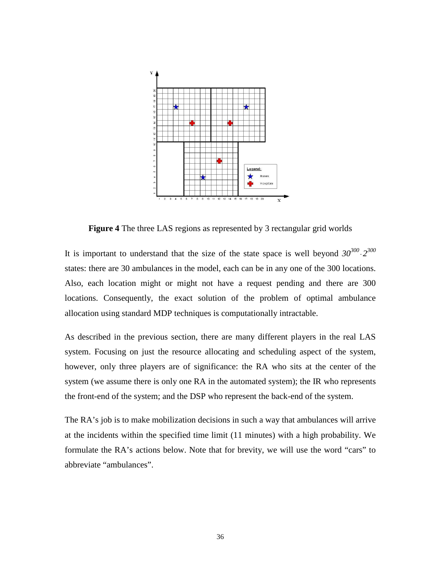

**Figure 4** The three LAS regions as represented by 3 rectangular grid worlds

It is important to understand that the size of the state space is well beyond  $30^{300} \text{·}2^{300}$ states: there are 30 ambulances in the model, each can be in any one of the 300 locations. Also, each location might or might not have a request pending and there are 300 locations. Consequently, the exact solution of the problem of optimal ambulance allocation using standard MDP techniques is computationally intractable.

As described in the previous section, there are many different players in the real LAS system. Focusing on just the resource allocating and scheduling aspect of the system, however, only three players are of significance: the RA who sits at the center of the system (we assume there is only one RA in the automated system); the IR who represents the front-end of the system; and the DSP who represent the back-end of the system.

The RA's job is to make mobilization decisions in such a way that ambulances will arrive at the incidents within the specified time limit (11 minutes) with a high probability. We formulate the RA's actions below. Note that for brevity, we will use the word "cars" to abbreviate "ambulances".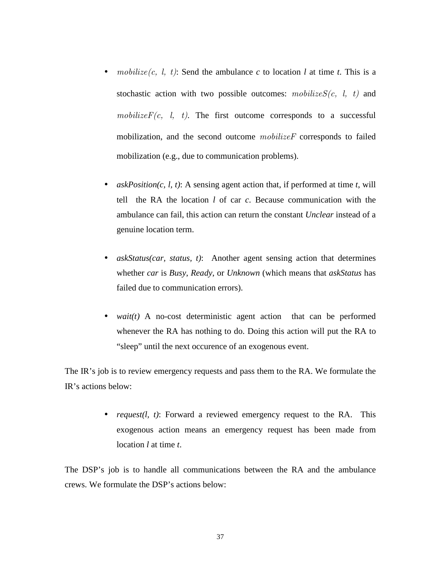- mobilize  $(c, l, t)$ : Send the ambulance  $c$  to location  $l$  at time  $t$ . This is a stochastic action with two possible outcomes:  $mobileizeS(c, l, t)$  and mobilize $F(c, l, t)$ . The first outcome corresponds to a successful mobilization, and the second outcome mobilizeF corresponds to failed mobilization (e.g., due to communication problems).
- *askPosition(c, l, t)*: A sensing agent action that, if performed at time *t*, will tell the RA the location *l* of car *c*. Because communication with the ambulance can fail, this action can return the constant *Unclear* instead of a genuine location term.
- *askStatus(car, status, t)*: Another agent sensing action that determines whether *car* is *Busy*, *Ready*, or *Unknown* (which means that *askStatus* has failed due to communication errors).
- *wait(t)* A no-cost deterministic agent action that can be performed whenever the RA has nothing to do. Doing this action will put the RA to "sleep" until the next occurence of an exogenous event.

The IR's job is to review emergency requests and pass them to the RA. We formulate the IR's actions below:

> • *request(l, t)*: Forward a reviewed emergency request to the RA. This exogenous action means an emergency request has been made from location *l* at time *t*.

The DSP's job is to handle all communications between the RA and the ambulance crews. We formulate the DSP's actions below: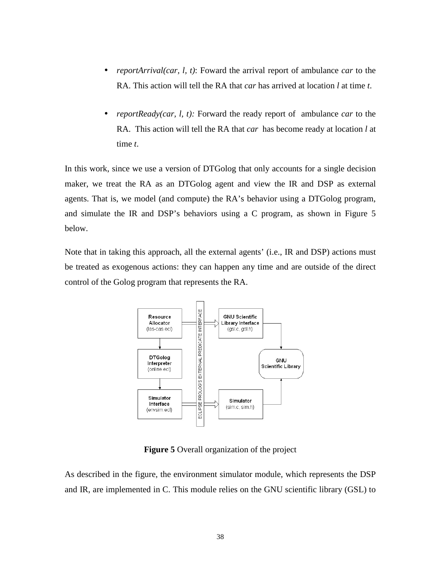- *reportArrival(car, l, t)*: Foward the arrival report of ambulance *car* to the RA. This action will tell the RA that *car* has arrived at location *l* at time *t*.
- *reportReady(car, l, t):* Forward the ready report of ambulance *car* to the RA. This action will tell the RA that *car* has become ready at location *l* at time *t*.

In this work, since we use a version of DTGolog that only accounts for a single decision maker, we treat the RA as an DTGolog agent and view the IR and DSP as external agents. That is, we model (and compute) the RA's behavior using a DTGolog program, and simulate the IR and DSP's behaviors using a C program, as shown in Figure 5 below.

Note that in taking this approach, all the external agents' (i.e., IR and DSP) actions must be treated as exogenous actions: they can happen any time and are outside of the direct control of the Golog program that represents the RA.



**Figure 5** Overall organization of the project

As described in the figure, the environment simulator module, which represents the DSP and IR, are implemented in C. This module relies on the GNU scientific library (GSL) to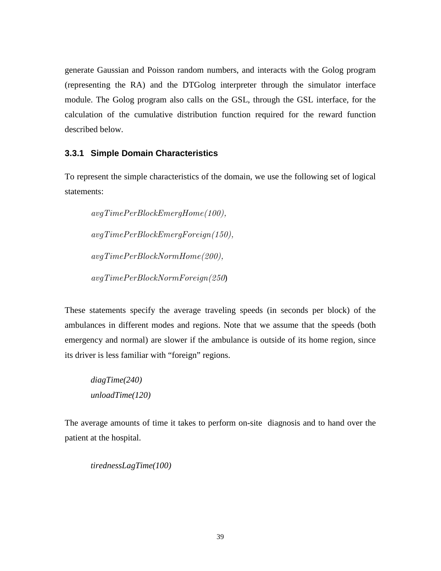generate Gaussian and Poisson random numbers, and interacts with the Golog program (representing the RA) and the DTGolog interpreter through the simulator interface module. The Golog program also calls on the GSL, through the GSL interface, for the calculation of the cumulative distribution function required for the reward function described below.

#### **3.3.1 Simple Domain Characteristics**

To represent the simple characteristics of the domain, we use the following set of logical statements:

 avgTimePerBlockEmergHome(100), avgTimePerBlockEmergForeign(150), avgTimePerBlockNormHome(200), avgTimePerBlockNormForeign(250)

These statements specify the average traveling speeds (in seconds per block) of the ambulances in different modes and regions. Note that we assume that the speeds (both emergency and normal) are slower if the ambulance is outside of its home region, since its driver is less familiar with "foreign" regions.

 *diagTime(240) unloadTime(120)* 

The average amounts of time it takes to perform on-site diagnosis and to hand over the patient at the hospital.

 *tirednessLagTime(100)*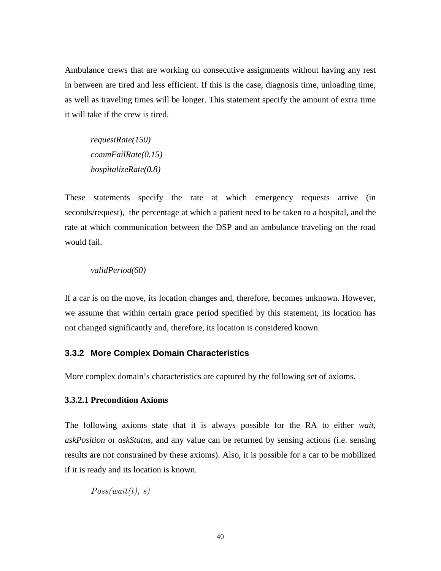Ambulance crews that are working on consecutive assignments without having any rest in between are tired and less efficient. If this is the case, diagnosis time, unloading time, as well as traveling times will be longer. This statement specify the amount of extra time it will take if the crew is tired.

 *requestRate(150) commFailRate(0.15) hospitalizeRate(0.8)*

These statements specify the rate at which emergency requests arrive (in seconds/request), the percentage at which a patient need to be taken to a hospital, and the rate at which communication between the DSP and an ambulance traveling on the road would fail.

#### *validPeriod(60)*

If a car is on the move, its location changes and, therefore, becomes unknown. However, we assume that within certain grace period specified by this statement, its location has not changed significantly and, therefore, its location is considered known.

#### **3.3.2 More Complex Domain Characteristics**

More complex domain's characteristics are captured by the following set of axioms.

#### **3.3.2.1 Precondition Axioms**

The following axioms state that it is always possible for the RA to either *wait*, *askPosition* or *askStatus*, and any value can be returned by sensing actions (i.e. sensing results are not constrained by these axioms). Also, it is possible for a car to be mobilized if it is ready and its location is known.

 $Poss(wait(t), s)$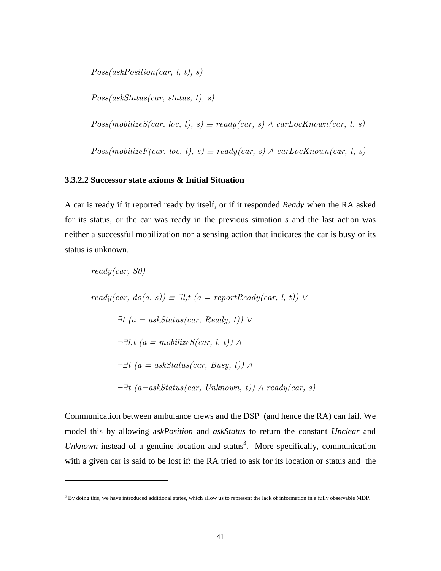$Poss(askPosition(car, l, t), s)$ 

 $Poss(askStatus(car, status, t), s)$ 

 $Poss(mobilizeS(car, loc, t), s) \equiv ready(car, s) \land carLocKnown(car, t, s)$ 

 $Poss(mobilizeF(car, loc, t), s) \equiv ready(car, s) \land carLocKnown(car, t, s)$ 

#### **3.3.2.2 Successor state axioms & Initial Situation**

 $\overline{a}$ 

A car is ready if it reported ready by itself, or if it responded *Ready* when the RA asked for its status, or the car was ready in the previous situation *s* and the last action was neither a successful mobilization nor a sensing action that indicates the car is busy or its status is unknown.

$$
ready(car, S0)
$$
\n
$$
ready(car, do(a, s)) \equiv \exists l, t \ (a = reportReady(car, l, t)) \lor
$$
\n
$$
\exists t \ (a = askStatus(car, Ready, t)) \lor
$$
\n
$$
\neg \exists l, t \ (a = mobileizeS(car, l, t)) \land
$$
\n
$$
\neg \exists t \ (a = askStatus(car, Busy, t)) \land
$$
\n
$$
\neg \exists t \ (a = askStatus(car, Unknown, t)) \land ready(car, s)
$$

Communication between ambulance crews and the DSP (and hence the RA) can fail. We model this by allowing a*skPosition* and *askStatus* to return the constant *Unclear* and Unknown instead of a genuine location and status<sup>3</sup>. More specifically, communication with a given car is said to be lost if: the RA tried to ask for its location or status and the

<sup>&</sup>lt;sup>3</sup> By doing this, we have introduced additional states, which allow us to represent the lack of information in a fully observable MDP.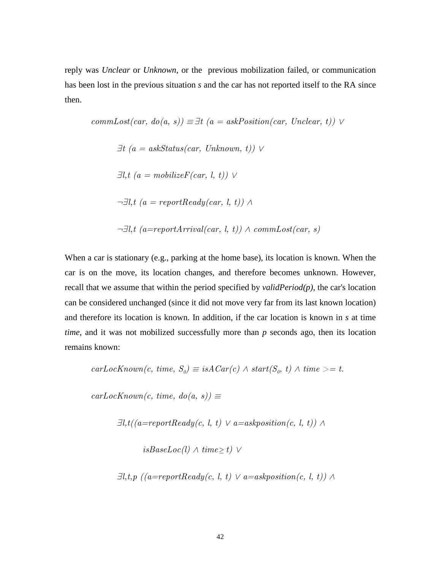reply was *Unclear* or *Unknown*, or the previous mobilization failed, or communication has been lost in the previous situation *s* and the car has not reported itself to the RA since then.

$$
commLoss(car, do(a, s)) \equiv \exists t \ (a = askPosition(car, Unclear, t)) \lor
$$
  
\n
$$
\exists t \ (a = askStatus(car, Unknown, t)) \lor
$$
  
\n
$$
\exists l, t \ (a = mobilizeF(car, l, t)) \lor
$$
  
\n
$$
\neg \exists l, t \ (a = reportReady(car, l, t)) \land
$$
  
\n
$$
\neg \exists l, t \ (a = reportArrival(car, l, t)) \land commLoss(car, s)
$$

When a car is stationary (e.g., parking at the home base), its location is known. When the car is on the move, its location changes, and therefore becomes unknown. However, recall that we assume that within the period specified by *validPeriod(p)*, the car's location can be considered unchanged (since it did not move very far from its last known location) and therefore its location is known. In addition, if the car location is known in *s* at time *time*, and it was not mobilized successfully more than *p* seconds ago, then its location remains known:

$$
carLocKnown(c, time, S_0) \equiv isACar(c) \land start(S_0, t) \land time >= t.
$$

 $carLocKnown(c, time, do(a, s)) \equiv$ 

$$
\exists l, t ((a=reportReady(c, \; l, \; t) \; \lor \; a = askposition(c, \; l, \; t)) \; \land \\
$$

isBaseLoc(l)  $\land$  time≥ t)  $\lor$ 

$$
\exists l, t, p \ ((a = reportReady(c, l, t) \lor a = askposition(c, l, t)) \land \\
$$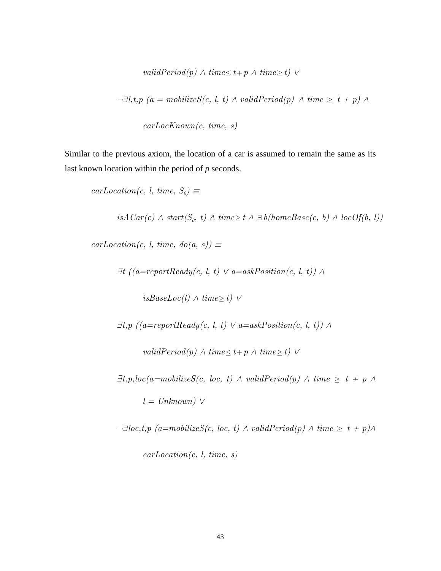*validPeriod(p)*  $\land$  *time*  $\leq$  *t*+ *p*  $\land$  *time*  $\geq$  *t)*  $\lor$ 

$$
\neg \exists l, t, p \ (a = mobile \times S(c, l, t) \land validPeriod(p) \land time \geq t + p) \land
$$

carLocKnown(c, time, s)

Similar to the previous axiom, the location of a car is assumed to remain the same as its last known location within the period of *p* seconds.

 $carLocation(c, l, time, S_0) \equiv$ 

 $isACar(c) \wedge start(S_o, t) \wedge time \ge t \wedge \exists b (homeBase(c, b) \wedge locOf(b, l))$ 

 $carLocation(c, l, time, do(a, s)) \equiv$ 

$$
\exists t \ ((a = reportReady(c, l, t) \lor a = askPosition(c, l, t)) \land
$$

isBaseLoc(l)  $\land$  time≥ t)  $\lor$ 

 $\exists t, p \; ((a=reportReady(c, l, t) \lor a=askPosition(c, l, t)) \land$ 

validPeriod(p)  $\land$  time  $\leq t+p \land$  time  $\geq t$ )  $\lor$ 

 $\exists t, p, loc(a=mobileizeS(c, loc, t) \wedge validPeriod(p) \wedge time \geq t + p \wedge$  $l = Unknown)$   $\vee$ 

 $\neg \exists loc, t, p \ (a=mobileizeS(c, loc, t) \land validPeriod(p) \land time \geq t + p) \land$  $carLocation(c, l, time, s)$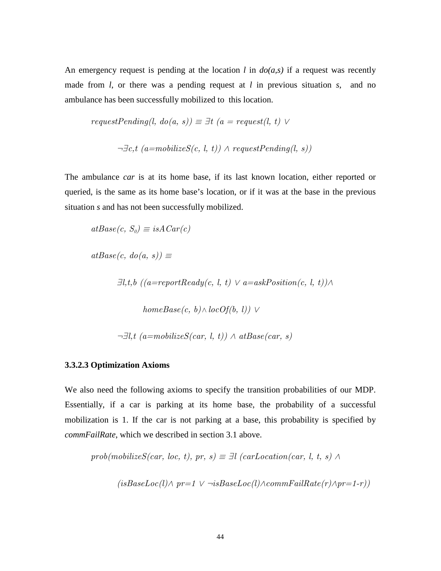An emergency request is pending at the location *l* in  $do(a,s)$  if a request was recently made from *l*, or there was a pending request at *l* in previous situation *s*, and no ambulance has been successfully mobilized to this location.

$$
requestPending(l, do(a, s)) \equiv \exists t \ (a = request(l, t) \lor
$$
  

$$
\neg \exists c, t \ (a = mobileizeS(c, l, t)) \land requestPending(l, s))
$$

The ambulance *car* is at its home base, if its last known location, either reported or queried, is the same as its home base's location, or if it was at the base in the previous situation *s* and has not been successfully mobilized.

$$
atBase(c, S_o) \equiv isACar(c)
$$

 $atBase(c, do(a, s)) \equiv$ 

 $\exists l,t,b \;((a=reportReady(c, l, t) \lor a=askPosition(c, l, t)) \land$ 

 $homeBase(c, b) \wedge locOf(b, l)) \vee$ 

 $\neg \exists l, t \ (a=mobileizeS(car, l, t)) \land atBase(car, s)$ 

#### **3.3.2.3 Optimization Axioms**

We also need the following axioms to specify the transition probabilities of our MDP. Essentially, if a car is parking at its home base, the probability of a successful mobilization is 1. If the car is not parking at a base, this probability is specified by *commFailRate*, which we described in section 3.1 above.

prob(mobilizeS(car, loc, t), pr, s)  $\equiv \exists l$  (carLocation(car, l, t, s)  $\land$ 

$$
(isBaseLoc(l) \land pr=1 \lor \neg isBaseLoc(l) \land commFailRate(r) \land pr=1-r))
$$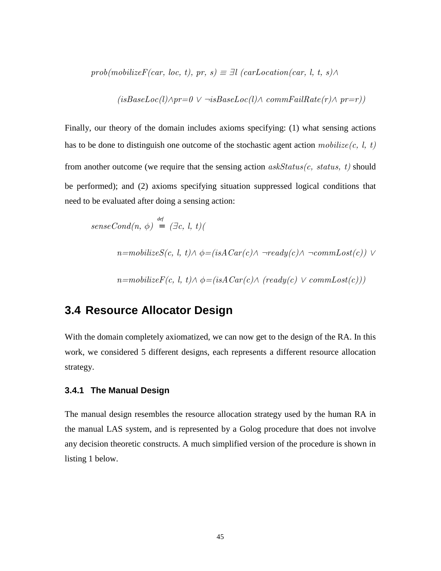$prob(mobilizeF(car, loc, t), pr, s) \equiv \exists l \ (carLocation(car, l, t, s) \wedge$ 

$$
(isBaseLoc(l) \land pr=0 \lor \neg isBaseLoc(l) \land commFailRate(r) \land pr=r))
$$

Finally, our theory of the domain includes axioms specifying: (1) what sensing actions has to be done to distinguish one outcome of the stochastic agent action  $mobileize(c, l, t)$ from another outcome (we require that the sensing action  $askStatus(c, status, t)$  should be performed); and (2) axioms specifying situation suppressed logical conditions that need to be evaluated after doing a sensing action:

$$
senseCond(n, \phi) = (\exists c, l, t)(
$$

$$
n = mobileizeS(c, l, t) \land \phi = (isACar(c) \land \neg ready(c) \land \neg commLast(c)) \lor
$$

$$
n = mobility(F(c, l, t) \land \phi = (isACar(c) \land (ready(c) \lor commLoss(c)))
$$

## **3.4 Resource Allocator Design**

With the domain completely axiomatized, we can now get to the design of the RA. In this work, we considered 5 different designs, each represents a different resource allocation strategy.

#### **3.4.1 The Manual Design**

The manual design resembles the resource allocation strategy used by the human RA in the manual LAS system, and is represented by a Golog procedure that does not involve any decision theoretic constructs. A much simplified version of the procedure is shown in listing 1 below.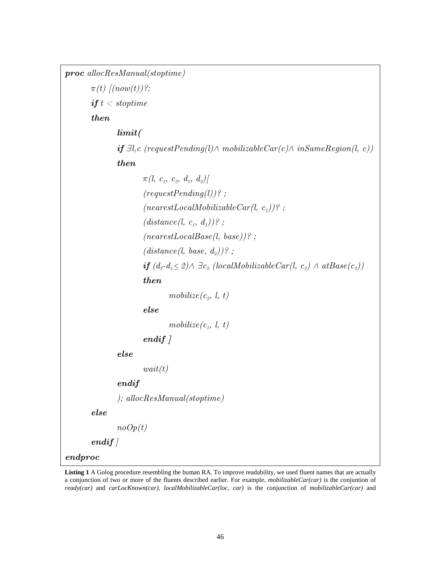proc allocResManual(stoptime)  $\pi(t)$   $\lceil (now(t)) \rceil$ ; if  $t <$  stoptime then limit( **if**  $\exists l, c$  (requestPending(l)∧ mobilizableCar(c)∧ inSameRegion(l, c)) then  $\pi(l, \ c_1, \ c_2, \ d_1, \ d_2) [$  $(requestPending(l))$ ? ;  $(nearest LocalMobilizable Car(l, c_1))$ ?;  $(distance(l, c_1, d_1))$ ?;  $(nearestLocalBase(l, base))$ ? ;  $(distance(l,\ base,\ d_{2}))$  ?;  $\bm{if} (d_2 \text{-} d_1 \leq 2) \wedge \exists c_2 (local MobileCar(l, c_2) \wedge atBase(c_2))$  then  $\textit{mobileize}(c_{\scriptscriptstyle{2}}, \; l, \; t)$  else  $\textit{mobileize}(c_{1},\ l,\ t)$ endif ] else  $wait(t)$  endif ); allocResManual(stoptime) else  $noOp(t)$  $endif$ endproc

**Listing 1** A Golog procedure resembling the human RA. To improve readability, we used fluent names that are actually a conjunction of two or more of the fluents described earlier. For example, *mobilizableCar(car)* is the conjuntion of *ready(car)* and *carLocKnown(car)*, *localMobilizableCar(loc, car)* is the conjunction of *mobilizableCar(car)* and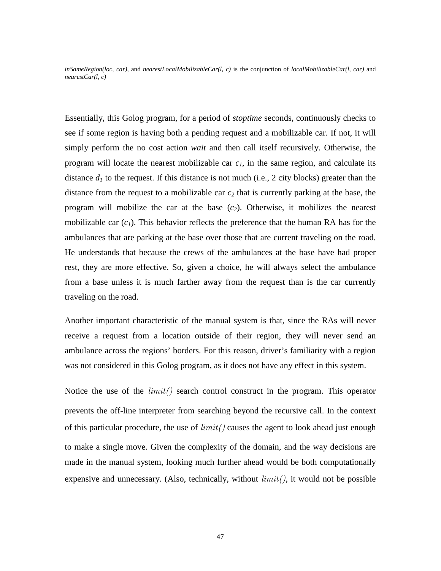*inSameRegion(loc, car),* and *nearestLocalMobilizableCar(l, c)* is the conjunction of *localMobilizableCar(l, car)* and *nearestCar(l, c)*

Essentially, this Golog program, for a period of *stoptime* seconds, continuously checks to see if some region is having both a pending request and a mobilizable car. If not, it will simply perform the no cost action *wait* and then call itself recursively. Otherwise, the program will locate the nearest mobilizable car  $c<sub>l</sub>$ , in the same region, and calculate its distance  $d_I$  to the request. If this distance is not much (i.e., 2 city blocks) greater than the distance from the request to a mobilizable car *c2* that is currently parking at the base, the program will mobilize the car at the base  $(c_2)$ . Otherwise, it mobilizes the nearest mobilizable car  $(c_l)$ . This behavior reflects the preference that the human RA has for the ambulances that are parking at the base over those that are current traveling on the road. He understands that because the crews of the ambulances at the base have had proper rest, they are more effective. So, given a choice, he will always select the ambulance from a base unless it is much farther away from the request than is the car currently traveling on the road.

Another important characteristic of the manual system is that, since the RAs will never receive a request from a location outside of their region, they will never send an ambulance across the regions' borders. For this reason, driver's familiarity with a region was not considered in this Golog program, as it does not have any effect in this system.

Notice the use of the  $limit()$  search control construct in the program. This operator prevents the off-line interpreter from searching beyond the recursive call. In the context of this particular procedure, the use of  $limit()$  causes the agent to look ahead just enough to make a single move. Given the complexity of the domain, and the way decisions are made in the manual system, looking much further ahead would be both computationally expensive and unnecessary. (Also, technically, without  $limit()$ , it would not be possible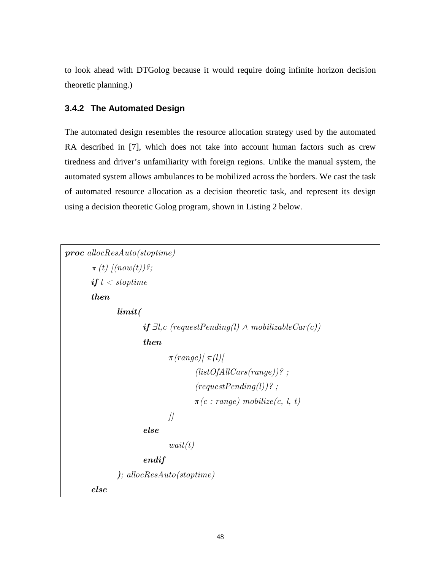to look ahead with DTGolog because it would require doing infinite horizon decision theoretic planning.)

#### **3.4.2 The Automated Design**

The automated design resembles the resource allocation strategy used by the automated RA described in [7], which does not take into account human factors such as crew tiredness and driver's unfamiliarity with foreign regions. Unlike the manual system, the automated system allows ambulances to be mobilized across the borders. We cast the task of automated resource allocation as a decision theoretic task, and represent its design using a decision theoretic Golog program, shown in Listing 2 below.

```
proc allocResAuto(stoptime) 
      \pi(t) \lceil (now(t)) \rceil;
      if t < stoptime
      then 
              limit( 
                    if ∃l, c (requestPending(l) ∧ mobilizableCar(c))
                     then 
                           \pi(range)/\pi(l)(listOfAllCars(range))?;
                                  (requestPending(l))?;
                                 \pi(c : range) mobilize(c, l, t)
J else 
                           wait(t) endif
              ); allocResAuto(stoptime) 
      else
```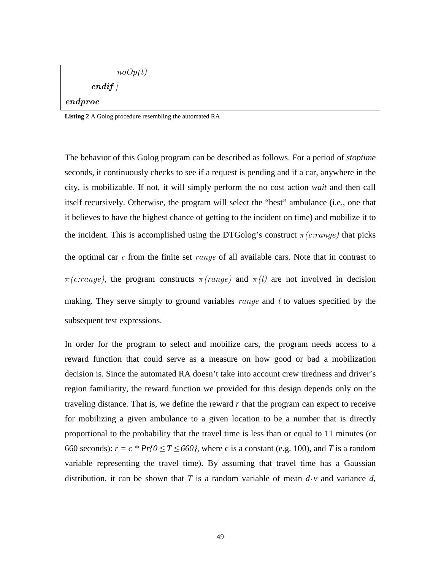$$
noOp(t)\\end if\, ]
$$

#### endproc

**Listing 2** A Golog procedure resembling the automated RA

The behavior of this Golog program can be described as follows. For a period of *stoptime* seconds, it continuously checks to see if a request is pending and if a car, anywhere in the city, is mobilizable. If not, it will simply perform the no cost action *wait* and then call itself recursively. Otherwise, the program will select the "best" ambulance (i.e., one that it believes to have the highest chance of getting to the incident on time) and mobilize it to the incident. This is accomplished using the DTGolog's construct  $\pi(c\cdot range)$  that picks the optimal car  $c$  from the finite set *range* of all available cars. Note that in contrast to  $\pi(c\text{.range})$ , the program constructs  $\pi(range)$  and  $\pi(l)$  are not involved in decision making. They serve simply to ground variables  $range$  and  $l$  to values specified by the subsequent test expressions.

In order for the program to select and mobilize cars, the program needs access to a reward function that could serve as a measure on how good or bad a mobilization decision is. Since the automated RA doesn't take into account crew tiredness and driver's region familiarity, the reward function we provided for this design depends only on the traveling distance. That is, we define the reward *r* that the program can expect to receive for mobilizing a given ambulance to a given location to be a number that is directly proportional to the probability that the travel time is less than or equal to 11 minutes (or 660 seconds):  $r = c * Pr\{0 \le T \le 660\}$ , where c is a constant (e.g. 100), and *T* is a random variable representing the travel time). By assuming that travel time has a Gaussian distribution, it can be shown that *T* is a random variable of mean  $d \cdot v$  and variance *d*,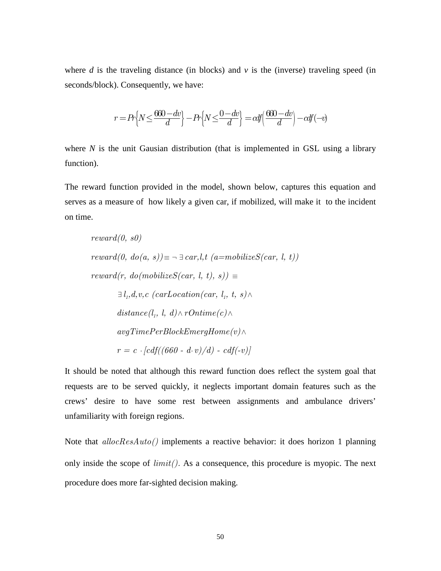where  $d$  is the traveling distance (in blocks) and  $v$  is the (inverse) traveling speed (in seconds/block). Consequently, we have:

$$
r = Pr\Big\{N \leq \frac{660 - dv}{d}\Big\} - Pr\Big\{N \leq \frac{0 - dv}{d}\Big\} = cdf\Big(\frac{660 - dv}{d}\Big) - cdf(-v)
$$

where *N* is the unit Gausian distribution (that is implemented in GSL using a library function).

The reward function provided in the model, shown below, captures this equation and serves as a measure of how likely a given car, if mobilized, will make it to the incident on time.

$$
reward(0, s0)
$$
\n
$$
reward(0, do(a, s)) \equiv \neg \exists car, l, t \ (a = mobileizeS(car, l, t))
$$
\n
$$
reward(r, do (mobileizeS(car, l, t), s)) \equiv
$$
\n
$$
\exists l_1, d, v, c \ (carLocation(car, l_1, t, s) \land
$$
\n
$$
distance(l_1, l, d) \land rOnline(c) \land
$$
\n
$$
avgTimePerBlockEnergyHome(v) \land
$$
\n
$$
r = c \cdot [cdf((660 - d \cdot v)/d) - cdf(-v)]
$$

It should be noted that although this reward function does reflect the system goal that requests are to be served quickly, it neglects important domain features such as the crews' desire to have some rest between assignments and ambulance drivers' unfamiliarity with foreign regions.

Note that  $allocResAuto()$  implements a reactive behavior: it does horizon 1 planning only inside the scope of  $limit()$ . As a consequence, this procedure is myopic. The next procedure does more far-sighted decision making.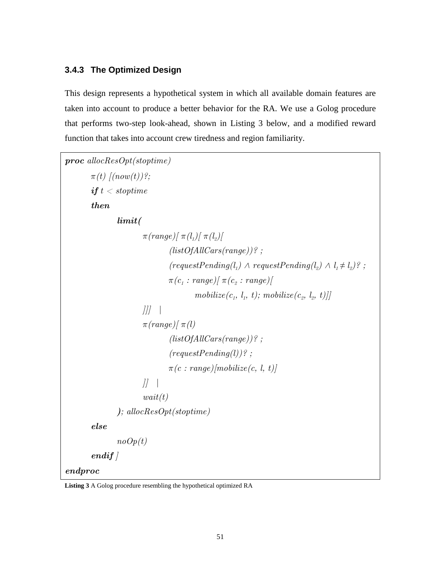#### **3.4.3 The Optimized Design**

This design represents a hypothetical system in which all available domain features are taken into account to produce a better behavior for the RA. We use a Golog procedure that performs two-step look-ahead, shown in Listing 3 below, and a modified reward function that takes into account crew tiredness and region familiarity.

```
proc allocResOpt(stoptime) 
      \pi(t) [(now(t))?;
      if t < stoptime
      then 
              limit( 
\pi(range)/\pi(l_{1})/\pi(l_{2})/(listOfAllCars(range)) ?:
(requestPending(l_1) \wedge requestPending(l_2) \wedge l_1 \neq l_2)?;
\pi(c_1: range) [\; \pi(c_2: range)]\textit{mobileize}(c_{1},\ l_{1},\ t); \textit{mobileize}(c_{2},\ l_{2},\ t)]]|||\pi(range)/\pi(l) (listOfAllCars(range))? ; 
                          (requestPending(l))? ;
                          \pi(c : range)/mobileize(c, l, t)]||wait(t) ); allocResOpt(stoptime) 
      else 
             noOp(t)endifendproc
```
**Listing 3** A Golog procedure resembling the hypothetical optimized RA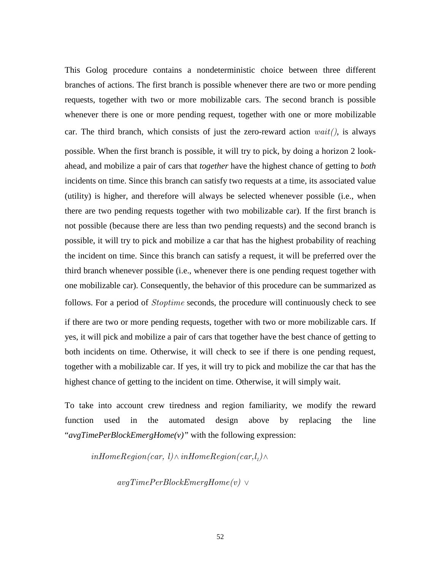This Golog procedure contains a nondeterministic choice between three different branches of actions. The first branch is possible whenever there are two or more pending requests, together with two or more mobilizable cars. The second branch is possible whenever there is one or more pending request, together with one or more mobilizable car. The third branch, which consists of just the zero-reward action  $wait()$ , is always possible. When the first branch is possible, it will try to pick, by doing a horizon 2 lookahead, and mobilize a pair of cars that *together* have the highest chance of getting to *both* incidents on time. Since this branch can satisfy two requests at a time, its associated value (utility) is higher, and therefore will always be selected whenever possible (i.e., when there are two pending requests together with two mobilizable car). If the first branch is not possible (because there are less than two pending requests) and the second branch is possible, it will try to pick and mobilize a car that has the highest probability of reaching the incident on time. Since this branch can satisfy a request, it will be preferred over the third branch whenever possible (i.e., whenever there is one pending request together with one mobilizable car). Consequently, the behavior of this procedure can be summarized as follows. For a period of *Stoptime* seconds, the procedure will continuously check to see if there are two or more pending requests, together with two or more mobilizable cars. If yes, it will pick and mobilize a pair of cars that together have the best chance of getting to both incidents on time. Otherwise, it will check to see if there is one pending request, together with a mobilizable car. If yes, it will try to pick and mobilize the car that has the

To take into account crew tiredness and region familiarity, we modify the reward function used in the automated design above by replacing the line

highest chance of getting to the incident on time. Otherwise, it will simply wait.

"*avgTimePerBlockEmergHome(v)"* with the following expression:

 $inHomeRegion (car, \; l) \wedge inHomeRegion (car, \mathcal{l}_1) \wedge$ 

avgTimePerBlockEmergHome(v) ∨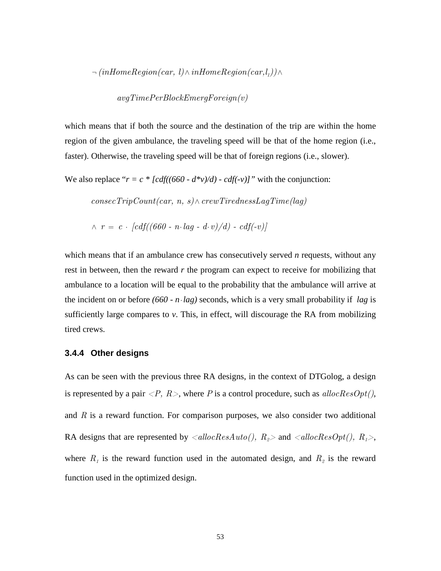$\neg~(inHomeRegion (car,~l) \wedge inHomeRegion (car, l_1)) \wedge$ 

$$
avgTimePerBlockEnergy Foreign(v)\\
$$

which means that if both the source and the destination of the trip are within the home region of the given ambulance, the traveling speed will be that of the home region (i.e., faster). Otherwise, the traveling speed will be that of foreign regions (i.e., slower).

We also replace " $r = c * [cdf((660 - d*v)/d) - cdf(-v)]$ " with the conjunction:

 $consecTripCount(car, n, s) \wedge crewTriednessLagTime(lag)$ 

$$
\wedge \ \ r = \ c \cdot [cdf((660 - n \cdot lag - d \cdot v)/d) - cdf(-v)]
$$

which means that if an ambulance crew has consecutively served *n* requests, without any rest in between, then the reward *r* the program can expect to receive for mobilizing that ambulance to a location will be equal to the probability that the ambulance will arrive at the incident on or before *(660 - n*⋅*lag)* seconds, which is a very small probability if *lag* is sufficiently large compares to *v*. This, in effect, will discourage the RA from mobilizing tired crews.

#### **3.4.4 Other designs**

As can be seen with the previous three RA designs, in the context of DTGolog, a design is represented by a pair  $\langle P, R \rangle$ , where P is a control procedure, such as  $allocResOpt(),$ and  $R$  is a reward function. For comparison purposes, we also consider two additional RA designs that are represented by  $\langle \text{allocRes}(Auto), R_{\text{g}} \rangle$  and  $\langle \text{allocRes}(Opt), R_{\text{g}} \rangle$ , where  $R_1$  is the reward function used in the automated design, and  $R_2$  is the reward function used in the optimized design.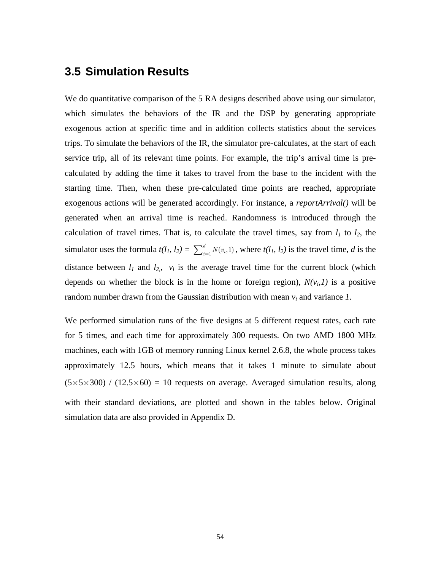### **3.5 Simulation Results**

We do quantitative comparison of the 5 RA designs described above using our simulator, which simulates the behaviors of the IR and the DSP by generating appropriate exogenous action at specific time and in addition collects statistics about the services trips. To simulate the behaviors of the IR, the simulator pre-calculates, at the start of each service trip, all of its relevant time points. For example, the trip's arrival time is precalculated by adding the time it takes to travel from the base to the incident with the starting time. Then, when these pre-calculated time points are reached, appropriate exogenous actions will be generated accordingly. For instance, a *reportArrival()* will be generated when an arrival time is reached. Randomness is introduced through the calculation of travel times. That is, to calculate the travel times, say from  $l_1$  to  $l_2$ , the simulator uses the formula  $t(l_1, l_2) = \sum_{i=1}^d N(v_i, 1)$ , where  $t(l_1, l_2)$  is the travel time, *d* is the distance between  $l_1$  and  $l_2$ ,  $v_i$  is the average travel time for the current block (which depends on whether the block is in the home or foreign region),  $N(v_i, I)$  is a positive random number drawn from the Gaussian distribution with mean  $v_i$  and variance  $I$ .

We performed simulation runs of the five designs at 5 different request rates, each rate for 5 times, and each time for approximately 300 requests. On two AMD 1800 MHz machines, each with 1GB of memory running Linux kernel 2.6.8, the whole process takes approximately 12.5 hours, which means that it takes 1 minute to simulate about  $(5\times5\times300)$  /  $(12.5\times60) = 10$  requests on average. Averaged simulation results, along with their standard deviations, are plotted and shown in the tables below. Original simulation data are also provided in Appendix D.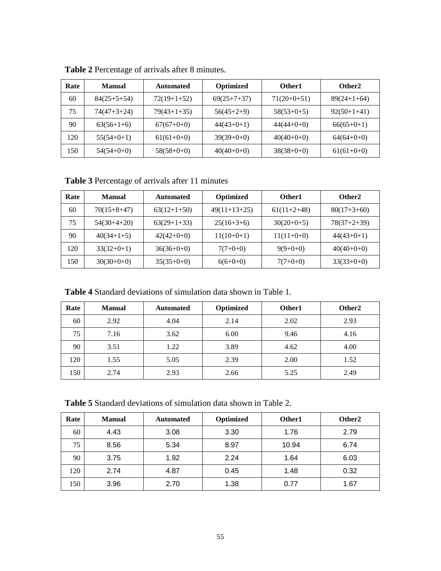| Rate | <b>Manual</b> | Automated     | Optimized     | Other1        | Other2        |
|------|---------------|---------------|---------------|---------------|---------------|
| 60   | $84(25+5+54)$ | $72(19+1+52)$ | $69(25+7+37)$ | $71(20+0+51)$ | $89(24+1+64)$ |
| 75   | $74(47+3+24)$ | $79(43+1+35)$ | $56(45+2+9)$  | $58(53+0+5)$  | $92(50+1+41)$ |
| 90   | $63(56+1+6)$  | $67(67+0+0)$  | $44(43+0+1)$  | $44(44+0+0)$  | $66(65+0+1)$  |
| 120  | $55(54+0+1)$  | $61(61+0+0)$  | $39(39+0+0)$  | $40(40+0+0)$  | $64(64+0+0)$  |
| 150  | $54(54+0+0)$  | $58(58+0+0)$  | $40(40+0+0)$  | $38(38+0+0)$  | $61(61+0+0)$  |

**Table 2** Percentage of arrivals after 8 minutes.

**Table 3** Percentage of arrivals after 11 minutes

| Rate | <b>Manual</b> | <b>Automated</b> | <b>Optimized</b> | Other1        | Other2        |
|------|---------------|------------------|------------------|---------------|---------------|
| 60   | $70(15+8+47)$ | $63(12+1+50)$    | $49(11+13+25)$   | $61(11+2+48)$ | $80(17+3+60)$ |
| 75   | $54(30+4+20)$ | $63(29+1+33)$    | $25(16+3+6)$     | $30(20+0+5)$  | $78(37+2+39)$ |
| 90   | $40(34+1+5)$  | $42(42+0+0)$     | $11(10+0+1)$     | $11(11+0+0)$  | $44(43+0+1)$  |
| 120  | $33(32+0+1)$  | $36(36+0+0)$     | $7(7+0+0)$       | $9(9+0+0)$    | $40(40+0+0)$  |
| 150  | $30(30+0+0)$  | $35(35+0+0)$     | $6(6+0+0)$       | $7(7+0+0)$    | $33(33+0+0)$  |

**Table 4** Standard deviations of simulation data shown in Table 1.

| Rate | <b>Manual</b> | <b>Automated</b> | Optimized | Other1 | Other <sub>2</sub> |
|------|---------------|------------------|-----------|--------|--------------------|
| 60   | 2.92          | 4.04             | 2.14      | 2.02   | 2.93               |
| 75   | 7.16          | 3.62             | 6.00      | 9.46   | 4.16               |
| 90   | 3.51          | 1.22             | 3.89      | 4.62   | 4.00               |
| 120  | 1.55          | 5.05             | 2.39      | 2.00   | 1.52               |
| 150  | 2.74          | 2.93             | 2.66      | 5.25   | 2.49               |

**Table 5** Standard deviations of simulation data shown in Table 2.

| Rate | <b>Manual</b> | <b>Automated</b> | Optimized | Other1 | Other <sub>2</sub> |
|------|---------------|------------------|-----------|--------|--------------------|
| 60   | 4.43          | 3.08             | 3.30      | 1.76   | 2.79               |
| 75   | 8.56          | 5.34             | 8.97      | 10.94  | 6.74               |
| 90   | 3.75          | 1.92             | 2.24      | 1.64   | 6.03               |
| 120  | 2.74          | 4.87             | 0.45      | 1.48   | 0.32               |
| 150  | 3.96          | 2.70             | 1.38      | 0.77   | 1.67               |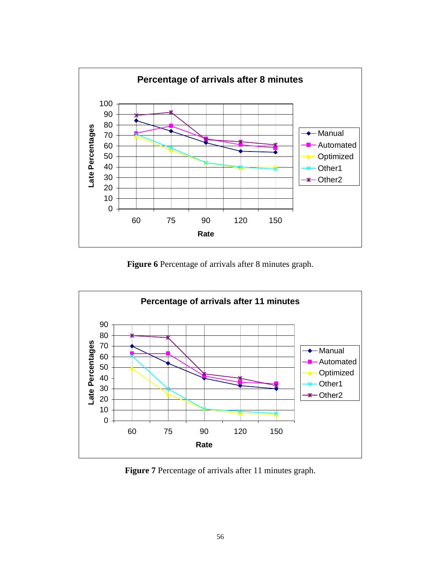

**Figure 6** Percentage of arrivals after 8 minutes graph.



**Figure 7** Percentage of arrivals after 11 minutes graph.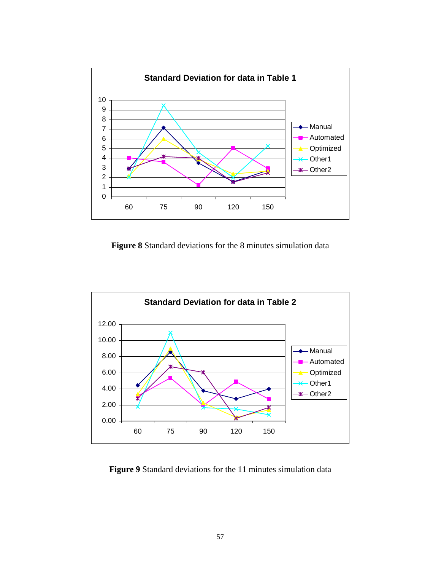

**Figure 8** Standard deviations for the 8 minutes simulation data



**Figure 9** Standard deviations for the 11 minutes simulation data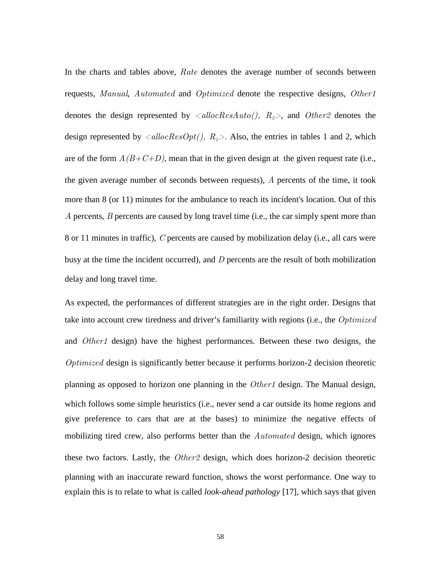In the charts and tables above, Rate denotes the average number of seconds between requests, Manual, Automated and Optimized denote the respective designs, Other1 denotes the design represented by  $\langle \text{allocRes}(Atto \text{)} \rangle$ ,  $R_{\text{2}}$ , and  $\text{Other2}$  denotes the design represented by  $\langle \text{allocResOpt}()$ ,  $R_1 \rangle$ . Also, the entries in tables 1 and 2, which are of the form  $A(B+C+D)$ , mean that in the given design at the given request rate (i.e., the given average number of seconds between requests), A percents of the time, it took more than 8 (or 11) minutes for the ambulance to reach its incident's location. Out of this A percents, B percents are caused by long travel time (i.e., the car simply spent more than 8 or 11 minutes in traffic), C percents are caused by mobilization delay (i.e., all cars were busy at the time the incident occurred), and  $D$  percents are the result of both mobilization delay and long travel time.

As expected, the performances of different strategies are in the right order. Designs that take into account crew tiredness and driver's familiarity with regions (i.e., the *Optimized* and *Other1* design) have the highest performances. Between these two designs, the Optimized design is significantly better because it performs horizon-2 decision theoretic planning as opposed to horizon one planning in the Other1 design. The Manual design, which follows some simple heuristics (i.e., never send a car outside its home regions and give preference to cars that are at the bases) to minimize the negative effects of mobilizing tired crew, also performs better than the *Automated* design, which ignores these two factors. Lastly, the Other2 design, which does horizon-2 decision theoretic planning with an inaccurate reward function, shows the worst performance. One way to explain this is to relate to what is called *look-ahead pathology* [17], which says that given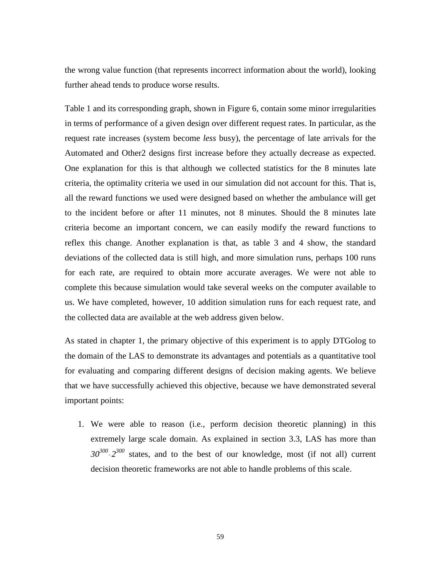the wrong value function (that represents incorrect information about the world), looking further ahead tends to produce worse results.

Table 1 and its corresponding graph, shown in Figure 6, contain some minor irregularities in terms of performance of a given design over different request rates. In particular, as the request rate increases (system become *less* busy), the percentage of late arrivals for the Automated and Other2 designs first increase before they actually decrease as expected. One explanation for this is that although we collected statistics for the 8 minutes late criteria, the optimality criteria we used in our simulation did not account for this. That is, all the reward functions we used were designed based on whether the ambulance will get to the incident before or after 11 minutes, not 8 minutes. Should the 8 minutes late criteria become an important concern, we can easily modify the reward functions to reflex this change. Another explanation is that, as table 3 and 4 show, the standard deviations of the collected data is still high, and more simulation runs, perhaps 100 runs for each rate, are required to obtain more accurate averages. We were not able to complete this because simulation would take several weeks on the computer available to us. We have completed, however, 10 addition simulation runs for each request rate, and the collected data are available at the web address given below.

As stated in chapter 1, the primary objective of this experiment is to apply DTGolog to the domain of the LAS to demonstrate its advantages and potentials as a quantitative tool for evaluating and comparing different designs of decision making agents. We believe that we have successfully achieved this objective, because we have demonstrated several important points:

1. We were able to reason (i.e., perform decision theoretic planning) in this extremely large scale domain. As explained in section 3.3, LAS has more than  $30^{300} \cdot 2^{300}$  states, and to the best of our knowledge, most (if not all) current decision theoretic frameworks are not able to handle problems of this scale.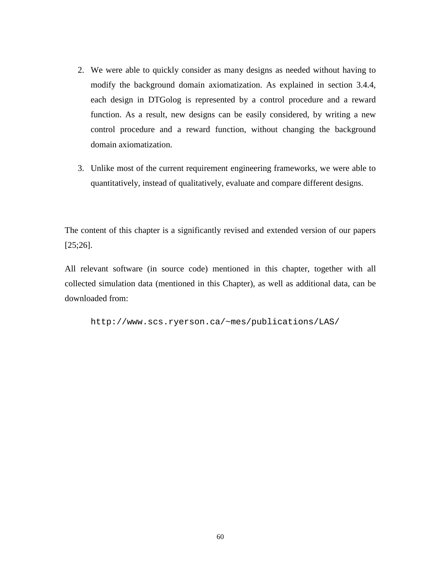- 2. We were able to quickly consider as many designs as needed without having to modify the background domain axiomatization. As explained in section 3.4.4, each design in DTGolog is represented by a control procedure and a reward function. As a result, new designs can be easily considered, by writing a new control procedure and a reward function, without changing the background domain axiomatization.
- 3. Unlike most of the current requirement engineering frameworks, we were able to quantitatively, instead of qualitatively, evaluate and compare different designs.

The content of this chapter is a significantly revised and extended version of our papers [25;26].

All relevant software (in source code) mentioned in this chapter, together with all collected simulation data (mentioned in this Chapter), as well as additional data, can be downloaded from:

http://www.scs.ryerson.ca/~mes/publications/LAS/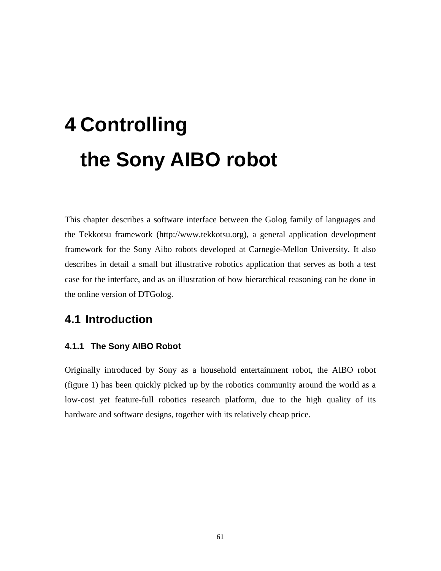## **4 Controlling the Sony AIBO robot**

This chapter describes a software interface between the Golog family of languages and the Tekkotsu framework (http://www.tekkotsu.org), a general application development framework for the Sony Aibo robots developed at Carnegie-Mellon University. It also describes in detail a small but illustrative robotics application that serves as both a test case for the interface, and as an illustration of how hierarchical reasoning can be done in the online version of DTGolog.

## **4.1 Introduction**

#### **4.1.1 The Sony AIBO Robot**

Originally introduced by Sony as a household entertainment robot, the AIBO robot (figure 1) has been quickly picked up by the robotics community around the world as a low-cost yet feature-full robotics research platform, due to the high quality of its hardware and software designs, together with its relatively cheap price.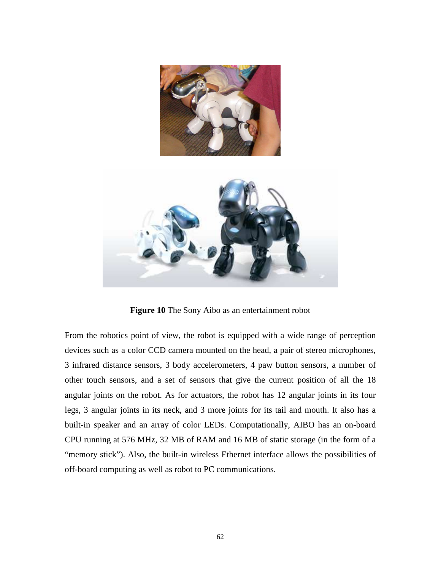

**Figure 10** The Sony Aibo as an entertainment robot

From the robotics point of view, the robot is equipped with a wide range of perception devices such as a color CCD camera mounted on the head, a pair of stereo microphones, 3 infrared distance sensors, 3 body accelerometers, 4 paw button sensors, a number of other touch sensors, and a set of sensors that give the current position of all the 18 angular joints on the robot. As for actuators, the robot has 12 angular joints in its four legs, 3 angular joints in its neck, and 3 more joints for its tail and mouth. It also has a built-in speaker and an array of color LEDs. Computationally, AIBO has an on-board CPU running at 576 MHz, 32 MB of RAM and 16 MB of static storage (in the form of a "memory stick"). Also, the built-in wireless Ethernet interface allows the possibilities of off-board computing as well as robot to PC communications.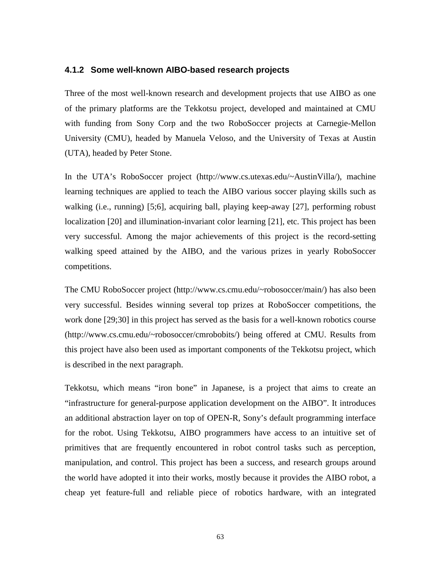#### **4.1.2 Some well-known AIBO-based research projects**

Three of the most well-known research and development projects that use AIBO as one of the primary platforms are the Tekkotsu project, developed and maintained at CMU with funding from Sony Corp and the two RoboSoccer projects at Carnegie-Mellon University (CMU), headed by Manuela Veloso, and the University of Texas at Austin (UTA), headed by Peter Stone.

In the UTA's RoboSoccer project (http://www.cs.utexas.edu/~AustinVilla/), machine learning techniques are applied to teach the AIBO various soccer playing skills such as walking (i.e., running) [5;6], acquiring ball, playing keep-away [27], performing robust localization [20] and illumination-invariant color learning [21], etc. This project has been very successful. Among the major achievements of this project is the record-setting walking speed attained by the AIBO, and the various prizes in yearly RoboSoccer competitions.

The CMU RoboSoccer project (http://www.cs.cmu.edu/~robosoccer/main/) has also been very successful. Besides winning several top prizes at RoboSoccer competitions, the work done [29;30] in this project has served as the basis for a well-known robotics course (http://www.cs.cmu.edu/~robosoccer/cmrobobits/) being offered at CMU. Results from this project have also been used as important components of the Tekkotsu project, which is described in the next paragraph.

Tekkotsu, which means "iron bone" in Japanese, is a project that aims to create an "infrastructure for general-purpose application development on the AIBO". It introduces an additional abstraction layer on top of OPEN-R, Sony's default programming interface for the robot. Using Tekkotsu, AIBO programmers have access to an intuitive set of primitives that are frequently encountered in robot control tasks such as perception, manipulation, and control. This project has been a success, and research groups around the world have adopted it into their works, mostly because it provides the AIBO robot, a cheap yet feature-full and reliable piece of robotics hardware, with an integrated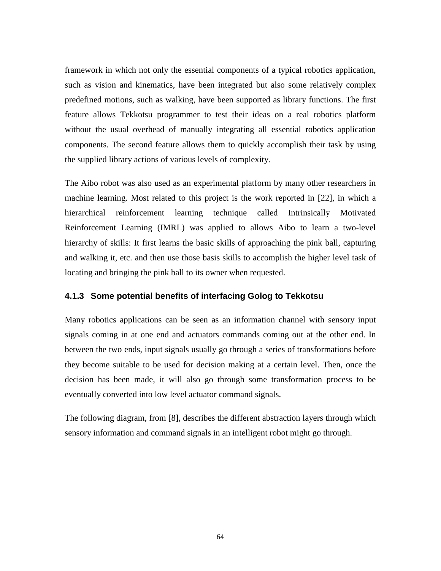framework in which not only the essential components of a typical robotics application, such as vision and kinematics, have been integrated but also some relatively complex predefined motions, such as walking, have been supported as library functions. The first feature allows Tekkotsu programmer to test their ideas on a real robotics platform without the usual overhead of manually integrating all essential robotics application components. The second feature allows them to quickly accomplish their task by using the supplied library actions of various levels of complexity.

The Aibo robot was also used as an experimental platform by many other researchers in machine learning. Most related to this project is the work reported in [22], in which a hierarchical reinforcement learning technique called Intrinsically Motivated Reinforcement Learning (IMRL) was applied to allows Aibo to learn a two-level hierarchy of skills: It first learns the basic skills of approaching the pink ball, capturing and walking it, etc. and then use those basis skills to accomplish the higher level task of locating and bringing the pink ball to its owner when requested.

#### **4.1.3 Some potential benefits of interfacing Golog to Tekkotsu**

Many robotics applications can be seen as an information channel with sensory input signals coming in at one end and actuators commands coming out at the other end. In between the two ends, input signals usually go through a series of transformations before they become suitable to be used for decision making at a certain level. Then, once the decision has been made, it will also go through some transformation process to be eventually converted into low level actuator command signals.

The following diagram, from [8], describes the different abstraction layers through which sensory information and command signals in an intelligent robot might go through.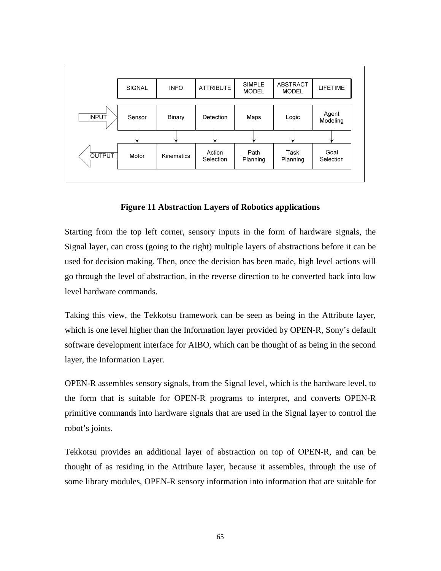

**Figure 11 Abstraction Layers of Robotics applications** 

Starting from the top left corner, sensory inputs in the form of hardware signals, the Signal layer, can cross (going to the right) multiple layers of abstractions before it can be used for decision making. Then, once the decision has been made, high level actions will go through the level of abstraction, in the reverse direction to be converted back into low level hardware commands.

Taking this view, the Tekkotsu framework can be seen as being in the Attribute layer, which is one level higher than the Information layer provided by OPEN-R, Sony's default software development interface for AIBO, which can be thought of as being in the second layer, the Information Layer.

OPEN-R assembles sensory signals, from the Signal level, which is the hardware level, to the form that is suitable for OPEN-R programs to interpret, and converts OPEN-R primitive commands into hardware signals that are used in the Signal layer to control the robot's joints.

Tekkotsu provides an additional layer of abstraction on top of OPEN-R, and can be thought of as residing in the Attribute layer, because it assembles, through the use of some library modules, OPEN-R sensory information into information that are suitable for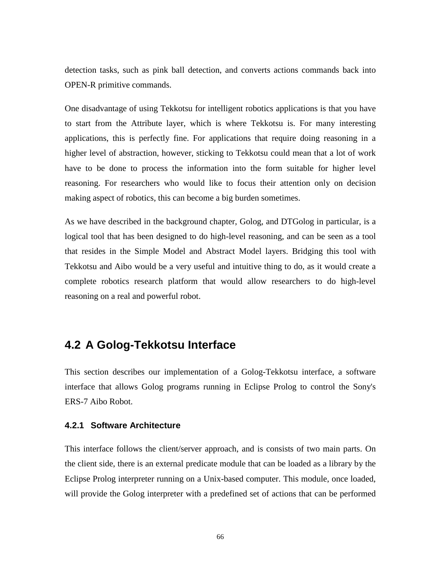detection tasks, such as pink ball detection, and converts actions commands back into OPEN-R primitive commands.

One disadvantage of using Tekkotsu for intelligent robotics applications is that you have to start from the Attribute layer, which is where Tekkotsu is. For many interesting applications, this is perfectly fine. For applications that require doing reasoning in a higher level of abstraction, however, sticking to Tekkotsu could mean that a lot of work have to be done to process the information into the form suitable for higher level reasoning. For researchers who would like to focus their attention only on decision making aspect of robotics, this can become a big burden sometimes.

As we have described in the background chapter, Golog, and DTGolog in particular, is a logical tool that has been designed to do high-level reasoning, and can be seen as a tool that resides in the Simple Model and Abstract Model layers. Bridging this tool with Tekkotsu and Aibo would be a very useful and intuitive thing to do, as it would create a complete robotics research platform that would allow researchers to do high-level reasoning on a real and powerful robot.

### **4.2 A Golog-Tekkotsu Interface**

This section describes our implementation of a Golog-Tekkotsu interface, a software interface that allows Golog programs running in Eclipse Prolog to control the Sony's ERS-7 Aibo Robot.

#### **4.2.1 Software Architecture**

This interface follows the client/server approach, and is consists of two main parts. On the client side, there is an external predicate module that can be loaded as a library by the Eclipse Prolog interpreter running on a Unix-based computer. This module, once loaded, will provide the Golog interpreter with a predefined set of actions that can be performed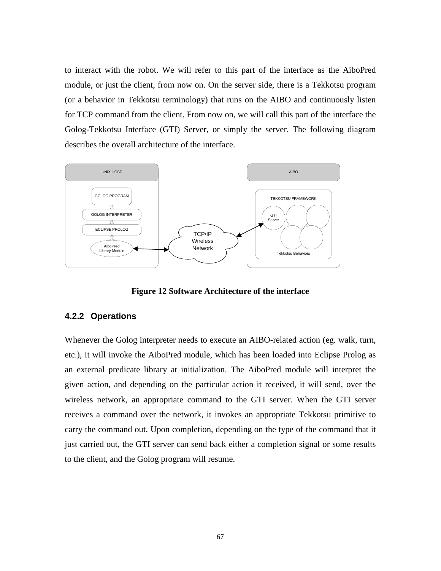to interact with the robot. We will refer to this part of the interface as the AiboPred module, or just the client, from now on. On the server side, there is a Tekkotsu program (or a behavior in Tekkotsu terminology) that runs on the AIBO and continuously listen for TCP command from the client. From now on, we will call this part of the interface the Golog-Tekkotsu Interface (GTI) Server, or simply the server. The following diagram describes the overall architecture of the interface.



**Figure 12 Software Architecture of the interface** 

#### **4.2.2 Operations**

Whenever the Golog interpreter needs to execute an AIBO-related action (eg. walk, turn, etc.), it will invoke the AiboPred module, which has been loaded into Eclipse Prolog as an external predicate library at initialization. The AiboPred module will interpret the given action, and depending on the particular action it received, it will send, over the wireless network, an appropriate command to the GTI server. When the GTI server receives a command over the network, it invokes an appropriate Tekkotsu primitive to carry the command out. Upon completion, depending on the type of the command that it just carried out, the GTI server can send back either a completion signal or some results to the client, and the Golog program will resume.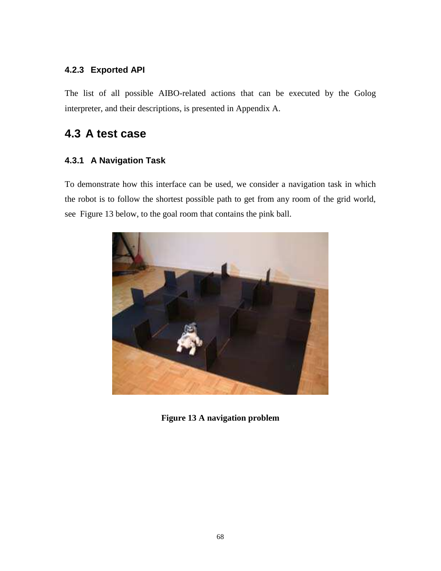#### **4.2.3 Exported API**

The list of all possible AIBO-related actions that can be executed by the Golog interpreter, and their descriptions, is presented in Appendix A.

## **4.3 A test case**

### **4.3.1 A Navigation Task**

To demonstrate how this interface can be used, we consider a navigation task in which the robot is to follow the shortest possible path to get from any room of the grid world, see Figure 13 below, to the goal room that contains the pink ball.



**Figure 13 A navigation problem**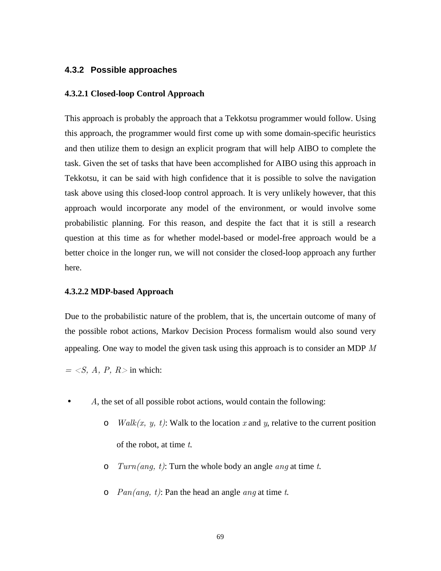#### **4.3.2 Possible approaches**

#### **4.3.2.1 Closed-loop Control Approach**

This approach is probably the approach that a Tekkotsu programmer would follow. Using this approach, the programmer would first come up with some domain-specific heuristics and then utilize them to design an explicit program that will help AIBO to complete the task. Given the set of tasks that have been accomplished for AIBO using this approach in Tekkotsu, it can be said with high confidence that it is possible to solve the navigation task above using this closed-loop control approach. It is very unlikely however, that this approach would incorporate any model of the environment, or would involve some probabilistic planning. For this reason, and despite the fact that it is still a research question at this time as for whether model-based or model-free approach would be a better choice in the longer run, we will not consider the closed-loop approach any further here.

#### **4.3.2.2 MDP-based Approach**

Due to the probabilistic nature of the problem, that is, the uncertain outcome of many of the possible robot actions, Markov Decision Process formalism would also sound very appealing. One way to model the given task using this approach is to consider an MDP  $M$ 

 $=$  <S, A, P, R > in which:

- A, the set of all possible robot actions, would contain the following:
	- o *Walk(x, y, t)*: Walk to the location x and y, relative to the current position of the robot, at time  $t$ .
	- $\circ$  Turn(ang, t): Turn the whole body an angle ang at time t.
	- $\circ$   $Pan(ang, t)$ : Pan the head an angle ang at time t.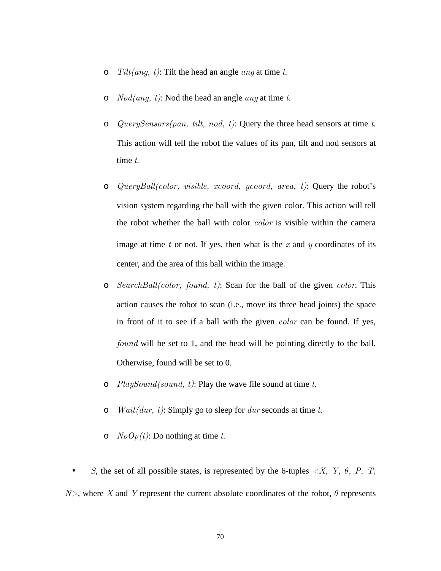- $\circ$  Tilt(ang, t): Tilt the head an angle ang at time t.
- $\circ$  *Nod(ang, t)*: Nod the head an angle *ang* at time *t*.
- o QuerySensors(pan, tilt, nod, t): Query the three head sensors at time t. This action will tell the robot the values of its pan, tilt and nod sensors at time t.
- o QueryBall(color, visible, xcoord, ycoord, area, t): Query the robot's vision system regarding the ball with the given color. This action will tell the robot whether the ball with color color is visible within the camera image at time  $t$  or not. If yes, then what is the  $x$  and  $y$  coordinates of its center, and the area of this ball within the image.
- $\circ$  SearchBall(color, found, t): Scan for the ball of the given color. This action causes the robot to scan (i.e., move its three head joints) the space in front of it to see if a ball with the given color can be found. If yes, found will be set to 1, and the head will be pointing directly to the ball. Otherwise, found will be set to 0.
- $\circ$  *PlaySound(sound, t)*: Play the wave file sound at time t.
- o *Wait(dur, t)*: Simply go to sleep for *dur* seconds at time t.
- $\circ$  NoOp(t): Do nothing at time t.
- S, the set of all possible states, is represented by the 6-tuples  $\langle X, Y, \theta, P, T \rangle$  $N$ , where X and Y represent the current absolute coordinates of the robot,  $\theta$  represents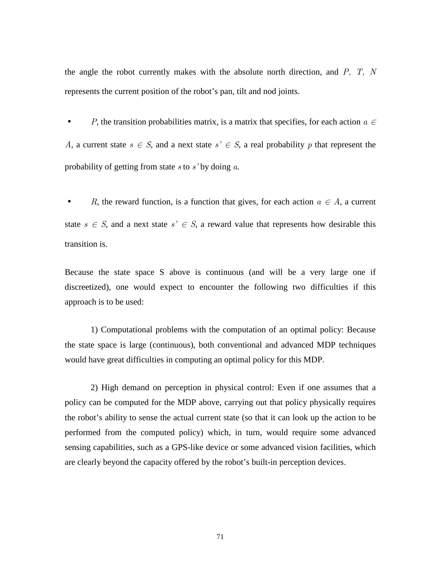the angle the robot currently makes with the absolute north direction, and  $P$ ,  $T$ ,  $N$ represents the current position of the robot's pan, tilt and nod joints.

• P, the transition probabilities matrix, is a matrix that specifies, for each action  $a \in$ A, a current state  $s \in S$ , and a next state  $s' \in S$ , a real probability p that represent the probability of getting from state s to  $s'$  by doing a.

R, the reward function, is a function that gives, for each action  $a \in A$ , a current state  $s \in S$ , and a next state  $s' \in S$ , a reward value that represents how desirable this transition is.

Because the state space S above is continuous (and will be a very large one if discreetized), one would expect to encounter the following two difficulties if this approach is to be used:

 1) Computational problems with the computation of an optimal policy: Because the state space is large (continuous), both conventional and advanced MDP techniques would have great difficulties in computing an optimal policy for this MDP.

 2) High demand on perception in physical control: Even if one assumes that a policy can be computed for the MDP above, carrying out that policy physically requires the robot's ability to sense the actual current state (so that it can look up the action to be performed from the computed policy) which, in turn, would require some advanced sensing capabilities, such as a GPS-like device or some advanced vision facilities, which are clearly beyond the capacity offered by the robot's built-in perception devices.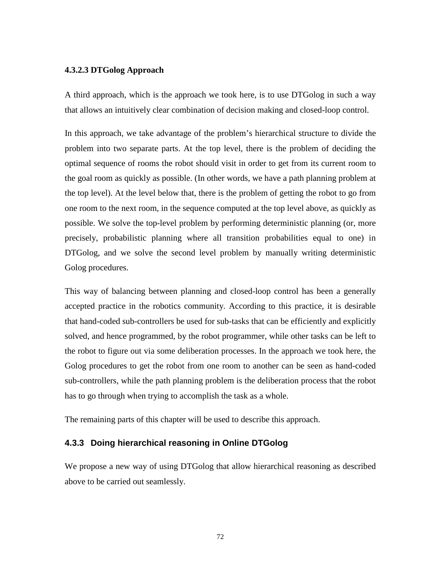#### **4.3.2.3 DTGolog Approach**

A third approach, which is the approach we took here, is to use DTGolog in such a way that allows an intuitively clear combination of decision making and closed-loop control.

In this approach, we take advantage of the problem's hierarchical structure to divide the problem into two separate parts. At the top level, there is the problem of deciding the optimal sequence of rooms the robot should visit in order to get from its current room to the goal room as quickly as possible. (In other words, we have a path planning problem at the top level). At the level below that, there is the problem of getting the robot to go from one room to the next room, in the sequence computed at the top level above, as quickly as possible. We solve the top-level problem by performing deterministic planning (or, more precisely, probabilistic planning where all transition probabilities equal to one) in DTGolog, and we solve the second level problem by manually writing deterministic Golog procedures.

This way of balancing between planning and closed-loop control has been a generally accepted practice in the robotics community. According to this practice, it is desirable that hand-coded sub-controllers be used for sub-tasks that can be efficiently and explicitly solved, and hence programmed, by the robot programmer, while other tasks can be left to the robot to figure out via some deliberation processes. In the approach we took here, the Golog procedures to get the robot from one room to another can be seen as hand-coded sub-controllers, while the path planning problem is the deliberation process that the robot has to go through when trying to accomplish the task as a whole.

The remaining parts of this chapter will be used to describe this approach.

#### **4.3.3 Doing hierarchical reasoning in Online DTGolog**

We propose a new way of using DTGolog that allow hierarchical reasoning as described above to be carried out seamlessly.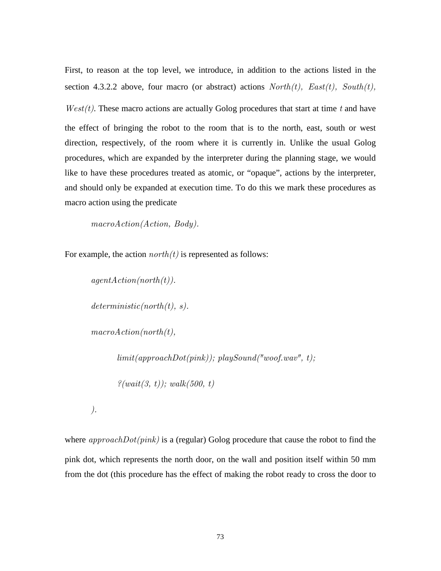First, to reason at the top level, we introduce, in addition to the actions listed in the section 4.3.2.2 above, four macro (or abstract) actions  $North(t)$ ,  $East(t)$ ,  $South(t)$ ,  $West(t)$ . These macro actions are actually Golog procedures that start at time t and have the effect of bringing the robot to the room that is to the north, east, south or west direction, respectively, of the room where it is currently in. Unlike the usual Golog procedures, which are expanded by the interpreter during the planning stage, we would like to have these procedures treated as atomic, or "opaque", actions by the interpreter, and should only be expanded at execution time. To do this we mark these procedures as macro action using the predicate

macroAction(Action, Body).

For example, the action  $north(t)$  is represented as follows:

```
agentAction(north(t)).deterministic(north(t), s).macroAction(north(t)),limit(approachDot(pink)); play Sound("woof.wav", t);\mathcal{E}(wait(3, t)); walk(500, t)
```
).

where  $approachDot(pink)$  is a (regular) Golog procedure that cause the robot to find the pink dot, which represents the north door, on the wall and position itself within 50 mm from the dot (this procedure has the effect of making the robot ready to cross the door to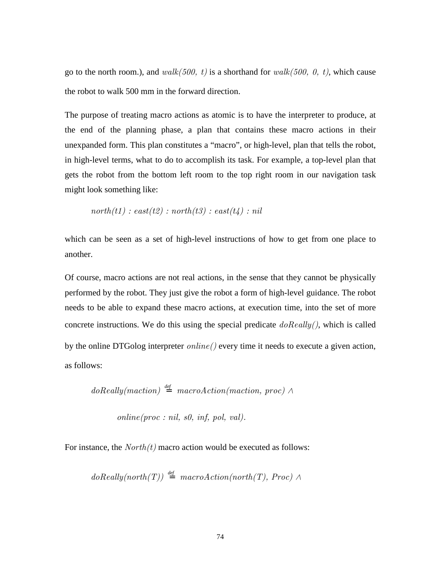go to the north room.), and walk(500, t) is a shorthand for walk(500, 0, t), which cause the robot to walk 500 mm in the forward direction.

The purpose of treating macro actions as atomic is to have the interpreter to produce, at the end of the planning phase, a plan that contains these macro actions in their unexpanded form. This plan constitutes a "macro", or high-level, plan that tells the robot, in high-level terms, what to do to accomplish its task. For example, a top-level plan that gets the robot from the bottom left room to the top right room in our navigation task might look something like:

$$
north(t1) : east(t2) : north(t3) : east(t4) : nil
$$

which can be seen as a set of high-level instructions of how to get from one place to another.

Of course, macro actions are not real actions, in the sense that they cannot be physically performed by the robot. They just give the robot a form of high-level guidance. The robot needs to be able to expand these macro actions, at execution time, into the set of more concrete instructions. We do this using the special predicate  $\text{doReally}($ ), which is called by the online DTGolog interpreter  $online()$  every time it needs to execute a given action, as follows:

$$
doReally(maction) \stackrel{\text{def}}{=} macroAction(maction, proc) \land
$$

 $online(proc : nil, s0, inf, pol, val).$ 

For instance, the  $North(t)$  macro action would be executed as follows:

$$
doReally(north(T)) \stackrel{\text{def}}{=} macroAction(north(T), Proc) \land
$$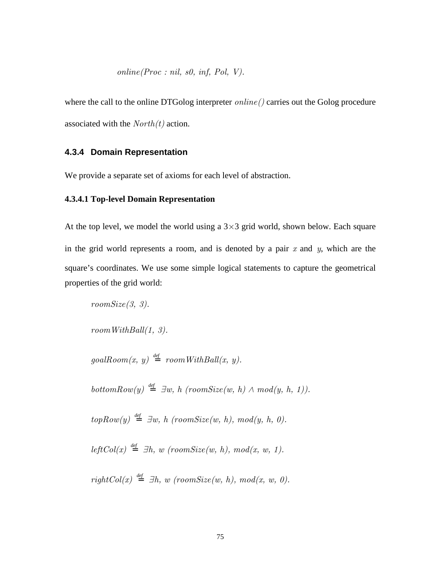where the call to the online DTGolog interpreter  $online()$  carries out the Golog procedure associated with the  $North(t)$  action.

#### **4.3.4 Domain Representation**

We provide a separate set of axioms for each level of abstraction.

#### **4.3.4.1 Top-level Domain Representation**

At the top level, we model the world using a  $3\times3$  grid world, shown below. Each square in the grid world represents a room, and is denoted by a pair  $x$  and  $y$ , which are the square's coordinates. We use some simple logical statements to capture the geometrical properties of the grid world:

 $roomSize(3, 3)$ .

 $roomWithBall(1, 3).$ 

 $goalRoom(x, y) \stackrel{\text{def}}{=} roomWithBall(x, y).$ 

 $bottomRow(y) \stackrel{\text{def}}{=} \exists w, h \ (roomSize(w, h) \land mod(y, h, 1)).$ 

 $topRow(y) \stackrel{def}{=} \exists w, h \ (roomSize(w, h), mod(y, h, 0).$ 

 $leftCol(x) \stackrel{\text{def}}{=} \exists h, w \ (roomSize(w, h), mod(x, w, 1).$ 

 $rightCol(x) \stackrel{\text{def}}{=} \exists h, w \ (roomSize(w, h), mod(x, w, 0).$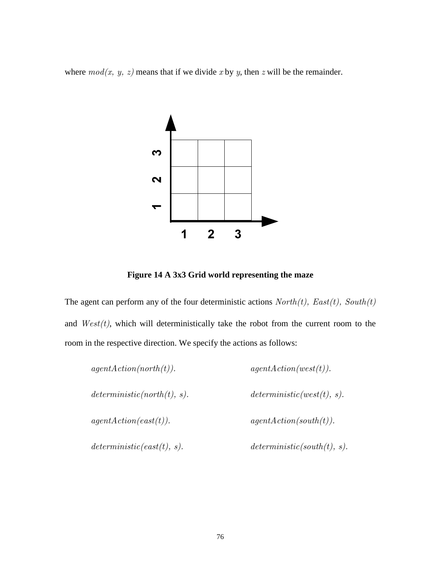where  $mod(x, y, z)$  means that if we divide x by y, then z will be the remainder.



**Figure 14 A 3x3 Grid world representing the maze** 

The agent can perform any of the four deterministic actions  $North(t)$ ,  $East(t)$ ,  $South(t)$ and  $West(t)$ , which will deterministically take the robot from the current room to the room in the respective direction. We specify the actions as follows:

| agentAction(north(t)).      | agentAction(west(t)).       |  |
|-----------------------------|-----------------------------|--|
| deterministic(north(t), s). | deterministic(west(t), s).  |  |
| agentAction(east(t)).       | agentAction(south(t)).      |  |
| deterministic(east(t), s).  | deterministic(south(t), s). |  |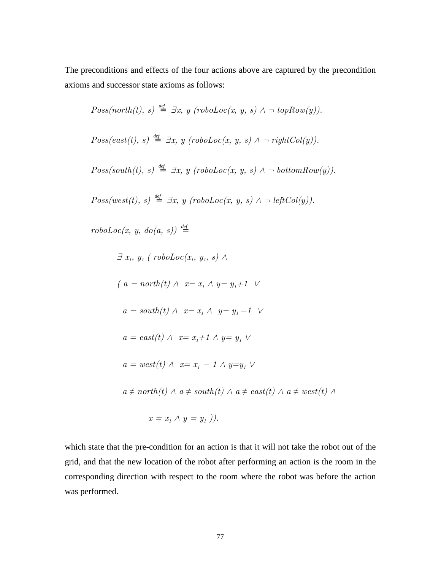The preconditions and effects of the four actions above are captured by the precondition axioms and successor state axioms as follows:

$$
Poss(north(t), s) \stackrel{\text{def}}{=} \exists x, y \ (robotLoc(x, y, s) \land \neg topRow(y)).
$$
\n
$$
Poss(east(t), s) \stackrel{\text{def}}{=} \exists x, y \ (robotLoc(x, y, s) \land \neg rightCol(y)).
$$
\n
$$
Poss(south(t), s) \stackrel{\text{def}}{=} \exists x, y \ (robotLoc(x, y, s) \land \neg bottomRow(y)).
$$

 $Poss(west(t), s) \stackrel{\text{def}}{=} \exists x, y \ (robotLoc(x, y, s) \land \neg \ leftCol(y)).$ 

 $\text{roboLoc}(x, y, \text{do}(a, s)) \stackrel{\text{def}}{=}$ 

$$
\exists x_i, y_i \, (\text{robotLoc}(x_i, y_i, s) \land
$$
\n
$$
(a = \text{north}(t) \land x = x_i \land y = y_i + 1 \lor
$$
\n
$$
a = \text{south}(t) \land x = x_i \land y = y_i - 1 \lor
$$
\n
$$
a = \text{east}(t) \land x = x_i + 1 \land y = y_i \lor
$$
\n
$$
a = \text{west}(t) \land x = x_i - 1 \land y = y_i \lor
$$
\n
$$
a \neq \text{north}(t) \land a \neq \text{south}(t) \land a \neq \text{east}(t) \land a \neq \text{west}(t) \land
$$
\n
$$
x = x_i \land y = y_i ).
$$

which state that the pre-condition for an action is that it will not take the robot out of the grid, and that the new location of the robot after performing an action is the room in the corresponding direction with respect to the room where the robot was before the action was performed.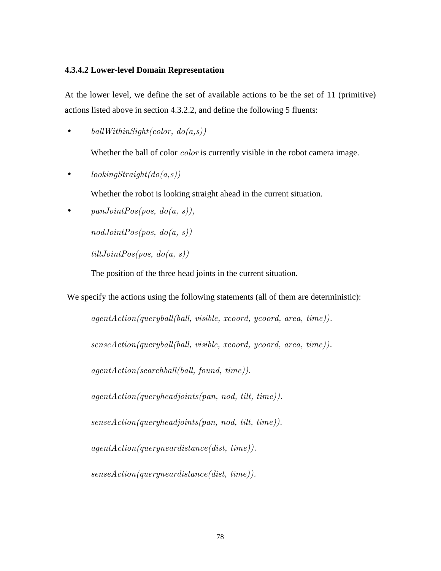#### **4.3.4.2 Lower-level Domain Representation**

At the lower level, we define the set of available actions to be the set of 11 (primitive) actions listed above in section 4.3.2.2, and define the following 5 fluents:

• ballWithinSight(color,  $do(a,s)$ )

Whether the ball of color *color* is currently visible in the robot camera image.

•  $lookingStraight(do(a, s))$ 

Whether the robot is looking straight ahead in the current situation.

•  $panJointPos(pos, do(a, s)),$ 

 $nodJointPos(pos, do(a, s))$ 

 $tiltJointPos(pos, do(a, s))$ 

The position of the three head joints in the current situation.

We specify the actions using the following statements (all of them are deterministic):

agentAction(queryball(ball, visible, xcoord, ycoord, area, time)).

senseAction(queryball(ball, visible, xcoord, ycoord, area, time)).

agentAction(searchball(ball, found, time)).

agentAction(queryheadjoints(pan, nod, tilt, time)).

senseAction(queryheadjoints(pan, nod, tilt, time)).

agentAction(queryneardistance(dist, time)).

senseAction(queryneardistance(dist, time)).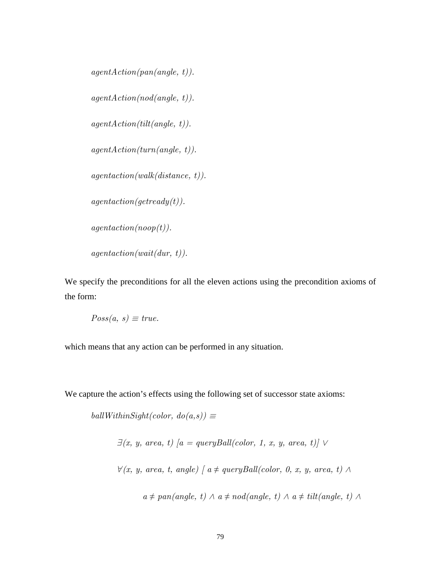```
agentAction(pan(angle, t)).agentAction(node, t).
agentAction(tilt(angle, t)).agentAction(turn(angle, t)).agentaction(walk(distance, t)).agentaction(getready(t)).
agentaction(noop(t)).
agentaction(wait(dur, t)).
```
We specify the preconditions for all the eleven actions using the precondition axioms of the form:

$$
Poss(a, s) \equiv true.
$$

which means that any action can be performed in any situation.

We capture the action's effects using the following set of successor state axioms:

ballWithinSight(color,  $do(a,s)$ )  $\equiv$ 

$$
\exists (x, y, area, t) [a = queryBall(color, 1, x, y, area, t)] \lor
$$
  

$$
\forall (x, y, area, t, angle) [a \ne queryBall(color, 0, x, y, area, t) \land
$$
  

$$
a \ne pan(angle, t) \land a \neq nod(angle, t) \land a \neq tilt(angle, t) \land
$$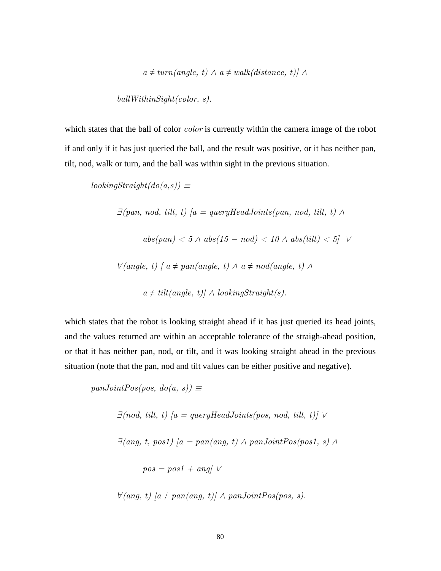$a \neq turn(angle, t) \land a \neq walk(distance, t) \land \land$ 

ballWithinSight(color, s).

which states that the ball of color *color* is currently within the camera image of the robot if and only if it has just queried the ball, and the result was positive, or it has neither pan, tilt, nod, walk or turn, and the ball was within sight in the previous situation.

 $lookingStraight(do(a,s)) \equiv$ 

 $\exists (pan, nod, tilt, t) [a = queryHeadJoints(pan, nod, tilt, t) \wedge$ 

 $abs(pan) < 5 \land abs(15 - nod) < 10 \land abs(tilt) < 5$ 

 $\forall$ (angle, t) [ a ≠ pan(angle, t)  $\land$  a ≠ nod(angle, t)  $\land$ 

 $a \neq tilt(angle, t) \land lookingStraight(s).$ 

which states that the robot is looking straight ahead if it has just queried its head joints, and the values returned are within an acceptable tolerance of the straigh-ahead position, or that it has neither pan, nod, or tilt, and it was looking straight ahead in the previous situation (note that the pan, nod and tilt values can be either positive and negative).

 $panJointPos(pos, do(a, s)) \equiv$ 

 $\exists (nod, tilt, t) [a = queryHeadJoints(pos, nod, tilt, t)] \vee$ 

 $\exists$ (ang, t, pos1) [a = pan(ang, t)  $\land$  panJointPos(pos1, s)  $\land$ 

 $pos = pos1 + ang \vee$ 

 $∀(ang, t) [a ≠ pan(ang, t)] ∧ panJointPos(pos, s).$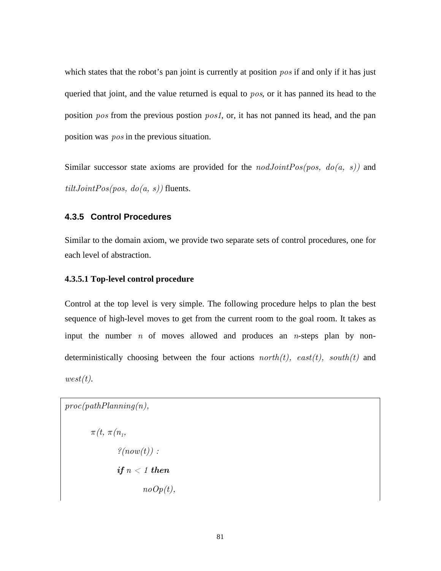which states that the robot's pan joint is currently at position pos if and only if it has just queried that joint, and the value returned is equal to  $pos$ , or it has panned its head to the position pos from the previous postion pos1, or, it has not panned its head, and the pan position was pos in the previous situation.

Similar successor state axioms are provided for the  $nodJointPos(pos, do(a, s))$  and  $tiltJointPos(pos, do(a, s))$  fluents.

#### **4.3.5 Control Procedures**

Similar to the domain axiom, we provide two separate sets of control procedures, one for each level of abstraction.

#### **4.3.5.1 Top-level control procedure**

Control at the top level is very simple. The following procedure helps to plan the best sequence of high-level moves to get from the current room to the goal room. It takes as input the number  $n$  of moves allowed and produces an  $n$ -steps plan by nondeterministically choosing between the four actions  $north(t)$ ,  $east(t)$ ,  $south(t)$  and  $west(t)$ .

 $proc(pathPlanning(n),$ π(t, π(n<sup>1</sup> ,  $\mathcal{E}(now(t))$ : if  $n < 1$  then  $noOp(t)$ ,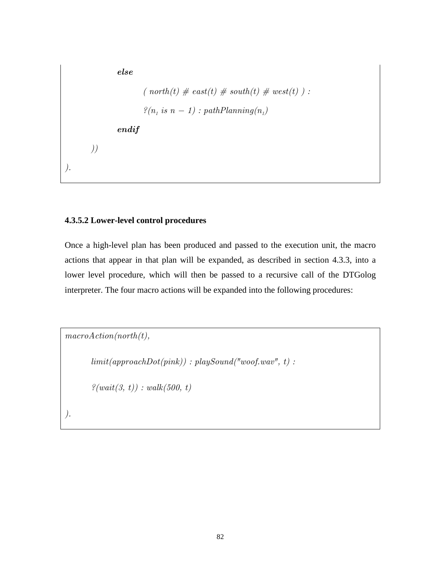else ( north(t)  $\#$  east(t)  $\#$  south(t)  $\#$  west(t)):  $\mathscr{L}(n_i \text{ is } n-1) : pathPlanning(n_i)$  endif )) ).

#### **4.3.5.2 Lower-level control procedures**

Once a high-level plan has been produced and passed to the execution unit, the macro actions that appear in that plan will be expanded, as described in section 4.3.3, into a lower level procedure, which will then be passed to a recursive call of the DTGolog interpreter. The four macro actions will be expanded into the following procedures:

```
macroAction(north(t)),limit(approdbto(pink)): playSound("woof.wav", t):
      ?(wait(3, t)) : walk(500, t)).
```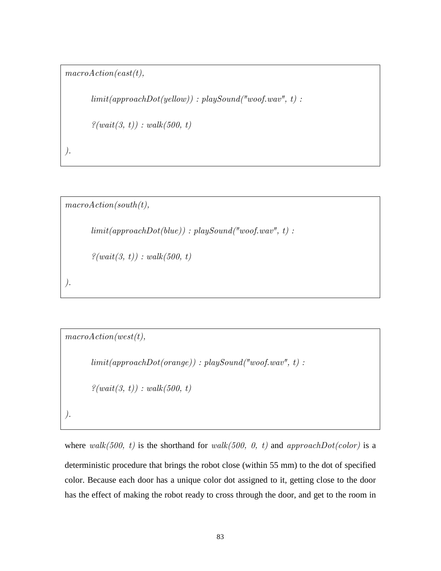```
macroAction(east(t),
```
 $limit(approachDot(yellow))$ : playSound("woof.wav", t):

```
\mathcal{P}(wait(3, t)) : walk(500, t)
```
).

```
macroAction(south(t)),limit(ap proachDot(blue): playSound("woof.wav", t):
```
 $?(wait(3, t)) : walk(500, t)$ 

```
).
```

```
macroAction(west(t)),limit(ap proachDot(orange)): playSound('wood, wav'', t):
        \mathscr{L}(\text{wait}(3, t)) : \text{walk}(500, t)).
```
where walk(500, t) is the shorthand for walk(500, 0, t) and approach $Dot(color)$  is a deterministic procedure that brings the robot close (within 55 mm) to the dot of specified color. Because each door has a unique color dot assigned to it, getting close to the door has the effect of making the robot ready to cross through the door, and get to the room in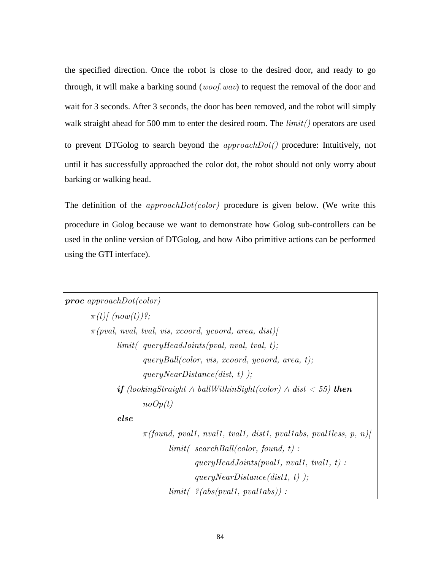the specified direction. Once the robot is close to the desired door, and ready to go through, it will make a barking sound (*woof.wav*) to request the removal of the door and wait for 3 seconds. After 3 seconds, the door has been removed, and the robot will simply walk straight ahead for 500 mm to enter the desired room. The  $limit()$  operators are used to prevent DTGolog to search beyond the  $approachDot()$  procedure: Intuitively, not until it has successfully approached the color dot, the robot should not only worry about barking or walking head.

The definition of the  $approachDot(color)$  procedure is given below. (We write this procedure in Golog because we want to demonstrate how Golog sub-controllers can be used in the online version of DTGolog, and how Aibo primitive actions can be performed using the GTI interface).

```
proc approachDot(color) 
       \pi(t)/\left(now(t)\right)?;
       \pi(pval, \text{ nval}, \text{ tval}, \text{ vis}, \text{ xcoord}, \text{ ycoord}, \text{ area}, \text{ dist})limit( queryHeadJoints(pval, nval, tval, t);
                         queryBall(color, vis, xcoord, ycoord, area, t); 
                        queryNearDistance(dist, t) );
               if (lookingStraight ∧ ballWithinSight(color) ∧ dist < 55) then
                        noOp(t) else 
                        \pi(found, pval1, nval1, tval1, dist1, pval1abs, pval1less, p, n)
                                limit( searchBall(color, found, t):
                                        queryHeadJoints(pval1, nval1, tval1, t):
                                        queryNearDistance(dist1, t) );
                                limit( ?(abs(pval1, pval1abs)):
```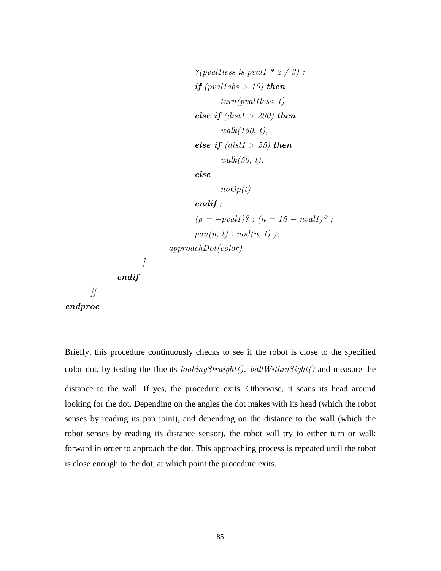```
\frac{2}{\gamma} (pval1 less is pval1 * 2 / 3):
                                     if (pval1abs > 10) then
                                             turn(pval1less, t)else if (dist1 > 200) then
                                              walk(150, t), 
                                     else if (dist1 > 55) then
                                             walk(50, t), else 
                                             noOp(t) endif ; 
                                     (p = -pval1)? ; (n = 15 - nval1)? ;
                                     pan(p, t) : nod(n, t) );
                               approachDot(color) 
                     \int endif 
        ]] 
endproc
```
Briefly, this procedure continuously checks to see if the robot is close to the specified color dot, by testing the fluents  $lookingStraight()$ ,  $ballWithinSight()$  and measure the distance to the wall. If yes, the procedure exits. Otherwise, it scans its head around looking for the dot. Depending on the angles the dot makes with its head (which the robot senses by reading its pan joint), and depending on the distance to the wall (which the robot senses by reading its distance sensor), the robot will try to either turn or walk forward in order to approach the dot. This approaching process is repeated until the robot is close enough to the dot, at which point the procedure exits.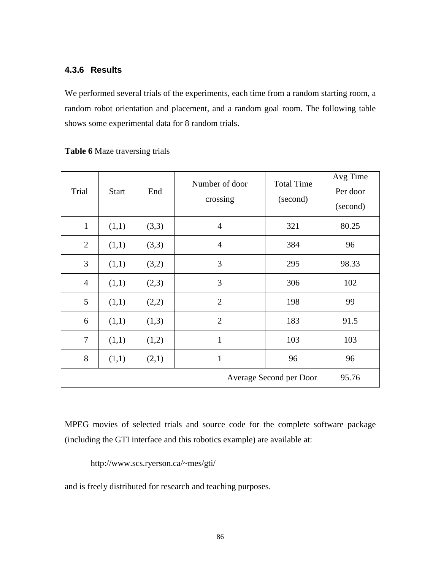#### **4.3.6 Results**

We performed several trials of the experiments, each time from a random starting room, a random robot orientation and placement, and a random goal room. The following table shows some experimental data for 8 random trials.

| Trial                            | <b>Start</b> | End   | Number of door<br>crossing | <b>Total Time</b><br>(second) | Avg Time<br>Per door<br>(second) |
|----------------------------------|--------------|-------|----------------------------|-------------------------------|----------------------------------|
| $\mathbf{1}$                     | (1,1)        | (3,3) | $\overline{4}$             | 321                           | 80.25                            |
| $\overline{2}$                   | (1,1)        | (3,3) | $\overline{4}$             | 384                           | 96                               |
| 3                                | (1,1)        | (3,2) | 3                          | 295                           | 98.33                            |
| $\overline{4}$                   | (1,1)        | (2,3) | 3                          | 306                           | 102                              |
| 5                                | (1,1)        | (2,2) | $\overline{2}$             | 198                           | 99                               |
| 6                                | (1,1)        | (1,3) | $\overline{2}$             | 183                           | 91.5                             |
| $\overline{7}$                   | (1,1)        | (1,2) | $\mathbf{1}$               | 103                           | 103                              |
| 8                                | (1,1)        | (2,1) | $\mathbf 1$                | 96                            | 96                               |
| 95.76<br>Average Second per Door |              |       |                            |                               |                                  |

#### **Table 6** Maze traversing trials

MPEG movies of selected trials and source code for the complete software package (including the GTI interface and this robotics example) are available at:

http://www.scs.ryerson.ca/~mes/gti/

and is freely distributed for research and teaching purposes.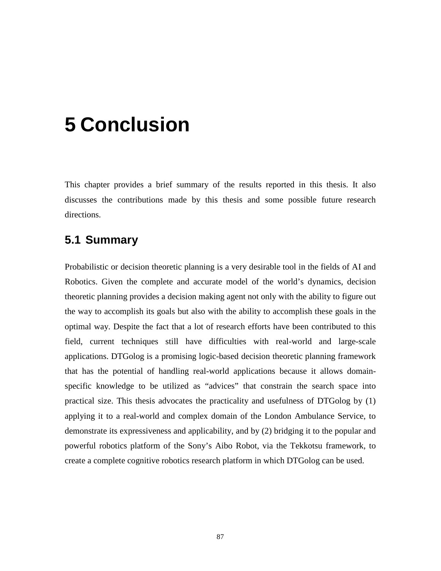# **5 Conclusion**

This chapter provides a brief summary of the results reported in this thesis. It also discusses the contributions made by this thesis and some possible future research directions.

### **5.1 Summary**

Probabilistic or decision theoretic planning is a very desirable tool in the fields of AI and Robotics. Given the complete and accurate model of the world's dynamics, decision theoretic planning provides a decision making agent not only with the ability to figure out the way to accomplish its goals but also with the ability to accomplish these goals in the optimal way. Despite the fact that a lot of research efforts have been contributed to this field, current techniques still have difficulties with real-world and large-scale applications. DTGolog is a promising logic-based decision theoretic planning framework that has the potential of handling real-world applications because it allows domainspecific knowledge to be utilized as "advices" that constrain the search space into practical size. This thesis advocates the practicality and usefulness of DTGolog by (1) applying it to a real-world and complex domain of the London Ambulance Service, to demonstrate its expressiveness and applicability, and by (2) bridging it to the popular and powerful robotics platform of the Sony's Aibo Robot, via the Tekkotsu framework, to create a complete cognitive robotics research platform in which DTGolog can be used.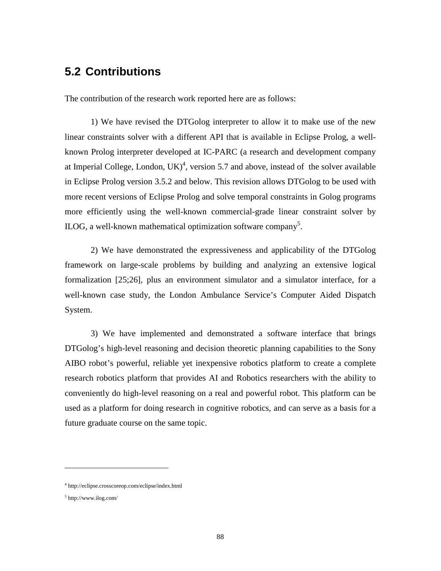### **5.2 Contributions**

The contribution of the research work reported here are as follows:

 1) We have revised the DTGolog interpreter to allow it to make use of the new linear constraints solver with a different API that is available in Eclipse Prolog, a wellknown Prolog interpreter developed at IC-PARC (a research and development company at Imperial College, London,  $UK)^4$ , version 5.7 and above, instead of the solver available in Eclipse Prolog version 3.5.2 and below. This revision allows DTGolog to be used with more recent versions of Eclipse Prolog and solve temporal constraints in Golog programs more efficiently using the well-known commercial-grade linear constraint solver by ILOG, a well-known mathematical optimization software company<sup>5</sup>.

 2) We have demonstrated the expressiveness and applicability of the DTGolog framework on large-scale problems by building and analyzing an extensive logical formalization [25;26], plus an environment simulator and a simulator interface, for a well-known case study, the London Ambulance Service's Computer Aided Dispatch System.

 3) We have implemented and demonstrated a software interface that brings DTGolog's high-level reasoning and decision theoretic planning capabilities to the Sony AIBO robot's powerful, reliable yet inexpensive robotics platform to create a complete research robotics platform that provides AI and Robotics researchers with the ability to conveniently do high-level reasoning on a real and powerful robot. This platform can be used as a platform for doing research in cognitive robotics, and can serve as a basis for a future graduate course on the same topic.

<u>.</u>

<sup>4</sup> http://eclipse.crosscoreop.com/eclipse/index.html

<sup>5</sup> http://www.ilog.com/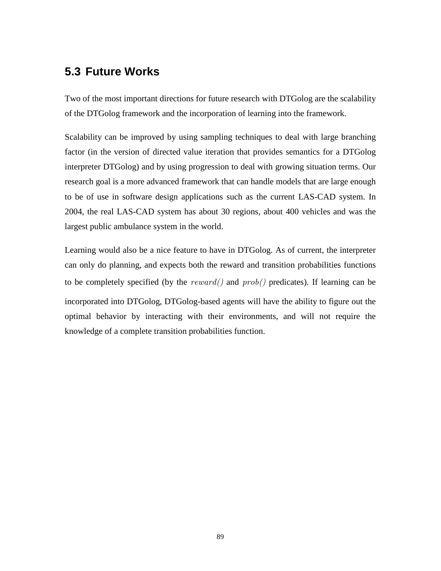## **5.3 Future Works**

Two of the most important directions for future research with DTGolog are the scalability of the DTGolog framework and the incorporation of learning into the framework.

Scalability can be improved by using sampling techniques to deal with large branching factor (in the version of directed value iteration that provides semantics for a DTGolog interpreter DTGolog) and by using progression to deal with growing situation terms. Our research goal is a more advanced framework that can handle models that are large enough to be of use in software design applications such as the current LAS-CAD system. In 2004, the real LAS-CAD system has about 30 regions, about 400 vehicles and was the largest public ambulance system in the world.

Learning would also be a nice feature to have in DTGolog. As of current, the interpreter can only do planning, and expects both the reward and transition probabilities functions to be completely specified (by the  $reward()$  and  $prob()$  predicates). If learning can be incorporated into DTGolog, DTGolog-based agents will have the ability to figure out the optimal behavior by interacting with their environments, and will not require the knowledge of a complete transition probabilities function.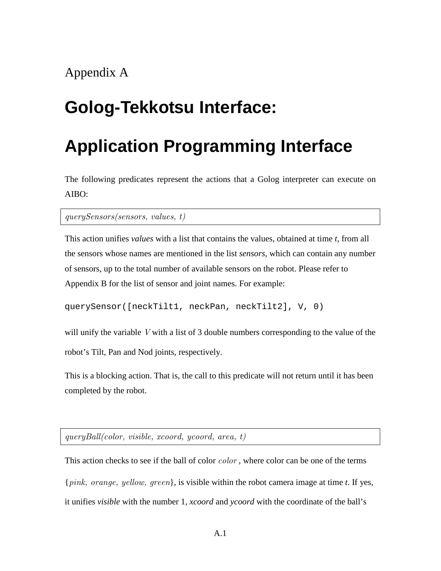# **Golog-Tekkotsu Interface:**

# **Application Programming Interface**

The following predicates represent the actions that a Golog interpreter can execute on AIBO:

querySensors(sensors, values, t)

This action unifies *values* with a list that contains the values, obtained at time *t*, from all the sensors whose names are mentioned in the list *sensors*, which can contain any number of sensors, up to the total number of available sensors on the robot. Please refer to Appendix B for the list of sensor and joint names. For example:

```
querySensor([neckTilt1, neckPan, neckTilt2], V, 0)
```
will unify the variable V with a list of 3 double numbers corresponding to the value of the robot's Tilt, Pan and Nod joints, respectively.

This is a blocking action. That is, the call to this predicate will not return until it has been completed by the robot.

queryBall(color, visible, xcoord, ycoord, area, t)

This action checks to see if the ball of color *color*, where color can be one of the terms {pink, orange, yellow, green}, is visible within the robot camera image at time *t*. If yes, it unifies *visible* with the number 1, *xcoord* and *ycoord* with the coordinate of the ball's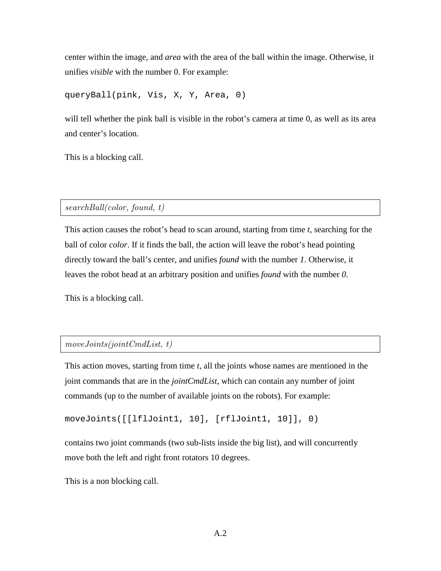center within the image, and *area* with the area of the ball within the image. Otherwise, it unifies *visible* with the number 0. For example:

queryBall(pink, Vis, X, Y, Area, 0)

will tell whether the pink ball is visible in the robot's camera at time 0, as well as its area and center's location.

This is a blocking call.

#### searchBall(color, found, t)

This action causes the robot's head to scan around, starting from time *t,* searching for the ball of color *color*. If it finds the ball, the action will leave the robot's head pointing directly toward the ball's center, and unifies *found* with the number *1*. Otherwise, it leaves the robot head at an arbitrary position and unifies *found* with the number *0*.

This is a blocking call.

#### moveJoints(jointCmdList, t)

This action moves, starting from time *t*, all the joints whose names are mentioned in the joint commands that are in the *jointCmdList*, which can contain any number of joint commands (up to the number of available joints on the robots). For example:

moveJoints([[lflJoint1, 10], [rflJoint1, 10]], 0)

contains two joint commands (two sub-lists inside the big list), and will concurrently move both the left and right front rotators 10 degrees.

This is a non blocking call.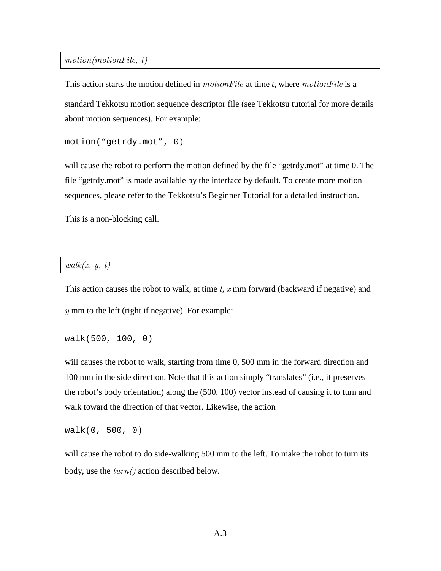motion(motionFile, t)

This action starts the motion defined in motionFile at time *t,* where motionFile is a standard Tekkotsu motion sequence descriptor file (see Tekkotsu tutorial for more details about motion sequences). For example:

```
motion("getrdy.mot", 0)
```
will cause the robot to perform the motion defined by the file "getrdy.mot" at time 0. The file "getrdy.mot" is made available by the interface by default. To create more motion sequences, please refer to the Tekkotsu's Beginner Tutorial for a detailed instruction.

This is a non-blocking call.

#### $walk(x, y, t)$

This action causes the robot to walk, at time  $t$ ,  $x$  mm forward (backward if negative) and  $y$  mm to the left (right if negative). For example:

```
walk(500, 100, 0)
```
will causes the robot to walk, starting from time 0, 500 mm in the forward direction and 100 mm in the side direction. Note that this action simply "translates" (i.e., it preserves the robot's body orientation) along the (500, 100) vector instead of causing it to turn and walk toward the direction of that vector. Likewise, the action

walk(0, 500, 0)

will cause the robot to do side-walking 500 mm to the left. To make the robot to turn its body, use the  $turn()$  action described below.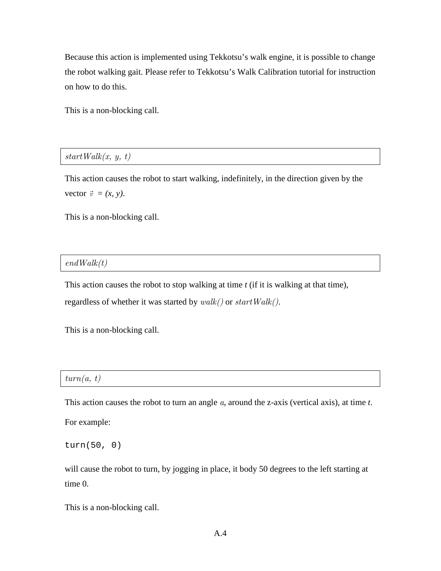Because this action is implemented using Tekkotsu's walk engine, it is possible to change the robot walking gait. Please refer to Tekkotsu's Walk Calibration tutorial for instruction on how to do this.

This is a non-blocking call.

 $startWalk(x, y, t)$ 

This action causes the robot to start walking, indefinitely, in the direction given by the vector  $\vec{v} = (x, y)$ .

This is a non-blocking call.

#### $endWalk(t)$

This action causes the robot to stop walking at time *t* (if it is walking at that time), regardless of whether it was started by  $walk()$  or  $startWalk()$ .

This is a non-blocking call.

| turn<br><b>.</b><br>761<br>ա.<br>٠. |
|-------------------------------------|
|-------------------------------------|

This action causes the robot to turn an angle a, around the z-axis (vertical axis), at time *t*.

For example:

turn(50, 0)

will cause the robot to turn, by jogging in place, it body 50 degrees to the left starting at time 0.

This is a non-blocking call.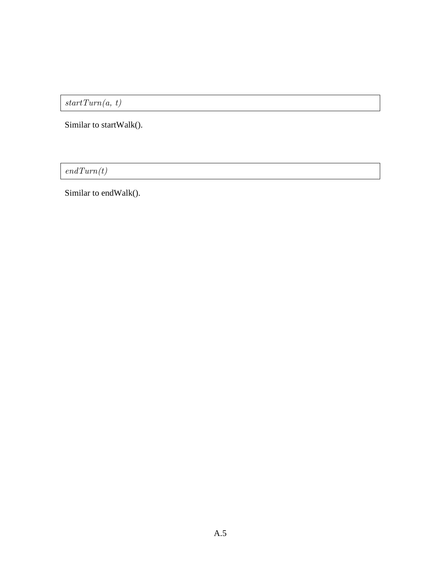$startTurn(a, t)$ 

Similar to startWalk().

 $\ensuremath{\mathit{endTurn}(t)}$ 

Similar to endWalk().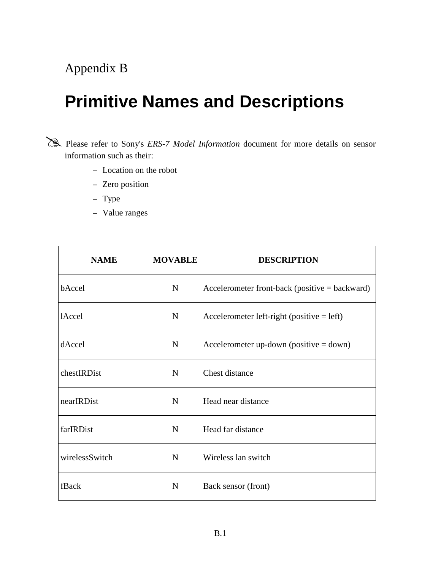# Appendix B

# **Primitive Names and Descriptions**

 Please refer to Sony's *ERS-7 Model Information* document for more details on sensor information such as their:

- − Location on the robot
- − Zero position
- − Type
- − Value ranges

| <b>NAME</b>    | <b>MOVABLE</b> | <b>DESCRIPTION</b>                               |
|----------------|----------------|--------------------------------------------------|
| bAccel         | $\mathbf N$    | Accelerometer front-back (positive $=$ backward) |
| <b>lAccel</b>  | N              | Accelerometer left-right (positive $=$ left)     |
| dAccel         | ${\bf N}$      | Accelerometer up-down (positive $=$ down)        |
| chestIRDist    | ${\bf N}$      | Chest distance                                   |
| nearIRDist     | ${\bf N}$      | Head near distance                               |
| farIRDist      | $\mathbf N$    | Head far distance                                |
| wirelessSwitch | N              | Wireless lan switch                              |
| fBack          | $\mathbf N$    | Back sensor (front)                              |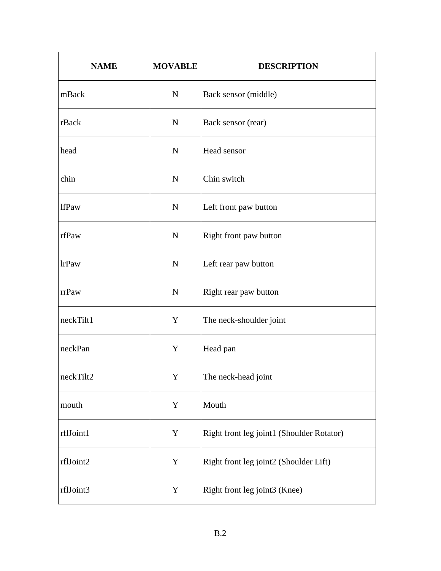| <b>NAME</b>  | <b>MOVABLE</b> | <b>DESCRIPTION</b>                        |
|--------------|----------------|-------------------------------------------|
| mBack        | $\mathbf N$    | Back sensor (middle)                      |
| rBack        | $\mathbf N$    | Back sensor (rear)                        |
| head         | ${\bf N}$      | Head sensor                               |
| chin         | ${\bf N}$      | Chin switch                               |
| <b>lfPaw</b> | ${\bf N}$      | Left front paw button                     |
| rfPaw        | ${\bf N}$      | Right front paw button                    |
| <b>lrPaw</b> | ${\bf N}$      | Left rear paw button                      |
| rrPaw        | ${\bf N}$      | Right rear paw button                     |
| neckTilt1    | Y              | The neck-shoulder joint                   |
| neckPan      | Y              | Head pan                                  |
| neckTilt2    | Y              | The neck-head joint                       |
| mouth        | $\mathbf Y$    | Mouth                                     |
| rflJoint1    | $\mathbf Y$    | Right front leg joint1 (Shoulder Rotator) |
| rflJoint2    | Y              | Right front leg joint2 (Shoulder Lift)    |
| rflJoint3    | Y              | Right front leg joint3 (Knee)             |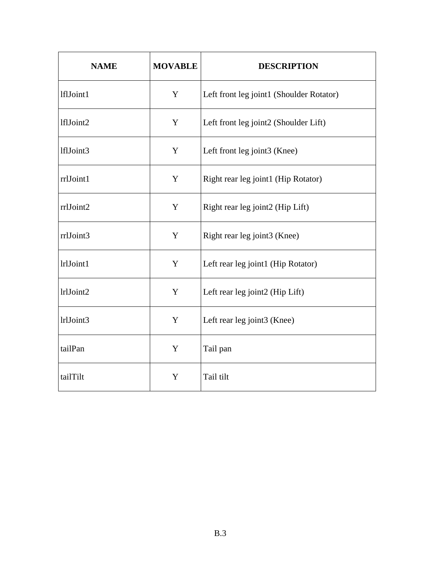| <b>NAME</b> | <b>MOVABLE</b> | <b>DESCRIPTION</b>                       |
|-------------|----------------|------------------------------------------|
| lflJoint1   | Y              | Left front leg joint1 (Shoulder Rotator) |
| lflJoint2   | Y              | Left front leg joint2 (Shoulder Lift)    |
| lflJoint3   | Y              | Left front leg joint3 (Knee)             |
| rrlJoint1   | Y              | Right rear leg joint1 (Hip Rotator)      |
| rrlJoint2   | Y              | Right rear leg joint2 (Hip Lift)         |
| rrlJoint3   | Y              | Right rear leg joint3 (Knee)             |
| lrlJoint1   | Y              | Left rear leg joint1 (Hip Rotator)       |
| lrlJoint2   | Y              | Left rear leg joint2 (Hip Lift)          |
| lrlJoint3   | Y              | Left rear leg joint3 (Knee)              |
| tailPan     | Y              | Tail pan                                 |
| tailTilt    | Y              | Tail tilt                                |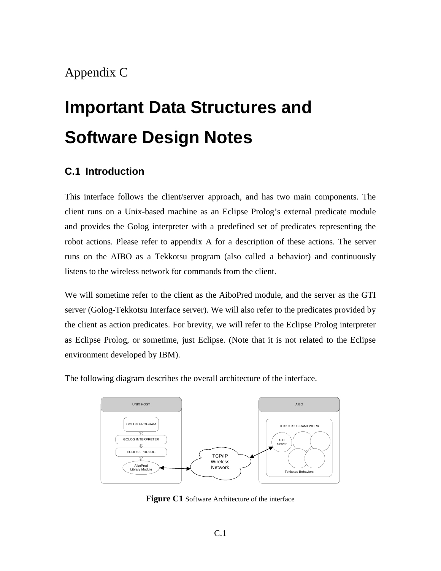# Appendix C

# **Important Data Structures and Software Design Notes**

### **C.1 Introduction**

This interface follows the client/server approach, and has two main components. The client runs on a Unix-based machine as an Eclipse Prolog's external predicate module and provides the Golog interpreter with a predefined set of predicates representing the robot actions. Please refer to appendix A for a description of these actions. The server runs on the AIBO as a Tekkotsu program (also called a behavior) and continuously listens to the wireless network for commands from the client.

We will sometime refer to the client as the AiboPred module, and the server as the GTI server (Golog-Tekkotsu Interface server). We will also refer to the predicates provided by the client as action predicates. For brevity, we will refer to the Eclipse Prolog interpreter as Eclipse Prolog, or sometime, just Eclipse. (Note that it is not related to the Eclipse environment developed by IBM).

The following diagram describes the overall architecture of the interface.



**Figure C1** Software Architecture of the interface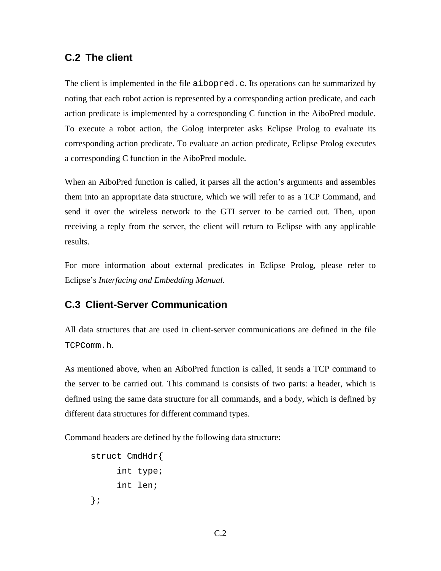### **C.2 The client**

The client is implemented in the file aibopred.c. Its operations can be summarized by noting that each robot action is represented by a corresponding action predicate, and each action predicate is implemented by a corresponding C function in the AiboPred module. To execute a robot action, the Golog interpreter asks Eclipse Prolog to evaluate its corresponding action predicate. To evaluate an action predicate, Eclipse Prolog executes a corresponding C function in the AiboPred module.

When an AiboPred function is called, it parses all the action's arguments and assembles them into an appropriate data structure, which we will refer to as a TCP Command, and send it over the wireless network to the GTI server to be carried out. Then, upon receiving a reply from the server, the client will return to Eclipse with any applicable results.

For more information about external predicates in Eclipse Prolog, please refer to Eclipse's *Interfacing and Embedding Manual*.

# **C.3 Client-Server Communication**

All data structures that are used in client-server communications are defined in the file TCPComm.h.

As mentioned above, when an AiboPred function is called, it sends a TCP command to the server to be carried out. This command is consists of two parts: a header, which is defined using the same data structure for all commands, and a body, which is defined by different data structures for different command types.

Command headers are defined by the following data structure:

```
struct CmdHdr{ 
       int type; 
       int len; 
};
```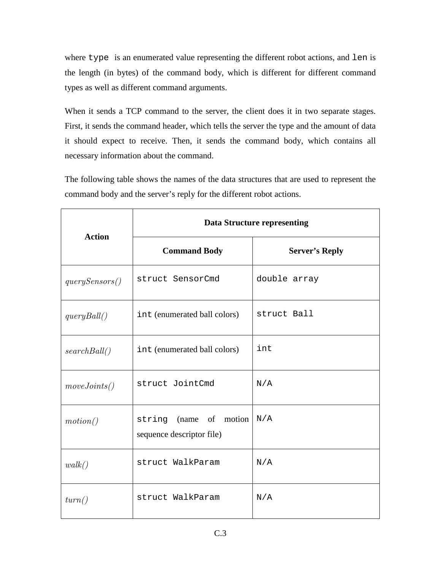where type is an enumerated value representing the different robot actions, and len is the length (in bytes) of the command body, which is different for different command types as well as different command arguments.

When it sends a TCP command to the server, the client does it in two separate stages. First, it sends the command header, which tells the server the type and the amount of data it should expect to receive. Then, it sends the command body, which contains all necessary information about the command.

The following table shows the names of the data structures that are used to represent the command body and the server's reply for the different robot actions.

| <b>Action</b>  | <b>Data Structure representing</b>                   |                       |  |  |  |  |  |  |  |  |  |  |  |
|----------------|------------------------------------------------------|-----------------------|--|--|--|--|--|--|--|--|--|--|--|
|                | <b>Command Body</b>                                  | <b>Server's Reply</b> |  |  |  |  |  |  |  |  |  |  |  |
| querySensors() | struct SensorCmd                                     | double array          |  |  |  |  |  |  |  |  |  |  |  |
| queryBall()    | int (enumerated ball colors)                         | struct Ball           |  |  |  |  |  |  |  |  |  |  |  |
| searchBall()   | int (enumerated ball colors)                         | int                   |  |  |  |  |  |  |  |  |  |  |  |
| move Joints()  | struct JointCmd                                      | N/A                   |  |  |  |  |  |  |  |  |  |  |  |
| motion()       | string (name of motion)<br>sequence descriptor file) | N/A                   |  |  |  |  |  |  |  |  |  |  |  |
| walk()         | struct WalkParam                                     | N/A                   |  |  |  |  |  |  |  |  |  |  |  |
| turn()         | struct WalkParam                                     | N/A                   |  |  |  |  |  |  |  |  |  |  |  |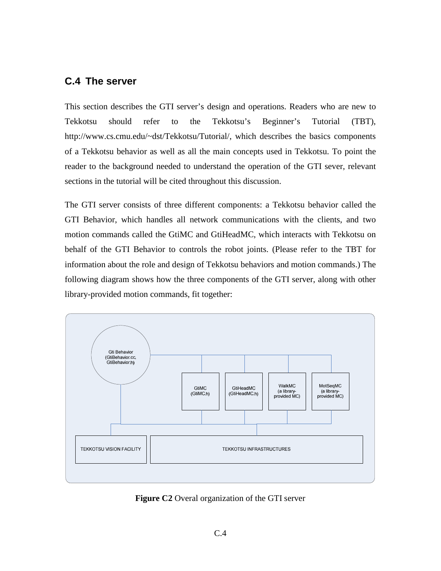# **C.4 The server**

This section describes the GTI server's design and operations. Readers who are new to Tekkotsu should refer to the Tekkotsu's Beginner's Tutorial (TBT), http://www.cs.cmu.edu/~dst/Tekkotsu/Tutorial/, which describes the basics components of a Tekkotsu behavior as well as all the main concepts used in Tekkotsu. To point the reader to the background needed to understand the operation of the GTI sever, relevant sections in the tutorial will be cited throughout this discussion.

The GTI server consists of three different components: a Tekkotsu behavior called the GTI Behavior, which handles all network communications with the clients, and two motion commands called the GtiMC and GtiHeadMC, which interacts with Tekkotsu on behalf of the GTI Behavior to controls the robot joints. (Please refer to the TBT for information about the role and design of Tekkotsu behaviors and motion commands.) The following diagram shows how the three components of the GTI server, along with other library-provided motion commands, fit together:



**Figure C2** Overal organization of the GTI server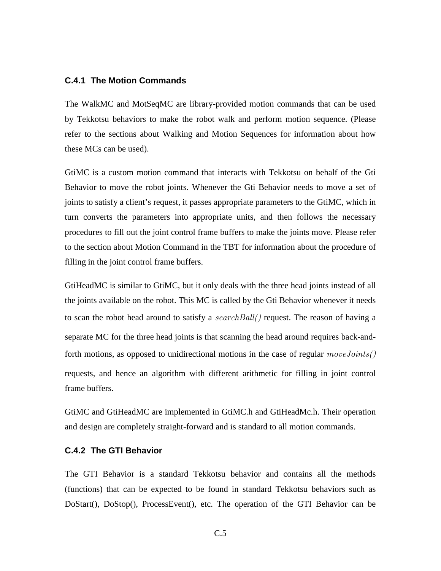#### **C.4.1 The Motion Commands**

The WalkMC and MotSeqMC are library-provided motion commands that can be used by Tekkotsu behaviors to make the robot walk and perform motion sequence. (Please refer to the sections about Walking and Motion Sequences for information about how these MCs can be used).

GtiMC is a custom motion command that interacts with Tekkotsu on behalf of the Gti Behavior to move the robot joints. Whenever the Gti Behavior needs to move a set of joints to satisfy a client's request, it passes appropriate parameters to the GtiMC, which in turn converts the parameters into appropriate units, and then follows the necessary procedures to fill out the joint control frame buffers to make the joints move. Please refer to the section about Motion Command in the TBT for information about the procedure of filling in the joint control frame buffers.

GtiHeadMC is similar to GtiMC, but it only deals with the three head joints instead of all the joints available on the robot. This MC is called by the Gti Behavior whenever it needs to scan the robot head around to satisfy a  $searchBall()$  request. The reason of having a separate MC for the three head joints is that scanning the head around requires back-andforth motions, as opposed to unidirectional motions in the case of regular  $moveJoints()$ requests, and hence an algorithm with different arithmetic for filling in joint control frame buffers.

GtiMC and GtiHeadMC are implemented in GtiMC.h and GtiHeadMc.h. Their operation and design are completely straight-forward and is standard to all motion commands.

#### **C.4.2 The GTI Behavior**

The GTI Behavior is a standard Tekkotsu behavior and contains all the methods (functions) that can be expected to be found in standard Tekkotsu behaviors such as DoStart(), DoStop(), ProcessEvent(), etc. The operation of the GTI Behavior can be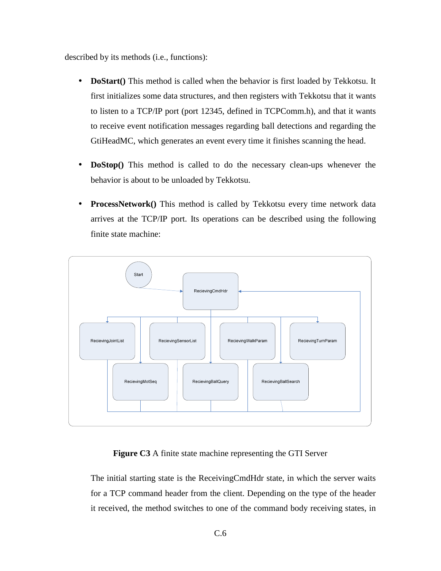described by its methods (i.e., functions):

- **DoStart**() This method is called when the behavior is first loaded by Tekkotsu. It first initializes some data structures, and then registers with Tekkotsu that it wants to listen to a TCP/IP port (port 12345, defined in TCPComm.h), and that it wants to receive event notification messages regarding ball detections and regarding the GtiHeadMC, which generates an event every time it finishes scanning the head.
- **DoStop**() This method is called to do the necessary clean-ups whenever the behavior is about to be unloaded by Tekkotsu.
- **ProcessNetwork**() This method is called by Tekkotsu every time network data arrives at the TCP/IP port. Its operations can be described using the following finite state machine:



#### **Figure C3** A finite state machine representing the GTI Server

The initial starting state is the ReceivingCmdHdr state, in which the server waits for a TCP command header from the client. Depending on the type of the header it received, the method switches to one of the command body receiving states, in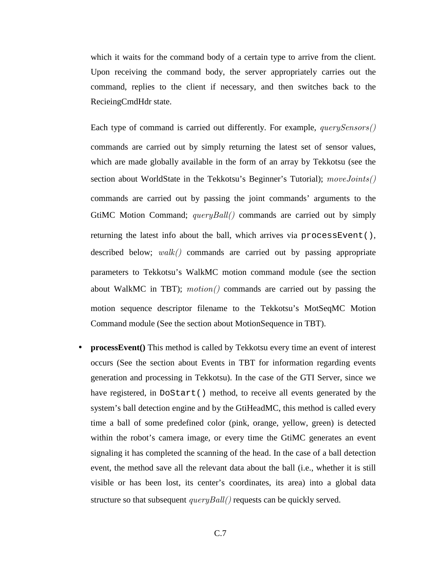which it waits for the command body of a certain type to arrive from the client. Upon receiving the command body, the server appropriately carries out the command, replies to the client if necessary, and then switches back to the RecieingCmdHdr state.

Each type of command is carried out differently. For example, *querySensors()* commands are carried out by simply returning the latest set of sensor values, which are made globally available in the form of an array by Tekkotsu (see the section about WorldState in the Tekkotsu's Beginner's Tutorial);  $moveJoints()$ commands are carried out by passing the joint commands' arguments to the GtiMC Motion Command;  $queryBall()$  commands are carried out by simply returning the latest info about the ball, which arrives via processEvent(), described below; walk() commands are carried out by passing appropriate parameters to Tekkotsu's WalkMC motion command module (see the section about WalkMC in TBT); motion() commands are carried out by passing the motion sequence descriptor filename to the Tekkotsu's MotSeqMC Motion Command module (See the section about MotionSequence in TBT).

• **processEvent**() This method is called by Tekkotsu every time an event of interest occurs (See the section about Events in TBT for information regarding events generation and processing in Tekkotsu). In the case of the GTI Server, since we have registered, in DoStart() method, to receive all events generated by the system's ball detection engine and by the GtiHeadMC, this method is called every time a ball of some predefined color (pink, orange, yellow, green) is detected within the robot's camera image, or every time the GtiMC generates an event signaling it has completed the scanning of the head. In the case of a ball detection event, the method save all the relevant data about the ball (i.e., whether it is still visible or has been lost, its center's coordinates, its area) into a global data structure so that subsequent  $queryBall()$  requests can be quickly served.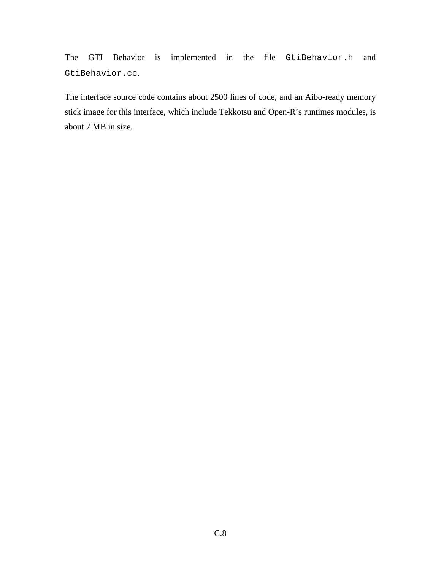The GTI Behavior is implemented in the file GtiBehavior.h and GtiBehavior.cc.

The interface source code contains about 2500 lines of code, and an Aibo-ready memory stick image for this interface, which include Tekkotsu and Open-R's runtimes modules, is about 7 MB in size.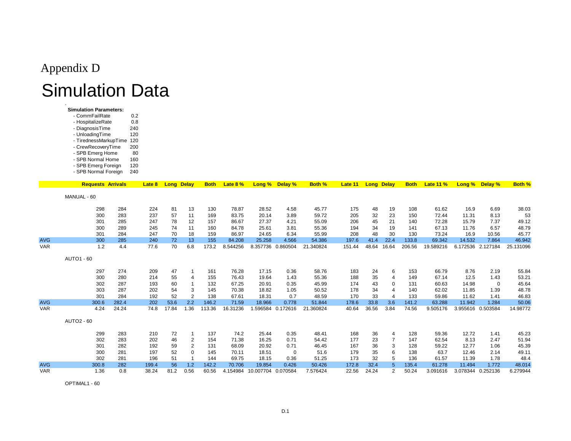# Appendix DSimulation Data

 $0.8$ 

240

120

80

  **Simulation Parameters:**- CommFailRate 0.2

- HospitalizeRate

- DiagnosisTime

- UnloadingTime - TirednessMarkupTime 120- CrewRecoveryTime 200

- SPB Emerg Home

|            | - SPB Normal Home<br>- SPB Emerg Foreign<br>- SPB Normal Foreign |       | 160<br>120<br>240 |                   |                |             |          |                             |                   |               |         |       |                   |             |                  |        |                   |               |
|------------|------------------------------------------------------------------|-------|-------------------|-------------------|----------------|-------------|----------|-----------------------------|-------------------|---------------|---------|-------|-------------------|-------------|------------------|--------|-------------------|---------------|
|            | <b>Requests Arrivals</b>                                         |       | Late 8            | <b>Long Delay</b> |                | <b>Both</b> | Late 8 % | Long %                      | Delay %           | <b>Both %</b> | Late 11 |       | <b>Long Delay</b> | <b>Both</b> | <b>Late 11 %</b> | Long % | Delay %           | <b>Both %</b> |
|            | MANUAL - 60                                                      |       |                   |                   |                |             |          |                             |                   |               |         |       |                   |             |                  |        |                   |               |
|            | 298                                                              | 284   | 224               | 81                | 13             | 130         | 78.87    | 28.52                       | 4.58              | 45.77         | 175     | 48    | 19                | 108         | 61.62            | 16.9   | 6.69              | 38.03         |
|            | 300                                                              | 283   | 237               | 57                | 11             | 169         | 83.75    | 20.14                       | 3.89              | 59.72         | 205     | 32    | 23                | 150         | 72.44            | 11.31  | 8.13              | 53            |
|            | 301                                                              | 285   | 247               | 78                | 12             | 157         | 86.67    | 27.37                       | 4.21              | 55.09         | 206     | 45    | 21                | 140         | 72.28            | 15.79  | 7.37              | 49.12         |
|            | 300                                                              | 289   | 245               | 74                | 11             | 160         | 84.78    | 25.61                       | 3.81              | 55.36         | 194     | 34    | 19                | 141         | 67.13            | 11.76  | 6.57              | 48.79         |
|            | 301                                                              | 284   | 247               | 70                | 18             | 159         | 86.97    | 24.65                       | 6.34              | 55.99         | 208     | 48    | 30                | 130         | 73.24            | 16.9   | 10.56             | 45.77         |
| <b>AVG</b> | 300                                                              | 285   | 240               | 72                | 13             | 155         | 84.208   | 25.258                      | 4.566             | 54.386        | 197.6   | 41.4  | 22.4              | 133.8       | 69.342           | 14.532 | 7.864             | 46.942        |
| <b>VAR</b> | 1.2                                                              | 4.4   | 77.6              | 70                | 6.8            | 173.2       | 8.544256 |                             | 8.357736 0.860504 | 21.340824     | 151.44  | 48.64 | 16.64             | 206.56      | 19.589216        |        | 6.172536 2.127184 | 25.131096     |
|            | <b>AUTO1 - 60</b>                                                |       |                   |                   |                |             |          |                             |                   |               |         |       |                   |             |                  |        |                   |               |
|            | 297                                                              | 274   | 209               | 47                | -1             | 161         | 76.28    | 17.15                       | 0.36              | 58.76         | 183     | 24    | 6                 | 153         | 66.79            | 8.76   | 2.19              | 55.84         |
|            | 300                                                              | 280   | 214               | 55                | 4              | 155         | 76.43    | 19.64                       | 1.43              | 55.36         | 188     | 35    | 4                 | 149         | 67.14            | 12.5   | 1.43              | 53.21         |
|            | 302                                                              | 287   | 193               | 60                | $\mathbf 1$    | 132         | 67.25    | 20.91                       | 0.35              | 45.99         | 174     | 43    | 0                 | 131         | 60.63            | 14.98  | 0                 | 45.64         |
|            | 303                                                              | 287   | 202               | 54                | 3              | 145         | 70.38    | 18.82                       | 1.05              | 50.52         | 178     | 34    | 4                 | 140         | 62.02            | 11.85  | 1.39              | 48.78         |
|            | 301                                                              | 284   | 192               | 52                | $\overline{2}$ | 138         | 67.61    | 18.31                       | 0.7               | 48.59         | 170     | 33    | 4                 | 133         | 59.86            | 11.62  | 1.41              | 46.83         |
| <b>AVG</b> | 300.6                                                            | 282.4 | 202               | 53.6              | 2.2            | 146.2       | 71.59    | 18.966                      | 0.778             | 51.844        | 178.6   | 33.8  | 3.6               | 141.2       | 63.288           | 11.942 | 1.284             | 50.06         |
| <b>VAR</b> | 4.24                                                             | 24.24 | 74.8              | 17.84             | 1.36           | 113.36      | 16.31236 | 1.596584                    | 0.172616          | 21.360824     | 40.64   | 36.56 | 3.84              | 74.56       | 9.505176         |        | 3.955616 0.503584 | 14.98772      |
|            | <b>AUTO2 - 60</b>                                                |       |                   |                   |                |             |          |                             |                   |               |         |       |                   |             |                  |        |                   |               |
|            | 299                                                              | 283   | 210               | 72                | $\mathbf 1$    | 137         | 74.2     | 25.44                       | 0.35              | 48.41         | 168     | 36    | 4                 | 128         | 59.36            | 12.72  | 1.41              | 45.23         |
|            | 302                                                              | 283   | 202               | 46                | 2              | 154         | 71.38    | 16.25                       | 0.71              | 54.42         | 177     | 23    | 7                 | 147         | 62.54            | 8.13   | 2.47              | 51.94         |
|            | 301                                                              | 282   | 192               | 59                | $\overline{2}$ | 131         | 68.09    | 20.92                       | 0.71              | 46.45         | 167     | 36    | 3                 | 128         | 59.22            | 12.77  | 1.06              | 45.39         |
|            | 300                                                              | 281   | 197               | 52                | 0              | 145         | 70.11    | 18.51                       | $\mathbf 0$       | 51.6          | 179     | 35    | 6                 | 138         | 63.7             | 12.46  | 2.14              | 49.11         |
|            | 302                                                              | 281   | 196               | 51                |                | 144         | 69.75    | 18.15                       | 0.36              | 51.25         | 173     | 32    | 5                 | 136         | 61.57            | 11.39  | 1.78              | 48.4          |
| <b>AVG</b> | 300.8                                                            | 282   | 199.4             | 56                | 1.2            | 142.2       | 70.706   | 19.854                      | 0.426             | 50.426        | 172.8   | 32.4  | $\sqrt{5}$        | 135.4       | 61.278           | 11.494 | 1.772             | 48.014        |
| <b>VAR</b> | 1.36                                                             | 0.8   | 38.24             | 81.2              | 0.56           | 60.56       |          | 4.154984 10.007704 0.070584 |                   | 7.576424      | 22.56   | 24.24 | $\overline{2}$    | 50.24       | 3.091616         |        | 3.078344 0.252136 | 6.279944      |

OPTIMAL1 - 60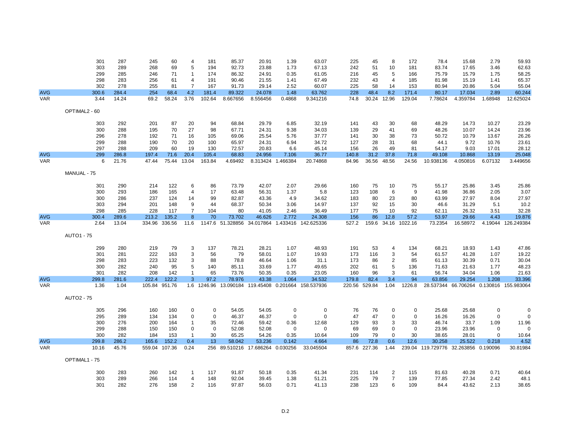|            | 301               | 287   | 245           | 60     | 4              | 181         | 85.37                        | 20.91    | 1.39              | 63.07                                          | 225    | 45     | 8              | 172           | 78.4                                 | 15.68    | 2.79        | 59.93                                   |
|------------|-------------------|-------|---------------|--------|----------------|-------------|------------------------------|----------|-------------------|------------------------------------------------|--------|--------|----------------|---------------|--------------------------------------|----------|-------------|-----------------------------------------|
|            | 303               | 289   | 268           | 69     | 5              | 194         | 92.73                        | 23.88    | 1.73              | 67.13                                          | 242    | 51     | 10             | 181           | 83.74                                | 17.65    | 3.46        | 62.63                                   |
|            | 299               | 285   | 246           | 71     | $\overline{1}$ | 174         | 86.32                        | 24.91    | 0.35              | 61.05                                          | 216    | 45     | 5              | 166           | 75.79                                | 15.79    | 1.75        | 58.25                                   |
|            | 298               | 283   | 256           | 61     | $\overline{4}$ | 191         | 90.46                        | 21.55    | 1.41              | 67.49                                          | 232    | 43     | $\overline{4}$ | 185           | 81.98                                | 15.19    | 1.41        | 65.37                                   |
|            | 302               | 278   | 255           | 81     | $\overline{7}$ | 167         | 91.73                        | 29.14    | 2.52              | 60.07                                          | 225    | 58     | 14             | 153           | 80.94                                | 20.86    | 5.04        | 55.04                                   |
| <b>AVG</b> | 300.6             | 284.4 | 254           | 68.4   | 4.2            | 181.4       | 89.322                       | 24.078   | 1.48              | 63.762                                         | 228    | 48.4   | 8.2            | 171.4         | 80.17                                | 17.034   | 2.89        | 60.244                                  |
| <b>VAR</b> | 3.44              | 14.24 | 69.2          | 58.24  | 3.76           | 102.64      | 8.667656                     | 8.556456 | 0.4868            | 9.341216                                       | 74.8   |        | 30.24 12.96    | 129.04        | 7.78624                              | 4.359784 | 1.68948     | 12.625024                               |
|            |                   |       |               |        |                |             |                              |          |                   |                                                |        |        |                |               |                                      |          |             |                                         |
|            | OPTIMAL2 - 60     |       |               |        |                |             |                              |          |                   |                                                |        |        |                |               |                                      |          |             |                                         |
|            | 303               | 292   | 201           | 87     | 20             | 94          | 68.84                        | 29.79    | 6.85              | 32.19                                          | 141    | 43     | 30             | 68            | 48.29                                | 14.73    | 10.27       | 23.29                                   |
|            | 300               | 288   | 195           | 70     | 27             | 98          | 67.71                        | 24.31    | 9.38              | 34.03                                          | 139    | 29     | 41             | 69            | 48.26                                | 10.07    | 14.24       | 23.96                                   |
|            | 296               | 278   | 192           | 71     | 16             | 105         | 69.06                        | 25.54    | 5.76              | 37.77                                          | 141    | 30     | 38             | 73            | 50.72                                | 10.79    | 13.67       | 26.26                                   |
|            | 299               | 288   | 190           | 70     | 20             | 100         | 65.97                        | 24.31    | 6.94              | 34.72                                          | 127    | 28     | 31             | 68            | 44.1                                 | 9.72     | 10.76       | 23.61                                   |
|            | 297               | 288   | 209           | 60     | 19             | 130         | 72.57                        | 20.83    | 6.6               | 45.14                                          | 156    | 26     | 49             | 81            | 54.17                                | 9.03     | 17.01       | 28.12                                   |
| <b>AVG</b> | 299               | 286.8 | 197.4         | 71.6   | 20.4           | 105.4       | 68.83                        | 24.956   | 7.106             | 36.77                                          | 140.8  | 31.2   | 37.8           | 71.8          | 49.108                               | 10.868   | 13.19       | 25.048                                  |
| <b>VAR</b> | 6                 | 21.76 | 47.44         | 75.44  | 13.04          | 163.84      | 4.69492                      |          | 8.313424 1.466384 | 20.74868                                       | 84.96  | 36.56  | 48.56          | 24.56         | 10.938136                            | 4.050816 | 6.07132     | 3.449656                                |
|            |                   |       |               |        |                |             |                              |          |                   |                                                |        |        |                |               |                                      |          |             |                                         |
|            | MANUAL - 75       |       |               |        |                |             |                              |          |                   |                                                |        |        |                |               |                                      |          |             |                                         |
|            | 301               | 290   | 214           | 122    | 6              | 86          | 73.79                        | 42.07    | 2.07              | 29.66                                          | 160    | 75     | 10             | 75            | 55.17                                | 25.86    | 3.45        | 25.86                                   |
|            | 300               | 293   | 186           | 165    | 4              | 17          | 63.48                        | 56.31    | 1.37              | 5.8                                            | 123    | 108    | 6              | 9             | 41.98                                | 36.86    | 2.05        | 3.07                                    |
|            | 300               | 286   | 237           | 124    | 14             | 99          | 82.87                        | 43.36    | 4.9               | 34.62                                          | 183    | 80     | 23             | 80            | 63.99                                | 27.97    | 8.04        | 27.97                                   |
|            | 303               | 294   | 201           | 148    | 9              | 44          | 68.37                        | 50.34    | 3.06              | 14.97                                          | 137    | 92     | 15             | 30            | 46.6                                 | 31.29    | 5.1         | 10.2                                    |
|            | 298               | 285   | 228           | 117    | $\overline{7}$ | 104         | 80                           | 41.05    | 2.46              | 36.49                                          | 177    | 75     | 10             | 92            | 62.11                                | 26.32    | 3.51        | 32.28                                   |
| <b>AVG</b> | 300.4             | 289.6 | 213.2         | 135.2  | 8              | 70          | 73.702                       | 46.626   | 2.772             | 24.308                                         | 156    | 86     | 12.8           | 57.2          | 53.97                                | 29.66    | 4.43        | 19.876                                  |
| <b>VAR</b> | 2.64              | 13.04 | 334.96        | 336.56 | 11.6           |             |                              |          |                   | 1147.6 51.328856 34.017864 1.433416 142.625336 | 527.2  | 159.6  |                | 34.16 1022.16 | 73.2354                              | 16.58972 |             | 4.19044 126.249384                      |
|            |                   |       |               |        |                |             |                              |          |                   |                                                |        |        |                |               |                                      |          |             |                                         |
|            | <b>AUTO1 - 75</b> |       |               |        |                |             |                              |          |                   |                                                |        |        |                |               |                                      |          |             |                                         |
|            | 299               | 280   | 219           | 79     | 3              | 137         | 78.21                        | 28.21    | 1.07              | 48.93                                          | 191    | 53     | 4              | 134           | 68.21                                | 18.93    | 1.43        | 47.86                                   |
|            | 301               | 281   | 222           | 163    | 3              | 56          | 79                           | 58.01    | 1.07              | 19.93                                          | 173    | 116    | 3              | 54            | 61.57                                | 41.28    | 1.07        | 19.22                                   |
|            | 298               | 283   | 223           | 132    | 3              | 88          | 78.8                         | 46.64    | 1.06              | 31.1                                           | 173    | 86     | $\overline{2}$ | 85            | 61.13                                | 30.39    | 0.71        | 30.04                                   |
|            | 300               | 282   | 240           | 95     | 5              | 140         | 85.11                        | 33.69    | 1.77              | 49.65                                          | 202    | 61     | 5              | 136           | 71.63                                | 21.63    | 1.77        | 48.23                                   |
|            | 301               | 282   | 208           | 142    | $\overline{1}$ | 65          | 73.76                        | 50.35    | 0.35              | 23.05                                          | 160    | 96     | 3              | 61            | 56.74                                | 34.04    | 1.06        | 21.63                                   |
| <b>AVG</b> | 299.8             | 281.6 | 222.4         | 122.2  | 3              | 97.2        | 78.976                       | 43.38    | 1.064             | 34.532                                         | 179.8  | 82.4   | 3.4            | 94            | 63.856                               | 29.254   | 1.208       | 33.396                                  |
| <b>VAR</b> | 1.36              | 1.04  | 105.84 951.76 |        |                | 1.6 1246.96 |                              |          |                   | 13.090184 119.45408 0.201664 158.537936        | 220.56 | 529.84 | 1.04           | 1226.8        |                                      |          |             | 28.537344 66.706264 0.130816 155.983064 |
|            |                   |       |               |        |                |             |                              |          |                   |                                                |        |        |                |               |                                      |          |             |                                         |
|            | <b>AUTO2 - 75</b> |       |               |        |                |             |                              |          |                   |                                                |        |        |                |               |                                      |          |             |                                         |
|            | 305               | 296   | 160           | 160    | 0              | 0           | 54.05                        | 54.05    | 0                 | 0                                              | 76     | 76     | 0              | 0             | 25.68                                | 25.68    | $\mathbf 0$ | $\mathbf 0$                             |
|            | 295               | 289   | 134           | 134    | 0              | $\mathbf 0$ | 46.37                        | 46.37    | $\mathbf 0$       | $\mathbf 0$                                    | 47     | 47     | 0              | $\mathbf 0$   | 16.26                                | 16.26    | $\mathbf 0$ | $\mathbf 0$                             |
|            | 300               | 276   | 200           | 164    | $\overline{1}$ | 35          | 72.46                        | 59.42    | 0.36              | 12.68                                          | 129    | 93     | 3              | 33            | 46.74                                | 33.7     | 1.09        | 11.96                                   |
|            | 299               | 288   | 150           | 150    | 0              | 0           | 52.08                        | 52.08    | 0                 | $\mathbf 0$                                    | 69     | 69     | 0              | $\mathbf 0$   | 23.96                                | 23.96    | 0           | $\Omega$                                |
|            | 300               | 282   | 184           | 153    | $\overline{1}$ | 30          | 65.25                        | 54.26    | 0.35              | 10.64                                          | 109    | 79     | $\mathbf 0$    | 30            | 38.65                                | 28.01    | $\mathbf 0$ | 10.64                                   |
| <b>AVG</b> | 299.8             | 286.2 | 165.6         | 152.2  | 0.4            | 13          | 58.042                       | 53.236   | 0.142             | 4.664                                          | 86     | 72.8   | 0.6            | 12.6          | 30.258                               | 25.522   | 0.218       | 4.52                                    |
| <b>VAR</b> | 10.16             | 45.76 | 559.04        | 107.36 | 0.24           | 256         | 89.510216 17.686264 0.030256 |          |                   | 33.045504                                      | 857.6  | 227.36 | 1.44           |               | 239.04 119.729776 32.263856 0.190096 |          |             | 30.81984                                |
|            |                   |       |               |        |                |             |                              |          |                   |                                                |        |        |                |               |                                      |          |             |                                         |
|            | OPTIMAL1 - 75     |       |               |        |                |             |                              |          |                   |                                                |        |        |                |               |                                      |          |             |                                         |
|            | 300               | 283   | 260           | 142    | $\overline{1}$ | 117         | 91.87                        | 50.18    | 0.35              | 41.34                                          | 231    | 114    | $\overline{c}$ | 115           | 81.63                                | 40.28    | 0.71        | 40.64                                   |
|            | 303               | 289   | 266           | 114    | 4              | 148         | 92.04                        | 39.45    | 1.38              | 51.21                                          | 225    | 79     | $\overline{7}$ | 139           | 77.85                                | 27.34    | 2.42        | 48.1                                    |
|            | 301               | 282   | 276           | 158    | 2              | 116         | 97.87                        | 56.03    | 0.71              | 41.13                                          | 238    | 123    | 6              | 109           | 84.4                                 | 43.62    | 2.13        | 38.65                                   |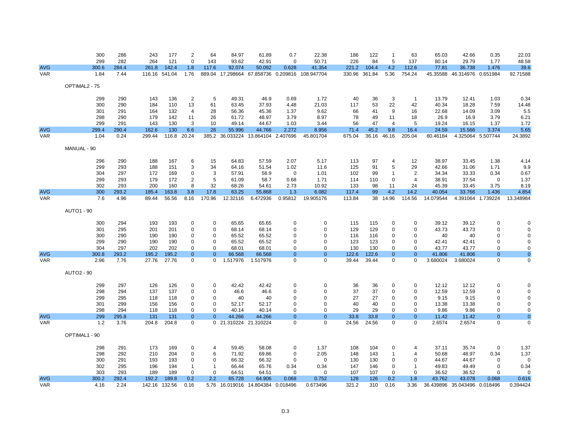|            | 300               | 286        | 243        | 177        | 2              | 64             | 84.97                 | 61.89                        | 0.7            | 22.38                         | 186      | 122      | -1                   | 63             | 65.03          | 42.66                        | 0.35              | 22.03        |
|------------|-------------------|------------|------------|------------|----------------|----------------|-----------------------|------------------------------|----------------|-------------------------------|----------|----------|----------------------|----------------|----------------|------------------------------|-------------------|--------------|
|            | 299               | 282        | 264        | 121        | $\mathbf 0$    | 143            | 93.62                 | 42.91                        | $\mathbf 0$    | 50.71                         | 226      | 84       | 5                    | 137            | 80.14          | 29.79                        | 1.77              | 48.58        |
| <b>AVG</b> | 300.6             | 284.4      | 261.8      | 142.4      | 1.8            | 117.6          | 92.074                | 50.092                       | 0.628          | 41.354                        | 221.2    | 104.4    | 4.2                  | 112.6          | 77.81          | 36.738                       | 1.476             | 39.6         |
| <b>VAR</b> | 1.84              | 7.44       | 116.16     | 541.04     | 1.76           | 889.04         | 17.298664             |                              |                | 67.858736 0.209816 108.947704 | 330.96   | 361.84   | 5.36                 | 754.24         | 45.35588       | 46.314976 0.651984           |                   | 92.71588     |
|            |                   |            |            |            |                |                |                       |                              |                |                               |          |          |                      |                |                |                              |                   |              |
|            | OPTIMAL2 - 75     |            |            |            |                |                |                       |                              |                |                               |          |          |                      |                |                |                              |                   |              |
|            |                   |            |            |            |                |                |                       |                              |                |                               |          |          |                      |                |                |                              |                   |              |
|            | 299               | 290        | 143        | 136        | $\overline{2}$ | $\sqrt{5}$     | 49.31                 | 46.9                         | 0.69           | 1.72                          | 40       | 36       | 3                    | $\mathbf{1}$   | 13.79          | 12.41                        | 1.03              | 0.34         |
|            | 300               | 290        | 184        | 110        | 13             | 61             | 63.45                 | 37.93                        | 4.48           | 21.03<br>9.62                 | 117      | 53       | 22<br>9              | 42             | 40.34<br>22.68 | 18.28                        | 7.59<br>3.09      | 14.48        |
|            | 301               | 291        | 164        | 132        | 4              | 28             | 56.36                 | 45.36                        | 1.37           |                               | 66       | 41       |                      | 16             |                | 14.09                        |                   | 5.5          |
|            | 298<br>299        | 290<br>291 | 179<br>143 | 142<br>130 | 11<br>3        | 26<br>10       | 61.72<br>49.14        | 48.97<br>44.67               | 3.79<br>1.03   | 8.97<br>3.44                  | 78<br>56 | 49<br>47 | 11<br>$\overline{4}$ | 18<br>5        | 26.9<br>19.24  | 16.9<br>16.15                | 3.79<br>1.37      | 6.21<br>1.72 |
| <b>AVG</b> | 299.4             | 290.4      | 162.6      | 130        | 6.6            | 26             | 55.996                | 44.766                       | 2.272          | 8.956                         | 71.4     | 45.2     | 9.8                  | 16.4           | 24.59          | 15.566                       | 3.374             | 5.65         |
| <b>VAR</b> | 1.04              | 0.24       | 299.44     | 116.8      | 20.24          | 385.2          |                       | 36.033224 13.864104 2.407696 |                | 45.801704                     | 675.04   | 36.16    | 46.16                | 205.04         | 80.46184       | 4.325064 5.507744            |                   | 24.3892      |
|            |                   |            |            |            |                |                |                       |                              |                |                               |          |          |                      |                |                |                              |                   |              |
|            | MANUAL - 90       |            |            |            |                |                |                       |                              |                |                               |          |          |                      |                |                |                              |                   |              |
|            |                   |            |            |            |                |                |                       |                              |                |                               |          |          |                      |                |                |                              |                   |              |
|            | 296               | 290        | 188        | 167        | 6              | 15             | 64.83                 | 57.59                        | 2.07           | 5.17                          | 113      | 97       | 4                    | 12             | 38.97          | 33.45                        | 1.38              | 4.14         |
|            | 299               | 293        | 188        | 151        | 3              | 34             | 64.16                 | 51.54                        | 1.02           | 11.6                          | 125      | 91       | 5                    | 29             | 42.66          | 31.06                        | 1.71              | 9.9          |
|            | 304               | 297        | 172        | 169        | 0              | 3              | 57.91                 | 56.9                         | $\mathbf 0$    | 1.01                          | 102      | 99       | $\overline{1}$       | $\overline{2}$ | 34.34          | 33.33                        | 0.34              | 0.67         |
|            | 299               | 293        | 179        | 172        | 2              | 5              | 61.09                 | 58.7                         | 0.68           | 1.71                          | 114      | 110      | $\mathbf 0$          | $\overline{4}$ | 38.91          | 37.54                        | 0                 | 1.37         |
|            | 302               | 293        | 200        | 160        | 8              | 32             | 68.26                 | 54.61                        | 2.73           | 10.92                         | 133      | 98       | 11                   | 24             | 45.39          | 33.45                        | 3.75              | 8.19         |
| <b>AVG</b> | 300               | 293.2      | 185.4      | 163.8      | 3.8            | 17.8           | 63.25                 | 55.868                       | 1.3            | 6.082                         | 117.4    | 99       | 4.2                  | 14.2           | 40.054         | 33.766                       | 1.436             | 4.854        |
| <b>VAR</b> | 7.6               | 4.96       | 89.44      | 56.56      | 8.16           | 170.96         | 12.32116              | 6.472936                     | 0.95812        | 19.905176                     | 113.84   | 38       | 14.96                | 114.56         | 14.079544      |                              | 4.391064 1.739224 | 13.348984    |
|            |                   |            |            |            |                |                |                       |                              |                |                               |          |          |                      |                |                |                              |                   |              |
|            | <b>AUTO1 - 90</b> |            |            |            |                |                |                       |                              |                |                               |          |          |                      |                |                |                              |                   |              |
|            | 300               | 294        | 193        | 193        | 0              | 0              | 65.65                 | 65.65                        | 0              | 0                             | 115      | 115      | 0                    | 0              | 39.12          | 39.12                        | 0                 |              |
|            | 301               | 295        | 201        | 201        | $\Omega$       | $\mathbf 0$    | 68.14                 | 68.14                        | $\Omega$       | $\Omega$                      | 129      | 129      | $\Omega$             | $\Omega$       | 43.73          | 43.73                        | 0                 | ∩            |
|            | 300               | 290        | 190        | 190        | $\Omega$       | $\mathbf 0$    | 65.52                 | 65.52                        | $\mathbf 0$    | 0                             | 116      | 116      | 0                    | 0              | 40             | 40                           | $\Omega$          | $\Omega$     |
|            | 299               | 290        | 190        | 190        | 0              | 0              | 65.52                 | 65.52                        | 0              | 0                             | 123      | 123      | $\Omega$             | 0              | 42.41          | 42.41                        | 0                 | 0            |
|            | 304               | 297        | 202        | 202        | $\Omega$       | $\mathbf 0$    | 68.01                 | 68.01                        | $\mathbf 0$    | $\mathbf 0$                   | 130      | 130      | $\mathbf 0$          | $\Omega$       | 43.77          | 43.77                        | $\mathbf 0$       | $\mathbf 0$  |
| <b>AVG</b> | 300.8             | 293.2      | 195.2      | 195.2      | $\mathbf{0}$   | $\mathbf{0}$   | 66.568                | 66.568                       | $\mathbf{0}$   | $\mathbf{0}$                  | 122.6    | 122.6    | $\mathbf{0}$         | $\mathbf{0}$   | 41.806         | 41.806                       | $\mathbf{0}$      | $\mathbf{0}$ |
| <b>VAR</b> | 2.96              | 7.76       | 27.76      | 27.76      | $\Omega$       | $\Omega$       | 1.517976              | 1.517976                     | $\Omega$       | $\Omega$                      | 39.44    | 39.44    | $\Omega$             | $\Omega$       | 3.680024       | 3.680024                     | $\mathbf 0$       | $\mathbf 0$  |
|            |                   |            |            |            |                |                |                       |                              |                |                               |          |          |                      |                |                |                              |                   |              |
|            | <b>AUTO2 - 90</b> |            |            |            |                |                |                       |                              |                |                               |          |          |                      |                |                |                              |                   |              |
|            |                   |            |            |            |                |                |                       |                              |                |                               |          |          |                      |                |                |                              |                   |              |
|            | 299               | 297        | 126        | 126        | 0              | 0              | 42.42                 | 42.42                        | 0              | 0                             | 36       | 36       | 0                    | 0              | 12.12          | 12.12                        | 0                 |              |
|            | 298               | 294        | 137        | 137        | 0              | $\mathbf 0$    | 46.6                  | 46.6                         | $\Omega$       | $\mathbf 0$                   | 37       | 37       | 0                    | $\Omega$       | 12.59          | 12.59                        | $\mathbf 0$       |              |
|            | 299               | 295        | 118        | 118        | 0              | $\mathbf 0$    | 40                    | 40                           | 0              | 0                             | 27       | 27       | 0                    | $\mathbf 0$    | 9.15           | 9.15                         | 0                 | $\Omega$     |
|            | 301               | 299        | 156        | 156        | 0              | $\mathbf 0$    | 52.17                 | 52.17                        | 0              | $\mathbf 0$                   | 40       | 40       | $\Omega$             | $\mathbf 0$    | 13.38          | 13.38                        | 0                 | 0            |
|            | 298               | 294        | 118        | 118        | $\mathbf 0$    | $\mathbf 0$    | 40.14                 | 40.14                        | $\mathbf 0$    | $\mathbf 0$                   | 29       | 29       | $\mathbf 0$          | $\mathbf 0$    | 9.86           | 9.86                         | $\mathbf 0$       | $\mathbf 0$  |
| <b>AVG</b> | 299               | 295.8      | 131        | 131        | $\mathbf{0}$   | $\overline{0}$ | 44.266                | 44.266                       | $\overline{0}$ | $\mathbf{0}$                  | 33.8     | 33.8     | $\mathbf{0}$         | $\mathbf{0}$   | 11.42          | 11.42                        | $\mathbf 0$       | $\pmb{0}$    |
| <b>VAR</b> | 1.2               | 3.76       | 204.8      | 204.8      | $\Omega$       |                | 0 21.310224 21.310224 |                              | $\Omega$       | $\Omega$                      | 24.56    | 24.56    | $\mathbf 0$          | $\Omega$       | 2.6574         | 2.6574                       | $\mathbf 0$       | $\mathbf 0$  |
|            | OPTIMAL1 - 90     |            |            |            |                |                |                       |                              |                |                               |          |          |                      |                |                |                              |                   |              |
|            |                   |            |            |            |                |                |                       |                              |                |                               |          |          |                      |                |                |                              |                   |              |
|            | 298               | 291        | 173        | 169        | 0              | 4              | 59.45                 | 58.08                        | 0              | 1.37                          | 108      | 104      | 0                    | $\overline{4}$ | 37.11          | 35.74                        | $\mathbf 0$       | 1.37         |
|            | 298               | 292        | 210        | 204        | 0              | 6              | 71.92                 | 69.86                        | $\mathbf 0$    | 2.05                          | 148      | 143      | $\mathbf 1$          | $\overline{4}$ | 50.68          | 48.97                        | 0.34              | 1.37         |
|            | 300               | 291        | 193        | 193        | 0              | 0              | 66.32                 | 66.32                        | 0              | $\mathbf 0$                   | 130      | 130      | 0                    | 0              | 44.67          | 44.67                        | 0                 | $\Omega$     |
|            | 302               | 295        | 196        | 194        | -1             | $\overline{1}$ | 66.44                 | 65.76                        | 0.34           | 0.34                          | 147      | 146      | $\mathbf 0$          | $\overline{1}$ | 49.83          | 49.49                        | $\mathbf 0$       | 0.34         |
|            | 303               | 293        | 189        | 189        | $\Omega$       | $\mathbf 0$    | 64.51                 | 64.51                        | $\Omega$       | 0                             | 107      | 107      | 0                    | $\mathbf 0$    | 36.52          | 36.52                        | $\Omega$          | $\Omega$     |
| <b>AVG</b> | 300.2             | 292.4      | 192.2      | 189.8      | 0.2            | 2.2            | 65.728                | 64.906                       | 0.068          | 0.752                         | 128      | 126      | 0.2                  | 1.8            | 43.762         | 43.078                       | 0.068             | 0.616        |
| <b>VAR</b> | 4.16              | 2.24       | 142.16     | 132.56     | 0.16           |                | 5.76 16.019016        | 14.804384 0.018496           |                | 0.673496                      | 321.2    | 310      | 0.16                 | 3.36           |                | 36.439896 35.043496 0.018496 |                   | 0.394424     |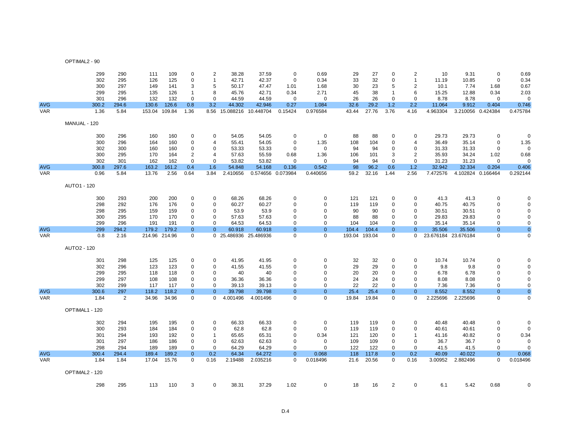| OPTIMAL2 - 90 |  |  |  |  |  |
|---------------|--|--|--|--|--|
|---------------|--|--|--|--|--|

|            | 299            | 290            | 111           | 109    | $\Omega$       | $\overline{2}$ | 38.28                    | 37.59    | $\mathbf 0$       | 0.69           | 29    | 27            | $\mathbf 0$    | $\overline{2}$ | 10                  | 9.31              | $\mathbf 0$    | 0.69         |
|------------|----------------|----------------|---------------|--------|----------------|----------------|--------------------------|----------|-------------------|----------------|-------|---------------|----------------|----------------|---------------------|-------------------|----------------|--------------|
|            | 302            | 295            | 126           | 125    | $\Omega$       | $\mathbf{1}$   | 42.71                    | 42.37    | $\mathbf 0$       | 0.34           | 33    | 32            | $\mathbf 0$    | $\mathbf{1}$   | 11.19               | 10.85             | $\mathbf 0$    | 0.34         |
|            | 300            | 297            | 149           | 141    | 3              | 5              | 50.17                    | 47.47    | 1.01              | 1.68           | 30    | 23            | 5              | $\overline{2}$ | 10.1                | 7.74              | 1.68           | 0.67         |
|            | 299            | 295            | 135           | 126    | -1             | 8              | 45.76                    | 42.71    | 0.34              | 2.71           | 45    | 38            | $\mathbf 1$    | 6              | 15.25               | 12.88             | 0.34           | 2.03         |
|            | 301            | 296            | 132           | 132    | $\Omega$       | $\mathbf 0$    | 44.59                    | 44.59    | $\mathbf 0$       | $\mathbf 0$    | 26    | 26            | $\mathbf 0$    | $\mathbf 0$    | 8.78                | 8.78              | $\mathbf 0$    | $\Omega$     |
| <b>AVG</b> | 300.2          | 294.6          | 130.6         | 126.6  | 0.8            | 3.2            | 44.302                   | 42.946   | 0.27              | 1.084          | 32.6  | 29.2          | 1.2            | 2.2            | 11.064              | 9.912             | 0.404          | 0.746        |
| <b>VAR</b> | 1.36           | 5.84           | 153.04        | 109.84 | 1.36           |                | 8.56 15.088216 10.448704 |          | 0.15424           | 0.976584       | 43.44 | 27.76         | 3.76           | 4.16           | 4.963304            | 3.210056 0.424384 |                | 0.475784     |
|            | MANUAL - 120   |                |               |        |                |                |                          |          |                   |                |       |               |                |                |                     |                   |                |              |
|            | 300            | 296            | 160           | 160    | 0              | 0              | 54.05                    | 54.05    | 0                 | $\mathbf 0$    | 88    | 88            | 0              | $\Omega$       | 29.73               | 29.73             | $\mathbf 0$    | $\Omega$     |
|            | 300            | 296            | 164           | 160    | $\Omega$       | 4              | 55.41                    | 54.05    | 0                 | 1.35           | 108   | 104           | 0              | $\overline{4}$ | 36.49               | 35.14             | $\mathbf 0$    | 1.35         |
|            | 302            | 300            | 160           | 160    | $\Omega$       | $\mathbf 0$    | 53.33                    | 53.33    | $\Omega$          | $\mathbf 0$    | 94    | 94            | $\mathbf 0$    | $\Omega$       | 31.33               | 31.33             | $\mathbf 0$    | $\Omega$     |
|            | 300            | 295            | 170           | 164    | $\overline{2}$ | $\overline{4}$ | 57.63                    | 55.59    | 0.68              | 1.36           | 106   | 101           | 3              | $\overline{2}$ | 35.93               | 34.24             | 1.02           | 0.68         |
|            | 302            | 301            | 162           | 162    | $\mathbf 0$    | $\mathbf 0$    | 53.82                    | 53.82    | 0                 | $\mathbf 0$    | 94    | 94            | $\mathbf 0$    | $\mathbf 0$    | 31.23               | 31.23             | $\mathbf 0$    | $\Omega$     |
| <b>AVG</b> | 300.8          | 297.6          | 163.2         | 161.2  | 0.4            | 1.6            | 54.848                   | 54.168   | 0.136             | 0.542          | 98    | 96.2          | 0.6            | 1.2            | 32.942              | 32.334            | 0.204          | 0.406        |
| <b>VAR</b> | 0.96           | 5.84           | 13.76         | 2.56   | 0.64           | 3.84           | 2.410656                 |          | 0.574656 0.073984 | 0.440656       | 59.2  | 32.16         | 1.44           | 2.56           | 7.472576            | 4.102824 0.166464 |                | 0.292144     |
|            | AUTO1 - 120    |                |               |        |                |                |                          |          |                   |                |       |               |                |                |                     |                   |                |              |
|            | 300            | 293            | 200           | 200    | 0              | 0              | 68.26                    | 68.26    | 0                 | 0              | 121   | 121           | 0              | 0              | 41.3                | 41.3              | 0              | $\Omega$     |
|            | 298            | 292            | 176           | 176    | 0              | $\mathbf 0$    | 60.27                    | 60.27    | $\Omega$          | $\Omega$       | 119   | 119           | $\mathbf 0$    | $\Omega$       | 40.75               | 40.75             | $\mathbf 0$    | $\Omega$     |
|            | 298            | 295            | 159           | 159    | $\Omega$       | $\mathbf 0$    | 53.9                     | 53.9     | $\Omega$          | $\Omega$       | 90    | 90            | $\mathbf 0$    | $\Omega$       | 30.51               | 30.51             | $\mathbf 0$    | $\mathbf 0$  |
|            | 300            | 295            | 170           | 170    | $\Omega$       | $\mathbf 0$    | 57.63                    | 57.63    | 0                 | $\Omega$       | 88    | 88            | $\mathbf 0$    | $\Omega$       | 29.83               | 29.83             | $\mathbf 0$    | 0            |
|            | 299            | 296            | 191           | 191    | 0              | $\mathbf 0$    | 64.53                    | 64.53    | 0                 | $\mathbf 0$    | 104   | 104           | 0              | $\Omega$       | 35.14               | 35.14             | $\mathbf 0$    | $\mathbf 0$  |
| <b>AVG</b> | 299            | 294.2          | 179.2         | 179.2  | $\Omega$       | $\overline{0}$ | 60.918                   | 60.918   | $\mathbf{0}$      | $\overline{0}$ | 104.4 | 104.4         | $\mathbf{0}$   | $\Omega$       | 35.506              | 35.506            | $\mathbf 0$    | $\mathbf{0}$ |
| <b>VAR</b> | 0.8            | 2.16           | 214.96 214.96 |        | $\Omega$       | $\mathbf{0}$   | 25.486936 25.486936      |          | $\Omega$          | $\Omega$       |       | 193.04 193.04 | $\mathbf 0$    | $\mathbf 0$    | 23.676184 23.676184 |                   | $\mathbf 0$    | $\mathbf 0$  |
|            | AUTO2 - 120    |                |               |        |                |                |                          |          |                   |                |       |               |                |                |                     |                   |                |              |
|            | 301            | 298            | 125           | 125    | $\mathbf 0$    | $\mathbf 0$    | 41.95                    | 41.95    | $\mathbf 0$       | $\mathbf 0$    | 32    | 32            | $\mathbf 0$    | $\Omega$       | 10.74               | 10.74             | $\mathbf 0$    | $\Omega$     |
|            | 302            | 296            | 123           | 123    | 0              | $\mathbf 0$    | 41.55                    | 41.55    | 0                 | $\Omega$       | 29    | 29            | $\mathbf 0$    | $\Omega$       | 9.8                 | 9.8               | $\mathbf 0$    | $\mathbf 0$  |
|            | 299            | 295            | 118           | 118    | 0              | 0              | 40                       | 40       | 0                 | $\Omega$       | 20    | 20            | 0              | $\Omega$       | 6.78                | 6.78              | 0              | 0            |
|            | 299            | 297            | 108           | 108    | 0              | 0              | 36.36                    | 36.36    | 0                 | $\Omega$       | 24    | 24            | 0              | $\Omega$       | 8.08                | 8.08              | $\mathbf 0$    | 0            |
|            | 302            | 299            | 117           | 117    | $\Omega$       | $\Omega$       | 39.13                    | 39.13    | $\Omega$          | $\Omega$       | 22    | 22            | $\mathbf 0$    | $\Omega$       | 7.36                | 7.36              | $\mathbf 0$    | $\mathbf 0$  |
| <b>AVG</b> | 300.6          | 297            | 118.2         | 118.2  | $\Omega$       | $\mathbf{0}$   | 39.798                   | 39.798   | $\mathbf{0}$      | $\overline{0}$ | 25.4  | 25.4          | $\mathbf{0}$   | $\Omega$       | 8.552               | 8.552             | $\overline{0}$ | $\mathbf{0}$ |
| <b>VAR</b> | 1.84           | $\overline{2}$ | 34.96         | 34.96  | 0              | 0              | 4.001496                 | 4.001496 | 0                 | $\mathbf 0$    | 19.84 | 19.84         | $\mathbf 0$    | 0              | 2.225696            | 2.225696          | $\mathbf 0$    | 0            |
|            | OPTIMAL1 - 120 |                |               |        |                |                |                          |          |                   |                |       |               |                |                |                     |                   |                |              |
|            | 302            | 294            | 195           | 195    | 0              | 0              | 66.33                    | 66.33    | 0                 | 0              | 119   | 119           | 0              | $\Omega$       | 40.48               | 40.48             | $\mathbf 0$    | $\Omega$     |
|            | 300            | 293            | 184           | 184    | $\Omega$       | 0              | 62.8                     | 62.8     | 0                 | $\mathbf 0$    | 119   | 119           | 0              | $\Omega$       | 40.61               | 40.61             | 0              | $\Omega$     |
|            | 301            | 294            | 193           | 192    | 0              | $\mathbf{1}$   | 65.65                    | 65.31    | 0                 | 0.34           | 121   | 120           | 0              | -1             | 41.16               | 40.82             | $\mathbf 0$    | 0.34         |
|            | 301            | 297            | 186           | 186    | $\mathbf 0$    | $\mathbf 0$    | 62.63                    | 62.63    | 0                 | $\mathbf 0$    | 109   | 109           | $\mathbf 0$    | $\Omega$       | 36.7                | 36.7              | $\mathbf 0$    | 0            |
|            | 298            | 294            | 189           | 189    | 0              | $\mathbf 0$    | 64.29                    | 64.29    | 0                 | $\mathbf 0$    | 122   | 122           | $\mathbf 0$    | $\mathbf 0$    | 41.5                | 41.5              | $\mathbf 0$    | $\mathbf 0$  |
| <b>AVG</b> | 300.4          | 294.4          | 189.4         | 189.2  | $\mathbf{0}$   | 0.2            | 64.34                    | 64.272   | $\overline{0}$    | 0.068          | 118   | 117.8         | $\mathbf{0}$   | 0.2            | 40.09               | 40.022            | $\overline{0}$ | 0.068        |
| <b>VAR</b> | 1.84           | 1.84           | 17.04         | 15.76  | $\mathbf 0$    | 0.16           | 2.19488                  | 2.035216 | 0                 | 0.018496       | 21.6  | 20.56         | 0              | 0.16           | 3.00952             | 2.882496          | 0              | 0.018496     |
|            | OPTIMAL2 - 120 |                |               |        |                |                |                          |          |                   |                |       |               |                |                |                     |                   |                |              |
|            | 298            | 295            | 113           | 110    | 3              | 0              | 38.31                    | 37.29    | 1.02              | $\pmb{0}$      | 18    | 16            | $\overline{2}$ | 0              | 6.1                 | 5.42              | 0.68           | $\mathbf 0$  |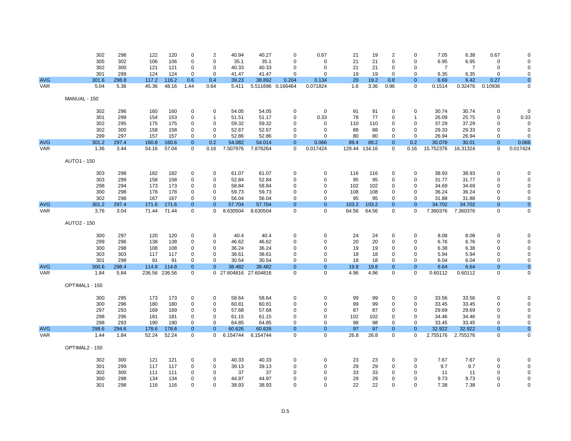|            | 302            | 298   | 122           | 120   | 0                    | 2              | 40.94                 | 40.27    | $\mathbf 0$       | 0.67           | 21     | 19     | 2              | $\Omega$       | 7.05           | 6.38           | 0.67                       | $\Omega$       |
|------------|----------------|-------|---------------|-------|----------------------|----------------|-----------------------|----------|-------------------|----------------|--------|--------|----------------|----------------|----------------|----------------|----------------------------|----------------|
|            | 305            | 302   | 106           | 106   | 0                    | $\mathbf 0$    | 35.1                  | 35.1     | $\mathbf 0$       | 0              | 21     | 21     | $\mathbf 0$    | $\Omega$       | 6.95           | 6.95           | $\mathbf 0$                | $\Omega$       |
|            | 302            | 300   | 121           | 121   | 0                    | $\mathbf 0$    | 40.33                 | 40.33    | 0                 | 0              | 21     | 21     | 0              | $\mathbf 0$    | $\overline{7}$ | $\overline{7}$ | $\mathbf 0$                | $\mathbf 0$    |
|            | 301            | 299   | 124           | 124   | $\Omega$             | $\mathbf 0$    | 41.47                 | 41.47    | $\Omega$          | 0              | 19     | 19     | 0              | $\Omega$       | 6.35           | 6.35           | 0                          | 0              |
| <b>AVG</b> | 301.6          | 298.8 | 117.2         | 116.2 | 0.6                  | 0.4            | 39.23                 | 38.892   | 0.204             | 0.134          | 20     | 19.2   | 0.8            | $\Omega$       | 6.69           | 6.42           | 0.27                       | $\overline{0}$ |
| <b>VAR</b> | 5.04           | 5.36  | 45.36         | 48.16 | 1.44                 | 0.64           | 5.411                 |          | 5.511696 0.166464 | 0.071824       | 1.6    | 3.36   | 0.96           | $\Omega$       | 0.1514         | 0.32476        | 0.10936                    | 0              |
|            | MANUAL - 150   |       |               |       |                      |                |                       |          |                   |                |        |        |                |                |                |                |                            |                |
|            |                |       |               |       |                      |                |                       |          |                   |                |        |        |                |                |                |                |                            |                |
|            | 302            | 296   | 160           | 160   | $\mathbf 0$          | $\mathbf 0$    | 54.05                 | 54.05    | 0                 | $\mathbf 0$    | 91     | 91     | $\mathbf 0$    | $\Omega$       | 30.74          | 30.74          | $\mathbf 0$                | $\Omega$       |
|            | 301            | 299   | 154           | 153   | 0                    | $\overline{1}$ | 51.51                 | 51.17    | $\mathbf 0$       | 0.33           | 78     | 77     | $\mathbf 0$    | -1             | 26.09          | 25.75          | 0                          | 0.33           |
|            | 302            | 295   | 175           | 175   | 0                    | $\mathbf 0$    | 59.32                 | 59.32    | $\mathbf 0$       | 0              | 110    | 110    | $\mathbf 0$    | $\mathbf 0$    | 37.29          | 37.29          | $\mathbf 0$                | $\mathbf 0$    |
|            | 302            | 300   | 158           | 158   | 0                    | $\mathbf 0$    | 52.67                 | 52.67    | 0                 | 0              | 88     | 88     | 0              | $\mathbf 0$    | 29.33          | 29.33          | 0                          | $\mathbf 0$    |
|            | 299            | 297   | 157           | 157   | $\Omega$             | $\Omega$       | 52.86                 | 52.86    | $\Omega$          | $\Omega$       | 80     | 80     | $\Omega$       | $\Omega$       | 26.94          | 26.94          | $\Omega$                   | $\Omega$       |
| <b>AVG</b> | 301.2          | 297.4 | 160.8         | 160.6 | $\Omega$<br>$\Omega$ | 0.2            | 54.082                | 54.014   | $\overline{0}$    | 0.066          | 89.4   | 89.2   | $\overline{0}$ | 0.2            | 30.078         | 30.01          | $\overline{0}$<br>$\Omega$ | 0.066          |
| <b>VAR</b> | 1.36           | 3.44  | 54.16         | 57.04 |                      | 0.16           | 7.507976              | 7.876264 | $\Omega$          | 0.017424       | 129.44 | 134.16 | $\mathbf 0$    | 0.16           | 15.752376      | 16.31324       |                            | 0.017424       |
|            | AUTO1 - 150    |       |               |       |                      |                |                       |          |                   |                |        |        |                |                |                |                |                            |                |
|            | 303            | 298   | 182           | 182   | $\mathbf 0$          | 0              | 61.07                 | 61.07    | 0                 | 0              | 116    | 116    | $\mathbf 0$    | $\Omega$       | 38.93          | 38.93          | 0                          | $\Omega$       |
|            | 303            | 299   | 158           | 158   | 0                    | $\mathbf 0$    | 52.84                 | 52.84    | $\mathbf 0$       | 0              | 95     | 95     | 0              | $\Omega$       | 31.77          | 31.77          | $\mathbf 0$                | $\Omega$       |
|            | 298            | 294   | 173           | 173   | 0                    | $\mathbf 0$    | 58.84                 | 58.84    | 0                 | 0              | 102    | 102    | $\mathbf 0$    | $\Omega$       | 34.69          | 34.69          | 0                          | $\mathbf 0$    |
|            | 300            | 298   | 178           | 178   | 0                    | $\mathbf 0$    | 59.73                 | 59.73    | $\mathbf 0$       | 0              | 108    | 108    | $\Omega$       | $\Omega$       | 36.24          | 36.24          | $\mathbf 0$                | 0              |
|            | 302            | 298   | 167           | 167   | $\Omega$             | $\Omega$       | 56.04                 | 56.04    | $\Omega$          | $\Omega$       | 95     | 95     | 0              | $\Omega$       | 31.88          | 31.88          | $\Omega$                   | $\mathbf 0$    |
| <b>AVG</b> | 301.2          | 297.4 | 171.6         | 171.6 | $\mathbf{0}$         | $\overline{0}$ | 57.704                | 57.704   | $\mathbf{0}$      | $\overline{0}$ | 103.2  | 103.2  | $\mathbf{0}$   | $\overline{0}$ | 34.702         | 34.702         | $\Omega$                   | $\mathbf{0}$   |
| <b>VAR</b> | 3.76           | 3.04  | 71.44         | 71.44 | 0                    | $\mathbf{0}$   | 8.630504              | 8.630504 | $\mathbf 0$       | 0              | 64.56  | 64.56  | 0              | $\mathbf 0$    | 7.360376       | 7.360376       | 0                          | $\pmb{0}$      |
|            | AUTO2 - 150    |       |               |       |                      |                |                       |          |                   |                |        |        |                |                |                |                |                            |                |
|            | 300            | 297   | 120           | 120   | $\mathbf 0$          | 0              | 40.4                  | 40.4     | 0                 | 0              | 24     | 24     | 0              | $\Omega$       | 8.08           | 8.08           | $\mathbf 0$                | $\Omega$       |
|            | 299            | 296   | 138           | 138   | 0                    | 0              | 46.62                 | 46.62    | $\mathbf 0$       | 0              | 20     | 20     | $\Omega$       | $\Omega$       | 6.76           | 6.76           | 0                          | $\mathbf 0$    |
|            | 300            | 298   | 108           | 108   | $\Omega$             | $\mathbf 0$    | 36.24                 | 36.24    | $\mathbf 0$       | 0              | 19     | 19     | $\mathbf 0$    | $\Omega$       | 6.38           | 6.38           | $\mathbf 0$                | $\mathbf 0$    |
|            | 303            | 303   | 117           | 117   | 0                    | $\mathbf 0$    | 38.61                 | 38.61    | 0                 | 0              | 18     | 18     | 0              | $\Omega$       | 5.94           | 5.94           | 0                          | $\mathbf 0$    |
|            | 301            | 298   | 91            | 91    | $\Omega$             | $\Omega$       | 30.54                 | 30.54    | $\Omega$          | $\Omega$       | 18     | 18     | $\Omega$       | $\Omega$       | 6.04           | 6.04           | $\Omega$                   | $\mathbf 0$    |
| <b>AVG</b> | 300.6          | 298.4 | 114.8         | 114.8 | $\Omega$             | $\Omega$       | 38.482                | 38.482   | $\Omega$          | $\overline{0}$ | 19.8   | 19.8   | $\mathbf{0}$   | $\overline{0}$ | 6.64           | 6.64           | $\overline{0}$             | $\overline{0}$ |
| <b>VAR</b> | 1.84           | 5.84  | 236.56 236.56 |       | 0                    |                | 0 27.604816 27.604816 |          | $\Omega$          | $\mathbf 0$    | 4.96   | 4.96   | $\mathbf 0$    | $\Omega$       | 0.60112        | 0.60112        | 0                          | $\mathbf 0$    |
|            | OPTIMAL1 - 150 |       |               |       |                      |                |                       |          |                   |                |        |        |                |                |                |                |                            |                |
|            | 300            | 295   | 173           | 173   | 0                    | 0              | 58.64                 | 58.64    | 0                 | 0              | 99     | 99     | 0              | $\mathbf 0$    | 33.56          | 33.56          | 0                          | $\Omega$       |
|            | 300            | 296   | 180           | 180   | 0                    | $\mathbf 0$    | 60.81                 | 60.81    | 0                 | 0              | 99     | 99     | $\Omega$       | $\mathbf 0$    | 33.45          | 33.45          | $\mathbf 0$                | $\mathbf 0$    |
|            | 297            | 293   | 169           | 169   | 0                    | $\mathbf 0$    | 57.68                 | 57.68    | $\mathbf 0$       | 0              | 87     | 87     | $\mathbf 0$    | $\mathbf 0$    | 29.69          | 29.69          | $\mathbf 0$                | $\pmb{0}$      |
|            | 298            | 296   | 181           | 181   | 0                    | $\mathbf 0$    | 61.15                 | 61.15    | $\mathbf 0$       | 0              | 102    | 102    | 0              | $\mathbf 0$    | 34.46          | 34.46          | 0                          | 0              |
|            | 298            | 293   | 190           | 190   | 0                    | $\mathbf 0$    | 64.85                 | 64.85    | $\mathbf 0$       | $\Omega$       | 98     | 98     | $\mathbf 0$    | $\Omega$       | 33.45          | 33.45          | $\Omega$                   | $\mathbf 0$    |
| <b>AVG</b> | 298.6          | 294.6 | 178.6         | 178.6 | $\Omega$             | $\mathbf{0}$   | 60.626                | 60.626   | $\Omega$          | $\mathbf{0}$   | 97     | 97     | $\mathbf{0}$   | $\Omega$       | 32.922         | 32.922         | $\overline{0}$             | $\mathbf{0}$   |
| <b>VAR</b> | 1.44           | 1.84  | 52.24         | 52.24 | $\Omega$             | $\mathbf 0$    | 6.154744              | 6.154744 | $\mathbf 0$       | $\mathbf 0$    | 26.8   | 26.8   | $\mathbf 0$    | $\mathbf 0$    | 2.755176       | 2.755176       | $\mathbf 0$                | $\mathbf 0$    |
|            | OPTIMAL2 - 150 |       |               |       |                      |                |                       |          |                   |                |        |        |                |                |                |                |                            |                |
|            | 302            | 300   | 121           | 121   | $\mathbf 0$          | 0              | 40.33                 | 40.33    | 0                 | 0              | 23     | 23     | 0              | $\mathbf 0$    | 7.67           | 7.67           | 0                          | $\Omega$       |
|            | 301            | 299   | 117           | 117   | 0                    | $\mathbf 0$    | 39.13                 | 39.13    | $\mathbf 0$       | 0              | 29     | 29     | 0              | $\Omega$       | 9.7            | 9.7            | $\mathbf 0$                | 0              |
|            | 302            | 300   | 111           | 111   | 0                    | $\mathbf 0$    | 37                    | 37       | $\Omega$          | 0              | 33     | 33     | 0              | $\Omega$       | 11             | 11             | 0                          | 0              |
|            | 300            | 298   | 134           | 134   | 0                    | $\mathbf 0$    | 44.97                 | 44.97    | $\mathbf 0$       | 0              | 29     | 29     | $\mathbf 0$    | $\Omega$       | 9.73           | 9.73           | $\mathbf 0$                | $\mathbf 0$    |
|            | 301            | 298   | 116           | 116   | $\Omega$             | $\Omega$       | 38.93                 | 38.93    | $\Omega$          | $\Omega$       | 22     | 22     | $\Omega$       | $\Omega$       | 7.38           | 7.38           | $\Omega$                   | $\mathbf 0$    |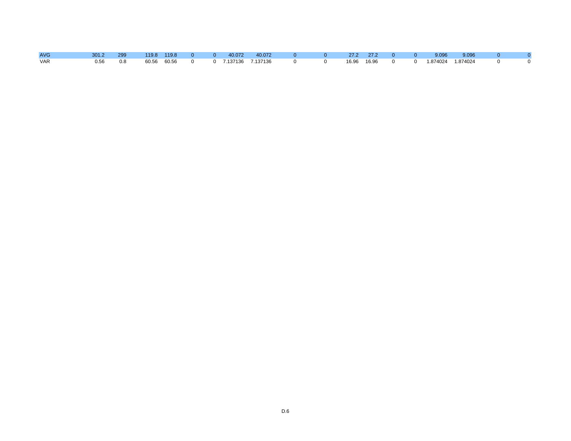| <b>AVG</b> | 301.2 299 |                        | 119.8 119.8 0 |  | $0$ 40.072 40.072 | $\Omega$ and $\Omega$     | $0$ 27.2 27.2 0 0 |               |          | 9.096 9.096 |          |     |
|------------|-----------|------------------------|---------------|--|-------------------|---------------------------|-------------------|---------------|----------|-------------|----------|-----|
| <b>VAR</b> |           | 0.56 0.8 60.56 60.56 0 |               |  |                   | 0 7.137136 7.137136 0 0 0 |                   | 16.96 16.96 0 | $\Omega$ |             | $\Omega$ | . റ |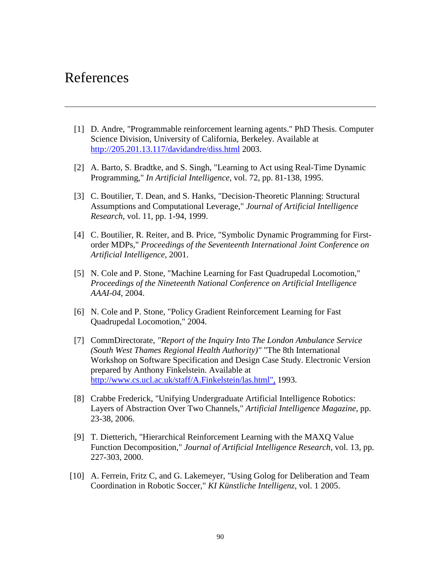# References

- [1] D. Andre, "Programmable reinforcement learning agents." PhD Thesis. Computer Science Division, University of California, Berkeley. Available at http://205.201.13.117/davidandre/diss.html 2003.
- [2] A. Barto, S. Bradtke, and S. Singh, "Learning to Act using Real-Time Dynamic Programming," *In Artificial Intelligence*, vol. 72, pp. 81-138, 1995.
- [3] C. Boutilier, T. Dean, and S. Hanks, "Decision-Theoretic Planning: Structural Assumptions and Computational Leverage," *Journal of Artificial Intelligence Research*, vol. 11, pp. 1-94, 1999.
- [4] C. Boutilier, R. Reiter, and B. Price, "Symbolic Dynamic Programming for Firstorder MDPs," *Proceedings of the Seventeenth International Joint Conference on Artificial Intelligence*, 2001.
- [5] N. Cole and P. Stone, "Machine Learning for Fast Quadrupedal Locomotion," *Proceedings of the Nineteenth National Conference on Artificial Intelligence AAAI-04*, 2004.
- [6] N. Cole and P. Stone, "Policy Gradient Reinforcement Learning for Fast Quadrupedal Locomotion," 2004.
- [7] CommDirectorate, *"Report of the Inquiry Into The London Ambulance Service (South West Thames Regional Health Authority)"* "The 8th International Workshop on Software Specification and Design Case Study. Electronic Version prepared by Anthony Finkelstein. Available at http://www.cs.ucl.ac.uk/staff/A.Finkelstein/las.html", 1993.
- [8] Crabbe Frederick, "Unifying Undergraduate Artificial Intelligence Robotics: Layers of Abstraction Over Two Channels," *Artificial Intelligence Magazine*, pp. 23-38, 2006.
- [9] T. Dietterich, "Hierarchical Reinforcement Learning with the MAXQ Value Function Decomposition," *Journal of Artificial Intelligence Research*, vol. 13, pp. 227-303, 2000.
- [10] A. Ferrein, Fritz C, and G. Lakemeyer, "Using Golog for Deliberation and Team Coordination in Robotic Soccer," *KI Künstliche Intelligenz*, vol. 1 2005.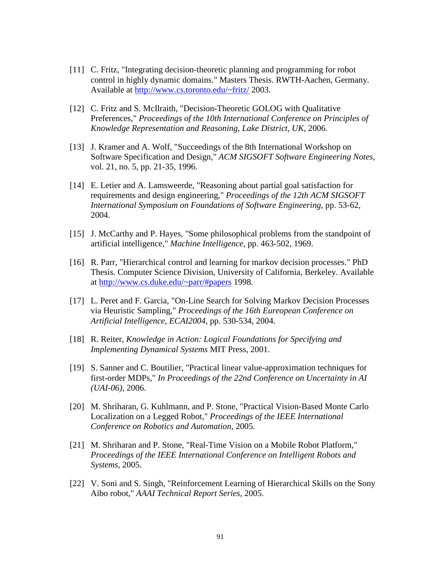- [11] C. Fritz, "Integrating decision-theoretic planning and programming for robot control in highly dynamic domains." Masters Thesis. RWTH-Aachen, Germany. Available at http://www.cs.toronto.edu/~fritz/ 2003.
- [12] C. Fritz and S. McIlraith, "Decision-Theoretic GOLOG with Qualitative Preferences," *Proceedings of the 10th International Conference on Principles of Knowledge Representation and Reasoning, Lake District, UK*, 2006.
- [13] J. Kramer and A. Wolf, "Succeedings of the 8th International Workshop on Software Specification and Design," *ACM SIGSOFT Software Engineering Notes*, vol. 21, no. 5, pp. 21-35, 1996.
- [14] E. Letier and A. Lamsweerde, "Reasoning about partial goal satisfaction for requirements and design engineering," *Proceedings of the 12th ACM SIGSOFT International Symposium on Foundations of Software Engineering*, pp. 53-62, 2004.
- [15] J. McCarthy and P. Hayes, "Some philosophical problems from the standpoint of artificial intelligence," *Machine Intelligence*, pp. 463-502, 1969.
- [16] R. Parr, "Hierarchical control and learning for markov decision processes." PhD Thesis. Computer Science Division, University of California, Berkeley. Available at http://www.cs.duke.edu/~parr/#papers 1998.
- [17] L. Peret and F. Garcia, "On-Line Search for Solving Markov Decision Processes via Heuristic Sampling," *Proceedings of the 16th Eureopean Conference on Artificial Intelligence, ECAI2004*, pp. 530-534, 2004.
- [18] R. Reiter, *Knowledge in Action: Logical Foundations for Specifying and Implementing Dynamical Systems* MIT Press, 2001.
- [19] S. Sanner and C. Boutilier, "Practical linear value-approximation techniques for first-order MDPs," *In Proceedings of the 22nd Conference on Uncertainty in AI (UAI-06)*, 2006.
- [20] M. Shriharan, G. Kuhlmann, and P. Stone, "Practical Vision-Based Monte Carlo Localization on a Legged Robot," *Proceedings of the IEEE International Conference on Robotics and Automation*, 2005.
- [21] M. Shriharan and P. Stone, "Real-Time Vision on a Mobile Robot Platform," *Proceedings of the IEEE International Conference on Intelligent Robots and Systems*, 2005.
- [22] V. Soni and S. Singh, "Reinforcement Learning of Hierarchical Skills on the Sony Aibo robot," *AAAI Technical Report Series*, 2005.